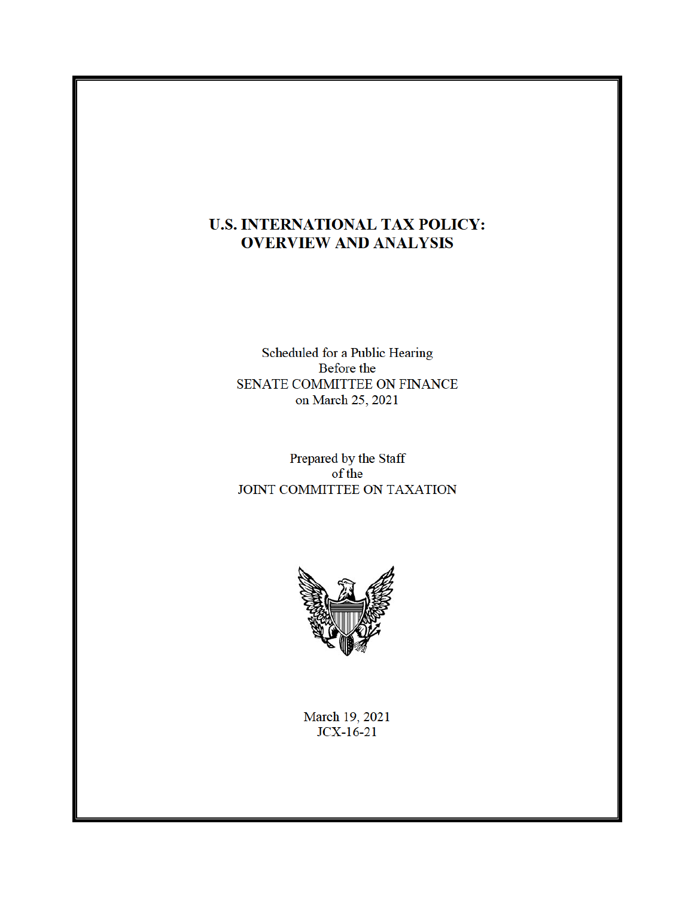# **U.S. INTERNATIONAL TAX POLICY: OVERVIEW AND ANALYSIS**

Scheduled for a Public Hearing Before the SENATE COMMITTEE ON FINANCE on March 25, 2021

Prepared by the Staff  $of the$ JOINT COMMITTEE ON TAXATION



March 19, 2021  $JCX-16-21$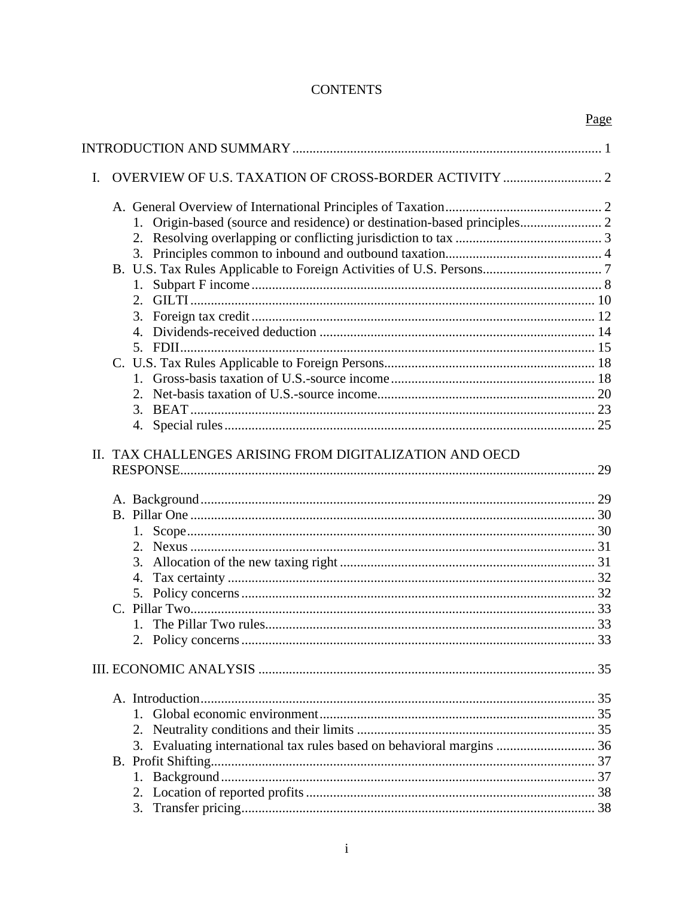# **CONTENTS**

|   |                                                                          | Page |
|---|--------------------------------------------------------------------------|------|
|   |                                                                          |      |
| L |                                                                          |      |
|   |                                                                          |      |
|   | 1.                                                                       |      |
|   |                                                                          |      |
|   | 3.                                                                       |      |
|   |                                                                          |      |
|   | 1.                                                                       |      |
|   |                                                                          |      |
|   | 3.                                                                       |      |
|   | 4.                                                                       |      |
|   | 5. FDII                                                                  |      |
|   |                                                                          |      |
|   |                                                                          |      |
|   | 2.                                                                       |      |
|   | 3.                                                                       |      |
|   | 4.                                                                       |      |
|   | II. TAX CHALLENGES ARISING FROM DIGITALIZATION AND OECD                  |      |
|   |                                                                          |      |
|   |                                                                          |      |
|   |                                                                          |      |
|   | 2.                                                                       |      |
|   | 3.                                                                       |      |
|   | 4.                                                                       |      |
|   |                                                                          |      |
|   |                                                                          |      |
|   |                                                                          |      |
|   |                                                                          |      |
|   |                                                                          |      |
|   |                                                                          |      |
|   |                                                                          |      |
|   |                                                                          |      |
|   | Evaluating international tax rules based on behavioral margins  36<br>3. |      |
|   |                                                                          |      |
|   | 1.                                                                       |      |
|   |                                                                          |      |
|   |                                                                          |      |
|   |                                                                          |      |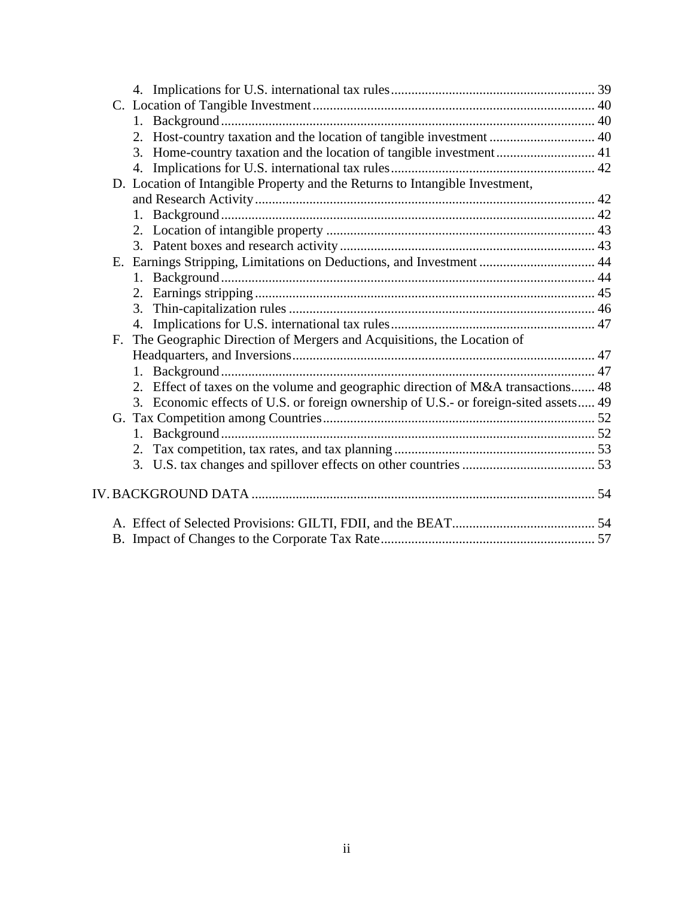|    | 2. Host-country taxation and the location of tangible investment  40                 |  |
|----|--------------------------------------------------------------------------------------|--|
|    | Home-country taxation and the location of tangible investment 41<br>3.               |  |
|    | 4.                                                                                   |  |
|    | D. Location of Intangible Property and the Returns to Intangible Investment,         |  |
|    |                                                                                      |  |
|    |                                                                                      |  |
|    |                                                                                      |  |
|    |                                                                                      |  |
|    | E. Earnings Stripping, Limitations on Deductions, and Investment  44                 |  |
|    | 1.                                                                                   |  |
|    |                                                                                      |  |
|    | 3.                                                                                   |  |
|    | 4.                                                                                   |  |
| F. | The Geographic Direction of Mergers and Acquisitions, the Location of                |  |
|    |                                                                                      |  |
|    |                                                                                      |  |
|    | 2. Effect of taxes on the volume and geographic direction of M&A transactions 48     |  |
|    | 3. Economic effects of U.S. or foreign ownership of U.S.- or foreign-sited assets 49 |  |
|    |                                                                                      |  |
|    |                                                                                      |  |
|    | 2.                                                                                   |  |
|    |                                                                                      |  |
|    |                                                                                      |  |
|    |                                                                                      |  |
|    |                                                                                      |  |
|    |                                                                                      |  |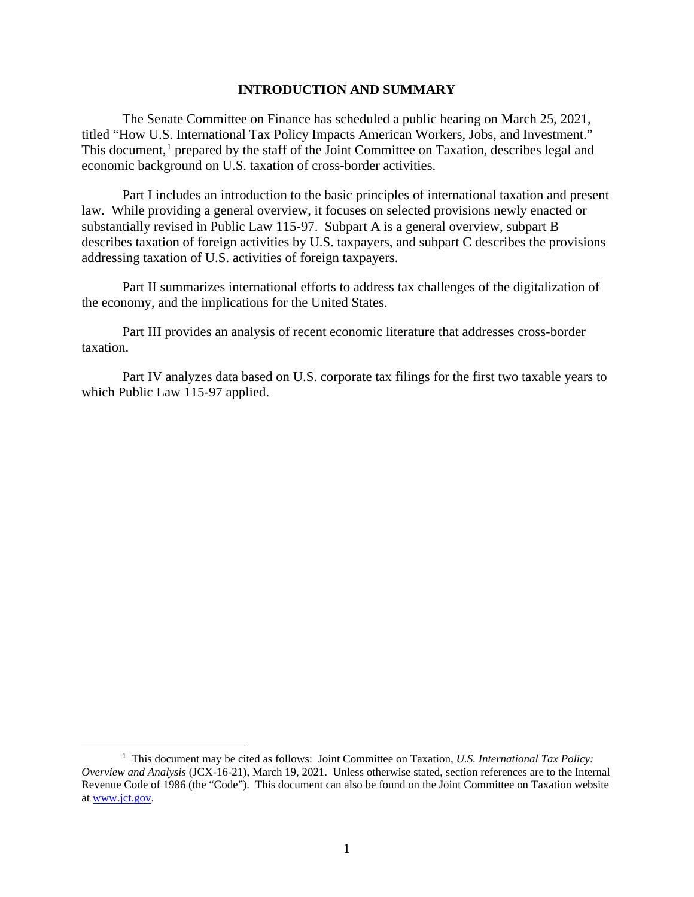### **INTRODUCTION AND SUMMARY**

The Senate Committee on Finance has scheduled a public hearing on March 25, 2021, titled "How U.S. International Tax Policy Impacts American Workers, Jobs, and Investment." This document,<sup>1</sup> prepared by the staff of the Joint Committee on Taxation, describes legal and economic background on U.S. taxation of cross-border activities.

Part I includes an introduction to the basic principles of international taxation and present law. While providing a general overview, it focuses on selected provisions newly enacted or substantially revised in Public Law 115-97. Subpart A is a general overview, subpart B describes taxation of foreign activities by U.S. taxpayers, and subpart C describes the provisions addressing taxation of U.S. activities of foreign taxpayers.

Part II summarizes international efforts to address tax challenges of the digitalization of the economy, and the implications for the United States.

Part III provides an analysis of recent economic literature that addresses cross-border taxation.

Part IV analyzes data based on U.S. corporate tax filings for the first two taxable years to which Public Law 115-97 applied.

<sup>&</sup>lt;sup>1</sup> This document may be cited as follows: Joint Committee on Taxation, *U.S. International Tax Policy*: *Overview and Analysis* (JCX-16-21), March 19, 2021. Unless otherwise stated, section references are to the Internal Revenue Code of 1986 (the "Code"). This document can also be found on the Joint Committee on Taxation website at www.jct.gov.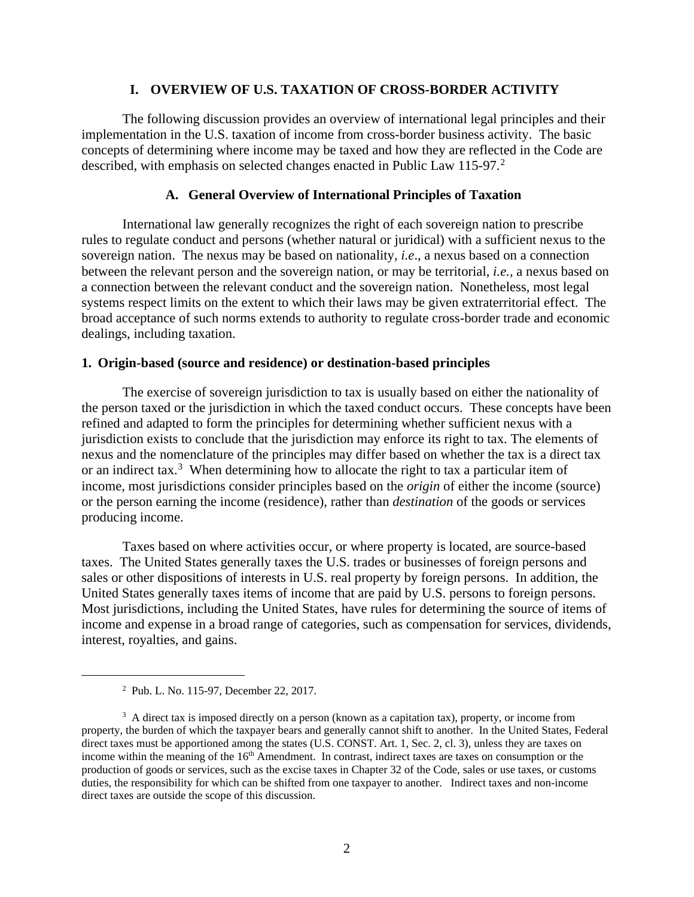### **I. OVERVIEW OF U.S. TAXATION OF CROSS-BORDER ACTIVITY**

The following discussion provides an overview of international legal principles and their implementation in the U.S. taxation of income from cross-border business activity. The basic concepts of determining where income may be taxed and how they are reflected in the Code are described, with emphasis on selected changes enacted in Public Law  $115-97$ .<sup>2</sup>

### **A. General Overview of International Principles of Taxation**

International law generally recognizes the right of each sovereign nation to prescribe rules to regulate conduct and persons (whether natural or juridical) with a sufficient nexus to the sovereign nation. The nexus may be based on nationality, *i.e*., a nexus based on a connection between the relevant person and the sovereign nation, or may be territorial, *i.e.,* a nexus based on a connection between the relevant conduct and the sovereign nation. Nonetheless, most legal systems respect limits on the extent to which their laws may be given extraterritorial effect. The broad acceptance of such norms extends to authority to regulate cross-border trade and economic dealings, including taxation.

### **1. Origin-based (source and residence) or destination-based principles**

The exercise of sovereign jurisdiction to tax is usually based on either the nationality of the person taxed or the jurisdiction in which the taxed conduct occurs. These concepts have been refined and adapted to form the principles for determining whether sufficient nexus with a jurisdiction exists to conclude that the jurisdiction may enforce its right to tax. The elements of nexus and the nomenclature of the principles may differ based on whether the tax is a direct tax or an indirect tax.<sup>3</sup> When determining how to allocate the right to tax a particular item of income, most jurisdictions consider principles based on the *origin* of either the income (source) or the person earning the income (residence), rather than *destination* of the goods or services producing income.

Taxes based on where activities occur, or where property is located, are source-based taxes. The United States generally taxes the U.S. trades or businesses of foreign persons and sales or other dispositions of interests in U.S. real property by foreign persons. In addition, the United States generally taxes items of income that are paid by U.S. persons to foreign persons. Most jurisdictions, including the United States, have rules for determining the source of items of income and expense in a broad range of categories, such as compensation for services, dividends, interest, royalties, and gains.

<sup>2</sup> Pub. L. No. 115-97, December 22, 2017.

<sup>&</sup>lt;sup>3</sup> A direct tax is imposed directly on a person (known as a capitation tax), property, or income from property, the burden of which the taxpayer bears and generally cannot shift to another. In the United States, Federal direct taxes must be apportioned among the states (U.S. CONST. Art. 1, Sec. 2, cl. 3), unless they are taxes on income within the meaning of the  $16<sup>th</sup>$  Amendment. In contrast, indirect taxes are taxes on consumption or the production of goods or services, such as the excise taxes in Chapter 32 of the Code, sales or use taxes, or customs duties, the responsibility for which can be shifted from one taxpayer to another. Indirect taxes and non-income direct taxes are outside the scope of this discussion.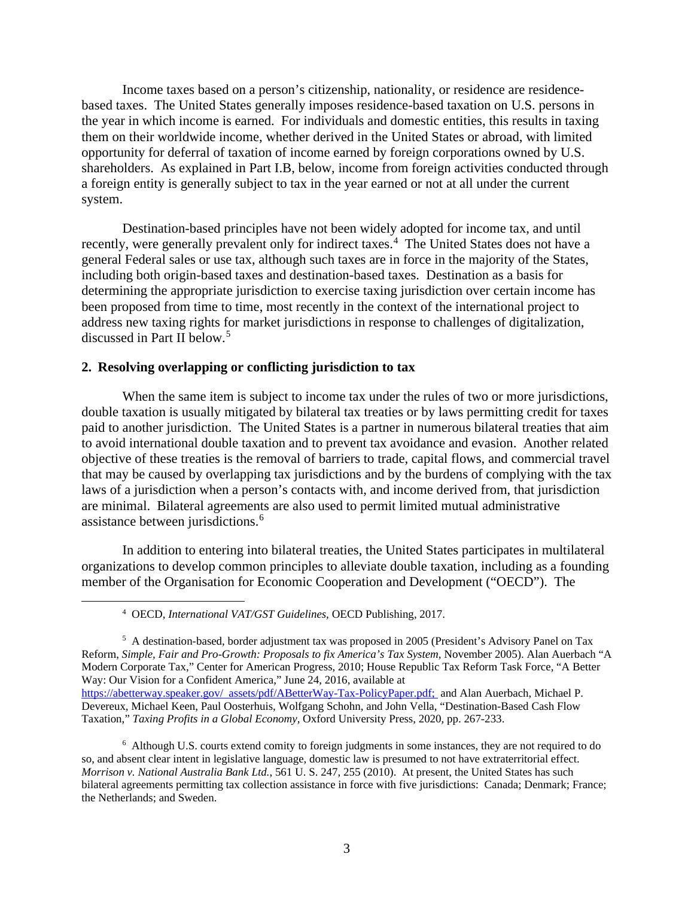Income taxes based on a person's citizenship, nationality, or residence are residencebased taxes. The United States generally imposes residence-based taxation on U.S. persons in the year in which income is earned. For individuals and domestic entities, this results in taxing them on their worldwide income, whether derived in the United States or abroad, with limited opportunity for deferral of taxation of income earned by foreign corporations owned by U.S. shareholders. As explained in Part I.B, below, income from foreign activities conducted through a foreign entity is generally subject to tax in the year earned or not at all under the current system.

Destination-based principles have not been widely adopted for income tax, and until recently, were generally prevalent only for indirect taxes.<sup>4</sup> The United States does not have a general Federal sales or use tax, although such taxes are in force in the majority of the States, including both origin-based taxes and destination-based taxes. Destination as a basis for determining the appropriate jurisdiction to exercise taxing jurisdiction over certain income has been proposed from time to time, most recently in the context of the international project to address new taxing rights for market jurisdictions in response to challenges of digitalization, discussed in Part II below.<sup>5</sup>

### **2. Resolving overlapping or conflicting jurisdiction to tax**

When the same item is subject to income tax under the rules of two or more jurisdictions, double taxation is usually mitigated by bilateral tax treaties or by laws permitting credit for taxes paid to another jurisdiction. The United States is a partner in numerous bilateral treaties that aim to avoid international double taxation and to prevent tax avoidance and evasion. Another related objective of these treaties is the removal of barriers to trade, capital flows, and commercial travel that may be caused by overlapping tax jurisdictions and by the burdens of complying with the tax laws of a jurisdiction when a person's contacts with, and income derived from, that jurisdiction are minimal. Bilateral agreements are also used to permit limited mutual administrative assistance between jurisdictions.<sup>6</sup>

In addition to entering into bilateral treaties, the United States participates in multilateral organizations to develop common principles to alleviate double taxation, including as a founding member of the Organisation for Economic Cooperation and Development ("OECD"). The

<sup>4</sup> OECD, *International VAT/GST Guidelines,* OECD Publishing, 2017.

<sup>&</sup>lt;sup>5</sup> A destination-based, border adjustment tax was proposed in 2005 (President's Advisory Panel on Tax Reform, *Simple, Fair and Pro-Growth: Proposals to fix America's Tax System,* November 2005). Alan Auerbach "A Modern Corporate Tax," Center for American Progress, 2010; House Republic Tax Reform Task Force, "A Better Way: Our Vision for a Confident America," June 24, 2016, available at https://abetterway.speaker.gov/ assets/pdf/ABetterWay-Tax-PolicyPaper.pdf; and Alan Auerbach, Michael P. Devereux, Michael Keen, Paul Oosterhuis, Wolfgang Schohn, and John Vella, "Destination-Based Cash Flow

Taxation," *Taxing Profits in a Global Economy*, Oxford University Press, 2020, pp. 267-233.

<sup>&</sup>lt;sup>6</sup> Although U.S. courts extend comity to foreign judgments in some instances, they are not required to do so, and absent clear intent in legislative language, domestic law is presumed to not have extraterritorial effect. *Morrison v. National Australia Bank Ltd.*, 561 U. S. 247, 255 (2010). At present, the United States has such bilateral agreements permitting tax collection assistance in force with five jurisdictions: Canada; Denmark; France; the Netherlands; and Sweden.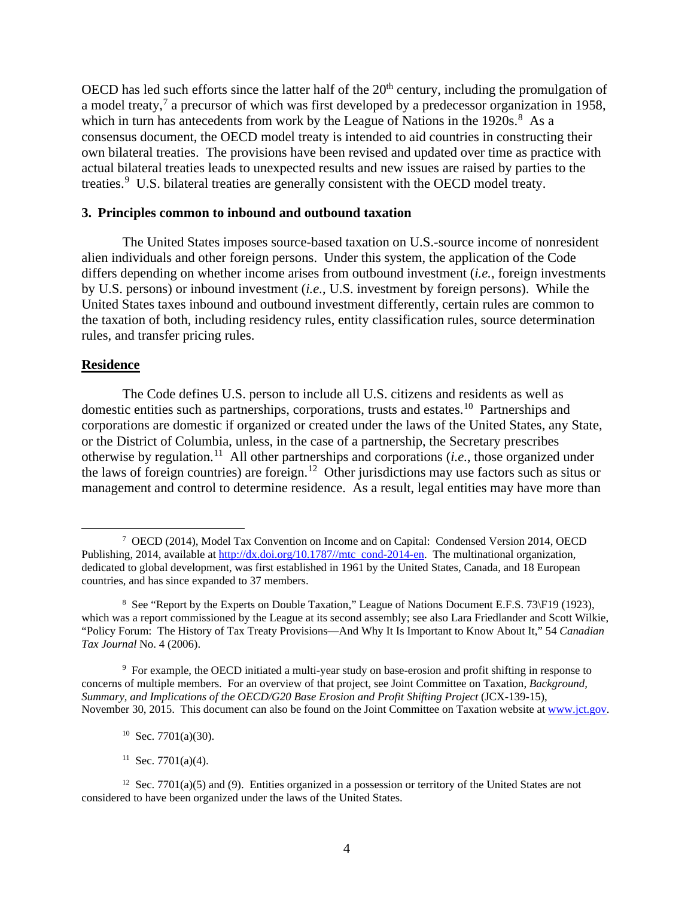OECD has led such efforts since the latter half of the  $20<sup>th</sup>$  century, including the promulgation of a model treaty,<sup>7</sup> a precursor of which was first developed by a predecessor organization in 1958, which in turn has antecedents from work by the League of Nations in the  $1920s$ .<sup>8</sup> As a consensus document, the OECD model treaty is intended to aid countries in constructing their own bilateral treaties. The provisions have been revised and updated over time as practice with actual bilateral treaties leads to unexpected results and new issues are raised by parties to the treaties.<sup>9</sup> U.S. bilateral treaties are generally consistent with the OECD model treaty.

### **3. Principles common to inbound and outbound taxation**

The United States imposes source-based taxation on U.S.-source income of nonresident alien individuals and other foreign persons. Under this system, the application of the Code differs depending on whether income arises from outbound investment (*i.e.*, foreign investments by U.S. persons) or inbound investment (*i.e.*, U.S. investment by foreign persons). While the United States taxes inbound and outbound investment differently, certain rules are common to the taxation of both, including residency rules, entity classification rules, source determination rules, and transfer pricing rules.

#### **Residence**

The Code defines U.S. person to include all U.S. citizens and residents as well as domestic entities such as partnerships, corporations, trusts and estates.<sup>10</sup> Partnerships and corporations are domestic if organized or created under the laws of the United States, any State, or the District of Columbia, unless, in the case of a partnership, the Secretary prescribes otherwise by regulation.11 All other partnerships and corporations (*i.e.*, those organized under the laws of foreign countries) are foreign.12 Other jurisdictions may use factors such as situs or management and control to determine residence. As a result, legal entities may have more than

<sup>7</sup> OECD (2014), Model Tax Convention on Income and on Capital: Condensed Version 2014, OECD Publishing, 2014, available at http://dx.doi.org/10.1787//mtc cond-2014-en. The multinational organization, dedicated to global development, was first established in 1961 by the United States, Canada, and 18 European countries, and has since expanded to 37 members.

<sup>&</sup>lt;sup>8</sup> See "Report by the Experts on Double Taxation," League of Nations Document E.F.S. 73\F19 (1923), which was a report commissioned by the League at its second assembly; see also Lara Friedlander and Scott Wilkie, "Policy Forum: The History of Tax Treaty Provisions—And Why It Is Important to Know About It," 54 *Canadian Tax Journal* No. 4 (2006).

<sup>&</sup>lt;sup>9</sup> For example, the OECD initiated a multi-year study on base-erosion and profit shifting in response to concerns of multiple members. For an overview of that project, see Joint Committee on Taxation, *Background, Summary, and Implications of the OECD/G20 Base Erosion and Profit Shifting Project* (JCX-139-15), November 30, 2015. This document can also be found on the Joint Committee on Taxation website at www.jct.gov.

 $10$  Sec. 7701(a)(30).

<sup>&</sup>lt;sup>11</sup> Sec. 7701(a)(4).

<sup>&</sup>lt;sup>12</sup> Sec. 7701(a)(5) and (9). Entities organized in a possession or territory of the United States are not considered to have been organized under the laws of the United States.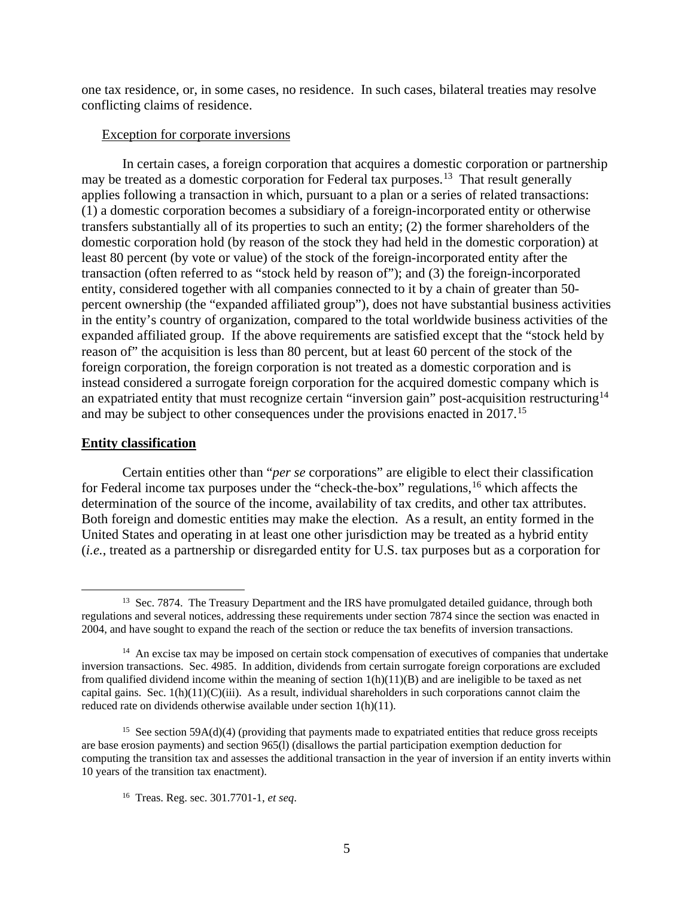one tax residence, or, in some cases, no residence. In such cases, bilateral treaties may resolve conflicting claims of residence.

#### Exception for corporate inversions

In certain cases, a foreign corporation that acquires a domestic corporation or partnership may be treated as a domestic corporation for Federal tax purposes.<sup>13</sup> That result generally applies following a transaction in which, pursuant to a plan or a series of related transactions: (1) a domestic corporation becomes a subsidiary of a foreign-incorporated entity or otherwise transfers substantially all of its properties to such an entity; (2) the former shareholders of the domestic corporation hold (by reason of the stock they had held in the domestic corporation) at least 80 percent (by vote or value) of the stock of the foreign-incorporated entity after the transaction (often referred to as "stock held by reason of"); and (3) the foreign-incorporated entity, considered together with all companies connected to it by a chain of greater than 50 percent ownership (the "expanded affiliated group"), does not have substantial business activities in the entity's country of organization, compared to the total worldwide business activities of the expanded affiliated group. If the above requirements are satisfied except that the "stock held by reason of" the acquisition is less than 80 percent, but at least 60 percent of the stock of the foreign corporation, the foreign corporation is not treated as a domestic corporation and is instead considered a surrogate foreign corporation for the acquired domestic company which is an expatriated entity that must recognize certain "inversion gain" post-acquisition restructuring<sup>14</sup> and may be subject to other consequences under the provisions enacted in 2017.15

### **Entity classification**

Certain entities other than "*per se* corporations" are eligible to elect their classification for Federal income tax purposes under the "check-the-box" regulations,<sup>16</sup> which affects the determination of the source of the income, availability of tax credits, and other tax attributes. Both foreign and domestic entities may make the election. As a result, an entity formed in the United States and operating in at least one other jurisdiction may be treated as a hybrid entity (*i.e.*, treated as a partnership or disregarded entity for U.S. tax purposes but as a corporation for

<sup>&</sup>lt;sup>13</sup> Sec. 7874. The Treasury Department and the IRS have promulgated detailed guidance, through both regulations and several notices, addressing these requirements under section 7874 since the section was enacted in 2004, and have sought to expand the reach of the section or reduce the tax benefits of inversion transactions.

<sup>&</sup>lt;sup>14</sup> An excise tax may be imposed on certain stock compensation of executives of companies that undertake inversion transactions. Sec. 4985. In addition, dividends from certain surrogate foreign corporations are excluded from qualified dividend income within the meaning of section  $1(h)(11)(B)$  and are ineligible to be taxed as net capital gains. Sec.  $1(h)(11)(C)(iii)$ . As a result, individual shareholders in such corporations cannot claim the reduced rate on dividends otherwise available under section 1(h)(11).

<sup>&</sup>lt;sup>15</sup> See section 59A(d)(4) (providing that payments made to expatriated entities that reduce gross receipts are base erosion payments) and section 965(l) (disallows the partial participation exemption deduction for computing the transition tax and assesses the additional transaction in the year of inversion if an entity inverts within 10 years of the transition tax enactment).

<sup>16</sup> Treas. Reg. sec. 301.7701-1, *et seq*.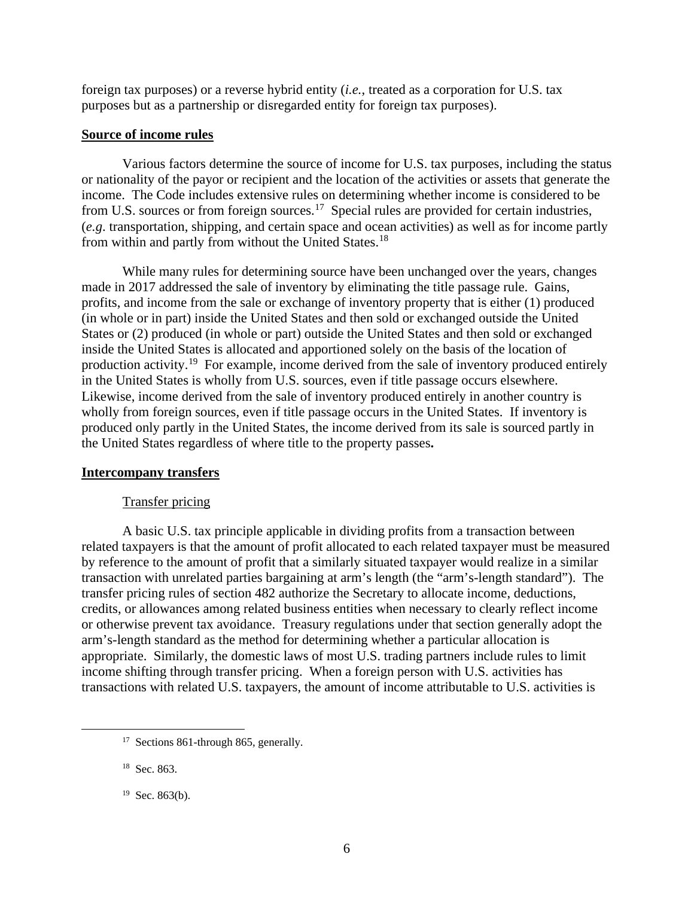foreign tax purposes) or a reverse hybrid entity (*i.e.*, treated as a corporation for U.S. tax purposes but as a partnership or disregarded entity for foreign tax purposes).

### **Source of income rules**

Various factors determine the source of income for U.S. tax purposes, including the status or nationality of the payor or recipient and the location of the activities or assets that generate the income. The Code includes extensive rules on determining whether income is considered to be from U.S. sources or from foreign sources.<sup>17</sup> Special rules are provided for certain industries, (*e.g*. transportation, shipping, and certain space and ocean activities) as well as for income partly from within and partly from without the United States.<sup>18</sup>

While many rules for determining source have been unchanged over the years, changes made in 2017 addressed the sale of inventory by eliminating the title passage rule. Gains, profits, and income from the sale or exchange of inventory property that is either (1) produced (in whole or in part) inside the United States and then sold or exchanged outside the United States or (2) produced (in whole or part) outside the United States and then sold or exchanged inside the United States is allocated and apportioned solely on the basis of the location of production activity.19 For example, income derived from the sale of inventory produced entirely in the United States is wholly from U.S. sources, even if title passage occurs elsewhere. Likewise, income derived from the sale of inventory produced entirely in another country is wholly from foreign sources, even if title passage occurs in the United States. If inventory is produced only partly in the United States, the income derived from its sale is sourced partly in the United States regardless of where title to the property passes**.**

### **Intercompany transfers**

### Transfer pricing

A basic U.S. tax principle applicable in dividing profits from a transaction between related taxpayers is that the amount of profit allocated to each related taxpayer must be measured by reference to the amount of profit that a similarly situated taxpayer would realize in a similar transaction with unrelated parties bargaining at arm's length (the "arm's-length standard"). The transfer pricing rules of section 482 authorize the Secretary to allocate income, deductions, credits, or allowances among related business entities when necessary to clearly reflect income or otherwise prevent tax avoidance. Treasury regulations under that section generally adopt the arm's-length standard as the method for determining whether a particular allocation is appropriate. Similarly, the domestic laws of most U.S. trading partners include rules to limit income shifting through transfer pricing. When a foreign person with U.S. activities has transactions with related U.S. taxpayers, the amount of income attributable to U.S. activities is

<sup>&</sup>lt;sup>17</sup> Sections 861-through 865, generally.

<sup>&</sup>lt;sup>18</sup> Sec. 863.

 $19$  Sec. 863(b).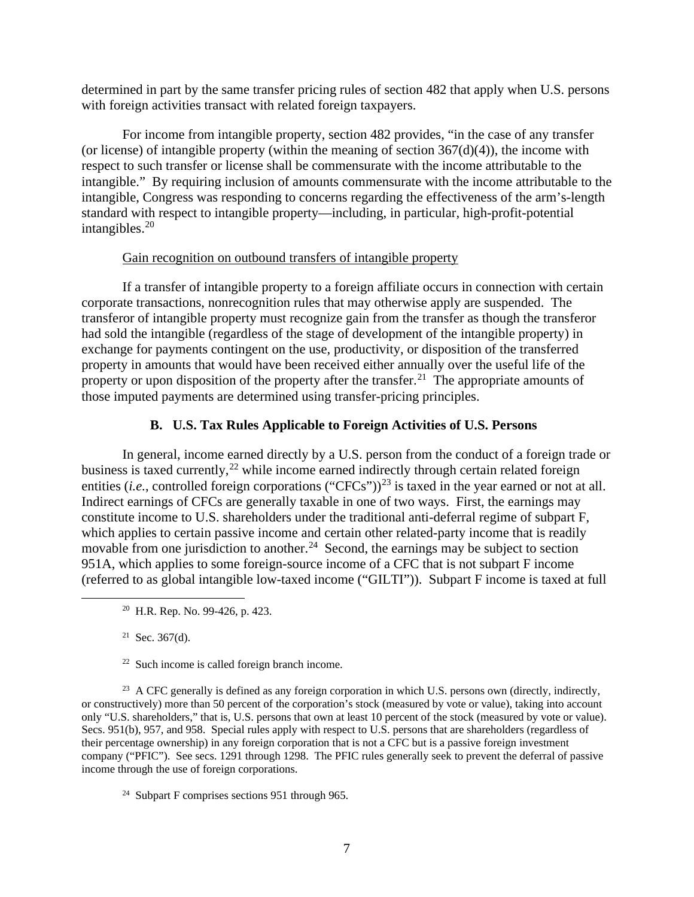determined in part by the same transfer pricing rules of section 482 that apply when U.S. persons with foreign activities transact with related foreign taxpayers.

For income from intangible property, section 482 provides, "in the case of any transfer (or license) of intangible property (within the meaning of section  $367(d)(4)$ ), the income with respect to such transfer or license shall be commensurate with the income attributable to the intangible." By requiring inclusion of amounts commensurate with the income attributable to the intangible, Congress was responding to concerns regarding the effectiveness of the arm's-length standard with respect to intangible property—including, in particular, high-profit-potential intangibles. $20$ 

### Gain recognition on outbound transfers of intangible property

If a transfer of intangible property to a foreign affiliate occurs in connection with certain corporate transactions, nonrecognition rules that may otherwise apply are suspended. The transferor of intangible property must recognize gain from the transfer as though the transferor had sold the intangible (regardless of the stage of development of the intangible property) in exchange for payments contingent on the use, productivity, or disposition of the transferred property in amounts that would have been received either annually over the useful life of the property or upon disposition of the property after the transfer.<sup>21</sup> The appropriate amounts of those imputed payments are determined using transfer-pricing principles.

# **B. U.S. Tax Rules Applicable to Foreign Activities of U.S. Persons**

In general, income earned directly by a U.S. person from the conduct of a foreign trade or business is taxed currently,<sup>22</sup> while income earned indirectly through certain related foreign entities (*i.e.*, controlled foreign corporations ("CFCs"))<sup>23</sup> is taxed in the year earned or not at all. Indirect earnings of CFCs are generally taxable in one of two ways. First, the earnings may constitute income to U.S. shareholders under the traditional anti-deferral regime of subpart F, which applies to certain passive income and certain other related-party income that is readily movable from one jurisdiction to another.<sup>24</sup> Second, the earnings may be subject to section 951A, which applies to some foreign-source income of a CFC that is not subpart F income (referred to as global intangible low-taxed income ("GILTI")). Subpart F income is taxed at full

 $21$  Sec. 367(d).

 $22$  Such income is called foreign branch income.

<sup>23</sup> A CFC generally is defined as any foreign corporation in which U.S. persons own (directly, indirectly, or constructively) more than 50 percent of the corporation's stock (measured by vote or value), taking into account only "U.S. shareholders," that is, U.S. persons that own at least 10 percent of the stock (measured by vote or value). Secs. 951(b), 957, and 958. Special rules apply with respect to U.S. persons that are shareholders (regardless of their percentage ownership) in any foreign corporation that is not a CFC but is a passive foreign investment company ("PFIC"). See secs. 1291 through 1298. The PFIC rules generally seek to prevent the deferral of passive income through the use of foreign corporations.

24 Subpart F comprises sections 951 through 965.

<sup>20</sup> H.R. Rep. No. 99-426, p. 423.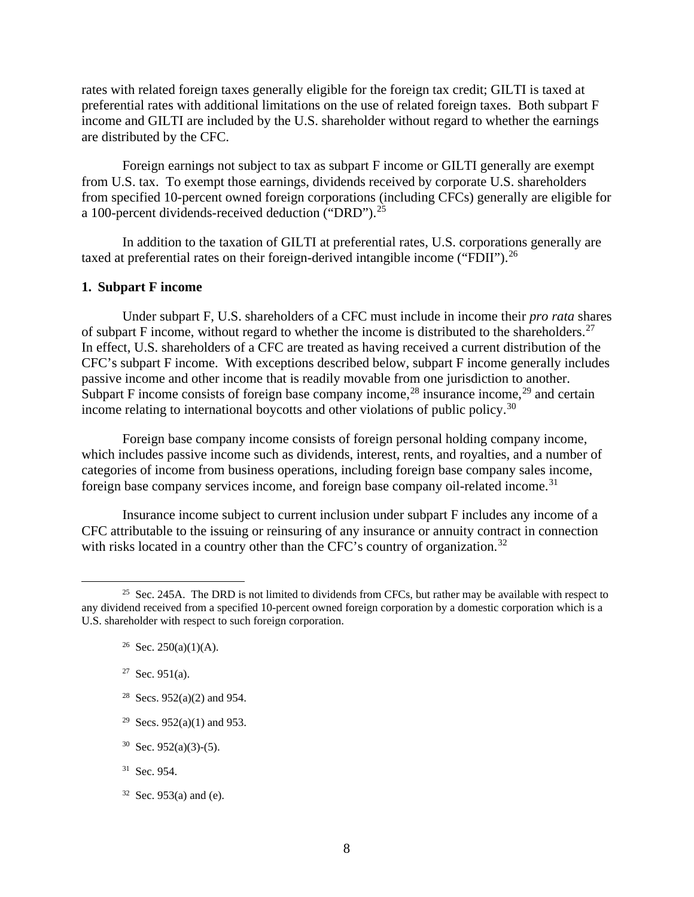rates with related foreign taxes generally eligible for the foreign tax credit; GILTI is taxed at preferential rates with additional limitations on the use of related foreign taxes. Both subpart F income and GILTI are included by the U.S. shareholder without regard to whether the earnings are distributed by the CFC.

Foreign earnings not subject to tax as subpart F income or GILTI generally are exempt from U.S. tax. To exempt those earnings, dividends received by corporate U.S. shareholders from specified 10-percent owned foreign corporations (including CFCs) generally are eligible for a 100-percent dividends-received deduction ("DRD").25

In addition to the taxation of GILTI at preferential rates, U.S. corporations generally are taxed at preferential rates on their foreign-derived intangible income ("FDII").<sup>26</sup>

### **1. Subpart F income**

Under subpart F, U.S. shareholders of a CFC must include in income their *pro rata* shares of subpart F income, without regard to whether the income is distributed to the shareholders.<sup>27</sup> In effect, U.S. shareholders of a CFC are treated as having received a current distribution of the CFC's subpart F income. With exceptions described below, subpart F income generally includes passive income and other income that is readily movable from one jurisdiction to another. Subpart F income consists of foreign base company income,  $^{28}$  insurance income,  $^{29}$  and certain income relating to international boycotts and other violations of public policy.30

Foreign base company income consists of foreign personal holding company income, which includes passive income such as dividends, interest, rents, and royalties, and a number of categories of income from business operations, including foreign base company sales income, foreign base company services income, and foreign base company oil-related income.<sup>31</sup>

Insurance income subject to current inclusion under subpart F includes any income of a CFC attributable to the issuing or reinsuring of any insurance or annuity contract in connection with risks located in a country other than the CFC's country of organization.<sup>32</sup>

- <sup>28</sup> Secs. 952(a)(2) and 954.
- <sup>29</sup> Secs. 952(a)(1) and 953.
- $30$  Sec. 952(a)(3)-(5).
- 31 Sec. 954.
- $32$  Sec. 953(a) and (e).

<sup>&</sup>lt;sup>25</sup> Sec. 245A. The DRD is not limited to dividends from CFCs, but rather may be available with respect to any dividend received from a specified 10-percent owned foreign corporation by a domestic corporation which is a U.S. shareholder with respect to such foreign corporation.

<sup>&</sup>lt;sup>26</sup> Sec. 250(a)(1)(A).

 $27$  Sec. 951(a).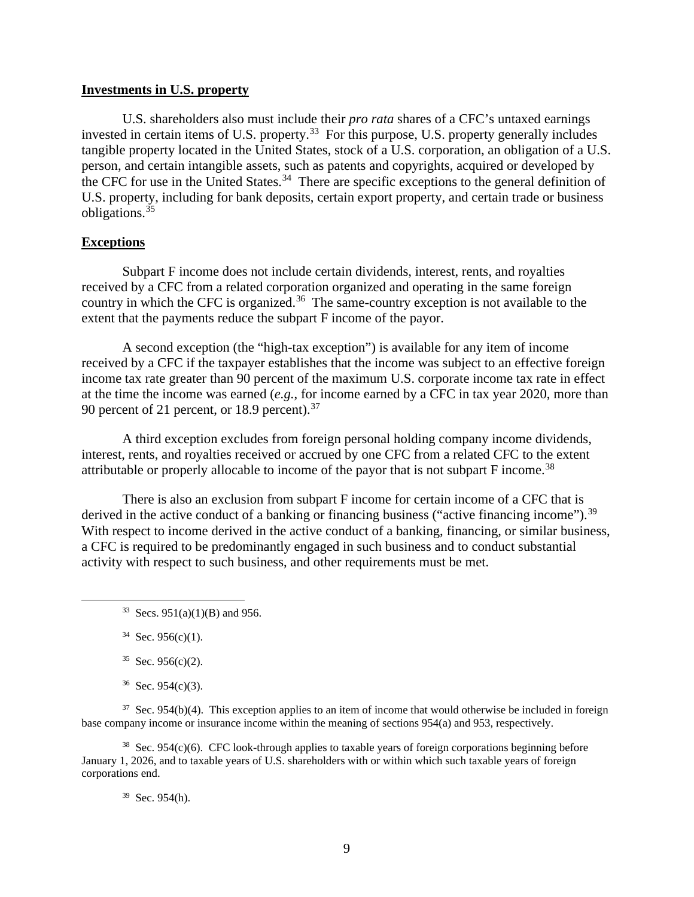#### **Investments in U.S. property**

U.S. shareholders also must include their *pro rata* shares of a CFC's untaxed earnings invested in certain items of U.S. property.<sup>33</sup> For this purpose, U.S. property generally includes tangible property located in the United States, stock of a U.S. corporation, an obligation of a U.S. person, and certain intangible assets, such as patents and copyrights, acquired or developed by the CFC for use in the United States.<sup>34</sup> There are specific exceptions to the general definition of U.S. property, including for bank deposits, certain export property, and certain trade or business obligations.35

### **Exceptions**

Subpart F income does not include certain dividends, interest, rents, and royalties received by a CFC from a related corporation organized and operating in the same foreign country in which the CFC is organized.<sup>36</sup> The same-country exception is not available to the extent that the payments reduce the subpart F income of the payor.

A second exception (the "high-tax exception") is available for any item of income received by a CFC if the taxpayer establishes that the income was subject to an effective foreign income tax rate greater than 90 percent of the maximum U.S. corporate income tax rate in effect at the time the income was earned (*e.g.*, for income earned by a CFC in tax year 2020, more than 90 percent of 21 percent, or 18.9 percent).<sup>37</sup>

A third exception excludes from foreign personal holding company income dividends, interest, rents, and royalties received or accrued by one CFC from a related CFC to the extent attributable or properly allocable to income of the payor that is not subpart  $F$  income.<sup>38</sup>

There is also an exclusion from subpart F income for certain income of a CFC that is derived in the active conduct of a banking or financing business ("active financing income").<sup>39</sup> With respect to income derived in the active conduct of a banking, financing, or similar business, a CFC is required to be predominantly engaged in such business and to conduct substantial activity with respect to such business, and other requirements must be met.

 $36$  Sec. 954(c)(3).

 $37$  Sec. 954(b)(4). This exception applies to an item of income that would otherwise be included in foreign base company income or insurance income within the meaning of sections 954(a) and 953, respectively.

 $38$  Sec. 954(c)(6). CFC look-through applies to taxable years of foreign corporations beginning before January 1, 2026, and to taxable years of U.S. shareholders with or within which such taxable years of foreign corporations end.

# 39 Sec. 954(h).

 $33$  Secs. 951(a)(1)(B) and 956.

 $34$  Sec. 956(c)(1).

 $35$  Sec. 956(c)(2).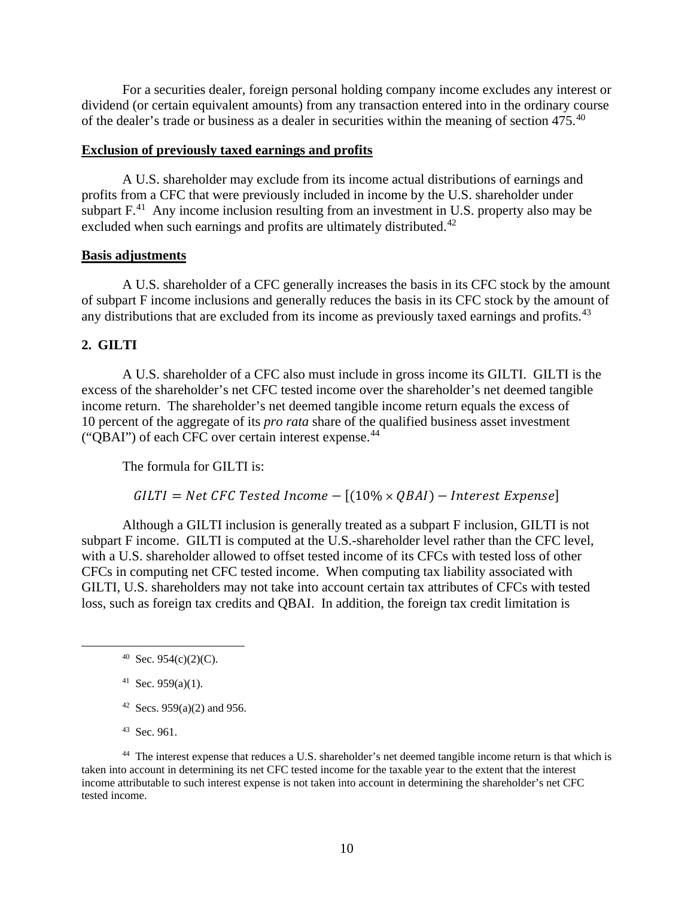For a securities dealer, foreign personal holding company income excludes any interest or dividend (or certain equivalent amounts) from any transaction entered into in the ordinary course of the dealer's trade or business as a dealer in securities within the meaning of section 475.40

#### **Exclusion of previously taxed earnings and profits**

A U.S. shareholder may exclude from its income actual distributions of earnings and profits from a CFC that were previously included in income by the U.S. shareholder under subpart  $F<sup>41</sup>$ . Any income inclusion resulting from an investment in U.S. property also may be excluded when such earnings and profits are ultimately distributed.<sup>42</sup>

### **Basis adjustments**

A U.S. shareholder of a CFC generally increases the basis in its CFC stock by the amount of subpart F income inclusions and generally reduces the basis in its CFC stock by the amount of any distributions that are excluded from its income as previously taxed earnings and profits.<sup>43</sup>

### **2. GILTI**

A U.S. shareholder of a CFC also must include in gross income its GILTI. GILTI is the excess of the shareholder's net CFC tested income over the shareholder's net deemed tangible income return. The shareholder's net deemed tangible income return equals the excess of 10 percent of the aggregate of its *pro rata* share of the qualified business asset investment ("QBAI") of each CFC over certain interest expense.44

The formula for GILTI is:

### $GILTI = Net CFC Tested Income - [(10% \times QBAI) - Interest Expense]$

Although a GILTI inclusion is generally treated as a subpart F inclusion, GILTI is not subpart F income. GILTI is computed at the U.S.-shareholder level rather than the CFC level, with a U.S. shareholder allowed to offset tested income of its CFCs with tested loss of other CFCs in computing net CFC tested income. When computing tax liability associated with GILTI, U.S. shareholders may not take into account certain tax attributes of CFCs with tested loss, such as foreign tax credits and QBAI. In addition, the foreign tax credit limitation is

 $40$  Sec. 954(c)(2)(C).

<sup>41</sup> Sec. 959(a)(1).

- <sup>42</sup> Secs. 959(a)(2) and 956.
- 43 Sec. 961.

44 The interest expense that reduces a U.S. shareholder's net deemed tangible income return is that which is taken into account in determining its net CFC tested income for the taxable year to the extent that the interest income attributable to such interest expense is not taken into account in determining the shareholder's net CFC tested income.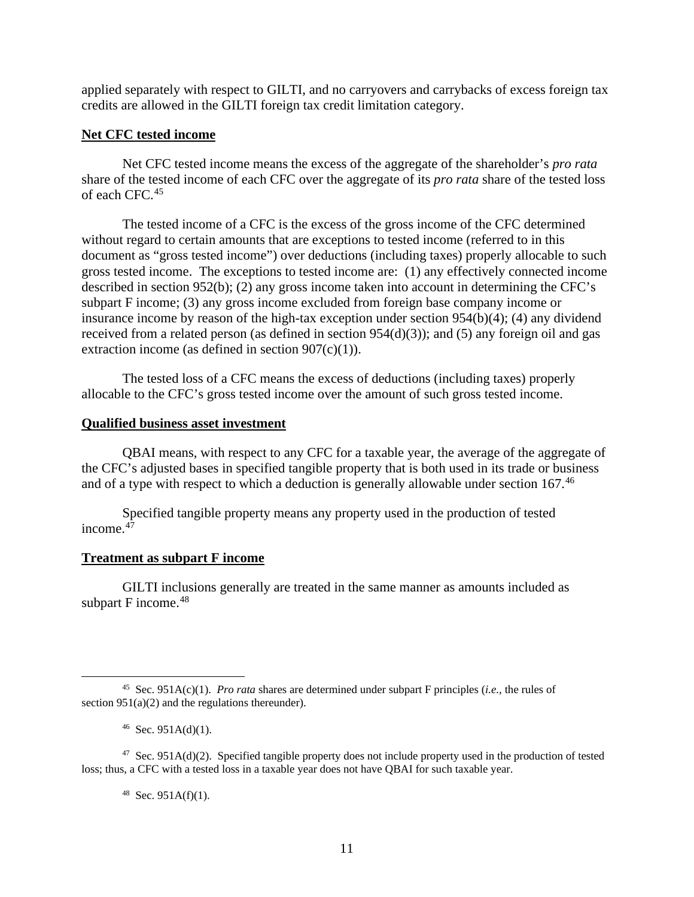applied separately with respect to GILTI, and no carryovers and carrybacks of excess foreign tax credits are allowed in the GILTI foreign tax credit limitation category.

### **Net CFC tested income**

Net CFC tested income means the excess of the aggregate of the shareholder's *pro rata* share of the tested income of each CFC over the aggregate of its *pro rata* share of the tested loss of each CFC.45

The tested income of a CFC is the excess of the gross income of the CFC determined without regard to certain amounts that are exceptions to tested income (referred to in this document as "gross tested income") over deductions (including taxes) properly allocable to such gross tested income. The exceptions to tested income are: (1) any effectively connected income described in section 952(b); (2) any gross income taken into account in determining the CFC's subpart F income; (3) any gross income excluded from foreign base company income or insurance income by reason of the high-tax exception under section 954(b)(4); (4) any dividend received from a related person (as defined in section 954(d)(3)); and (5) any foreign oil and gas extraction income (as defined in section  $907(c)(1)$ ).

The tested loss of a CFC means the excess of deductions (including taxes) properly allocable to the CFC's gross tested income over the amount of such gross tested income.

#### **Qualified business asset investment**

QBAI means, with respect to any CFC for a taxable year, the average of the aggregate of the CFC's adjusted bases in specified tangible property that is both used in its trade or business and of a type with respect to which a deduction is generally allowable under section 167.<sup>46</sup>

Specified tangible property means any property used in the production of tested income. $4\overline{7}$ 

### **Treatment as subpart F income**

GILTI inclusions generally are treated in the same manner as amounts included as subpart F income.<sup>48</sup>

 $48$  Sec. 951A(f)(1).

<sup>45</sup> Sec. 951A(c)(1). *Pro rata* shares are determined under subpart F principles (*i.e.*, the rules of section  $951(a)(2)$  and the regulations thereunder).

 $46$  Sec. 951A(d)(1).

 $47$  Sec. 951A(d)(2). Specified tangible property does not include property used in the production of tested loss; thus, a CFC with a tested loss in a taxable year does not have QBAI for such taxable year.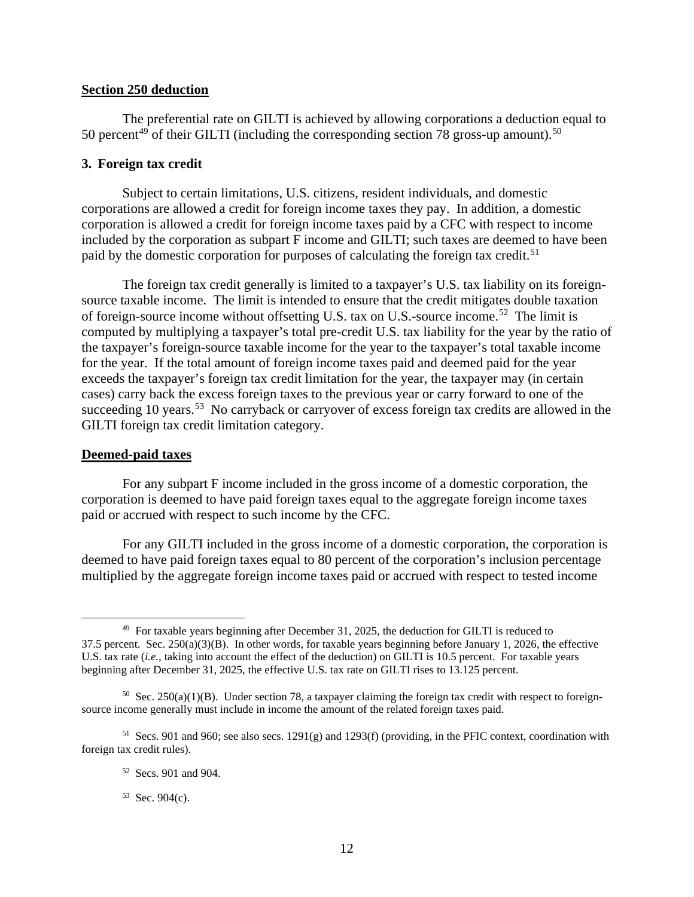### **Section 250 deduction**

The preferential rate on GILTI is achieved by allowing corporations a deduction equal to 50 percent<sup>49</sup> of their GILTI (including the corresponding section 78 gross-up amount).<sup>50</sup>

### **3. Foreign tax credit**

Subject to certain limitations, U.S. citizens, resident individuals, and domestic corporations are allowed a credit for foreign income taxes they pay. In addition, a domestic corporation is allowed a credit for foreign income taxes paid by a CFC with respect to income included by the corporation as subpart F income and GILTI; such taxes are deemed to have been paid by the domestic corporation for purposes of calculating the foreign tax credit.<sup>51</sup>

The foreign tax credit generally is limited to a taxpayer's U.S. tax liability on its foreignsource taxable income. The limit is intended to ensure that the credit mitigates double taxation of foreign-source income without offsetting U.S. tax on U.S.-source income.<sup>52</sup> The limit is computed by multiplying a taxpayer's total pre-credit U.S. tax liability for the year by the ratio of the taxpayer's foreign-source taxable income for the year to the taxpayer's total taxable income for the year. If the total amount of foreign income taxes paid and deemed paid for the year exceeds the taxpayer's foreign tax credit limitation for the year, the taxpayer may (in certain cases) carry back the excess foreign taxes to the previous year or carry forward to one of the succeeding 10 years.<sup>53</sup> No carryback or carryover of excess foreign tax credits are allowed in the GILTI foreign tax credit limitation category.

#### **Deemed-paid taxes**

For any subpart F income included in the gross income of a domestic corporation, the corporation is deemed to have paid foreign taxes equal to the aggregate foreign income taxes paid or accrued with respect to such income by the CFC.

For any GILTI included in the gross income of a domestic corporation, the corporation is deemed to have paid foreign taxes equal to 80 percent of the corporation's inclusion percentage multiplied by the aggregate foreign income taxes paid or accrued with respect to tested income

 $53$  Sec. 904(c).

 $49$  For taxable years beginning after December 31, 2025, the deduction for GILTI is reduced to  $37.5$  percent. Sec.  $250(a)(3)(B)$ . In other words, for taxable years beginning before January 1, 2026, the effective U.S. tax rate *(i.e.*, taking into account the effect of the deduction) on GILTI is 10.5 percent. For taxable years beginning after December 31, 2025, the effective U.S. tax rate on GILTI rises to 13.125 percent.

<sup>&</sup>lt;sup>50</sup> Sec. 250(a)(1)(B). Under section 78, a taxpayer claiming the foreign tax credit with respect to foreignsource income generally must include in income the amount of the related foreign taxes paid.

<sup>51</sup> Secs. 901 and 960; see also secs. 1291(g) and 1293(f) (providing, in the PFIC context, coordination with foreign tax credit rules).

<sup>52</sup> Secs. 901 and 904.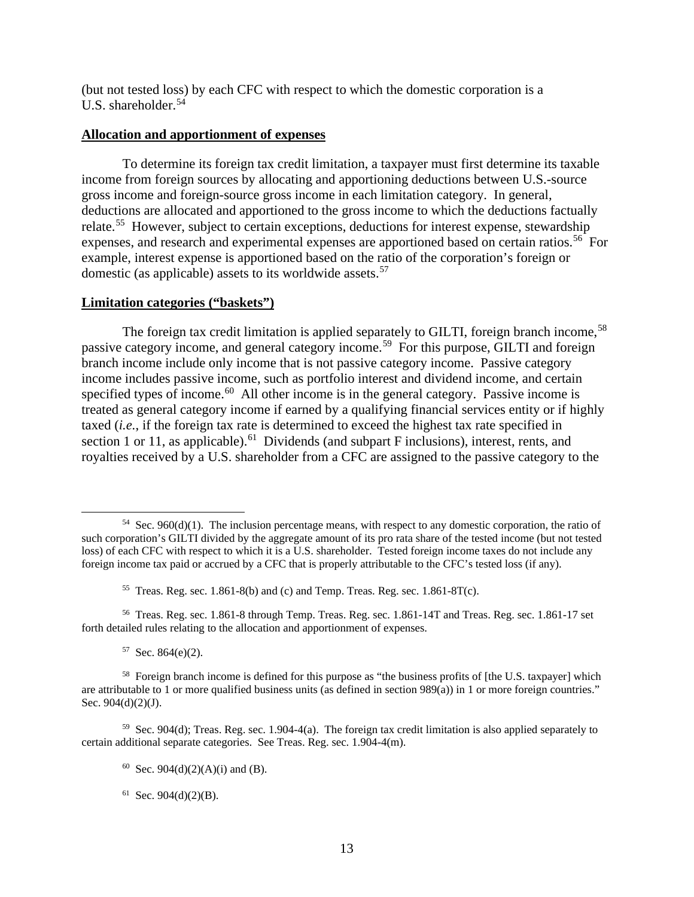(but not tested loss) by each CFC with respect to which the domestic corporation is a U.S. shareholder.54

#### **Allocation and apportionment of expenses**

To determine its foreign tax credit limitation, a taxpayer must first determine its taxable income from foreign sources by allocating and apportioning deductions between U.S.-source gross income and foreign-source gross income in each limitation category. In general, deductions are allocated and apportioned to the gross income to which the deductions factually relate.<sup>55</sup> However, subject to certain exceptions, deductions for interest expense, stewardship expenses, and research and experimental expenses are apportioned based on certain ratios.<sup>56</sup> For example, interest expense is apportioned based on the ratio of the corporation's foreign or domestic (as applicable) assets to its worldwide assets.<sup>57</sup>

### **Limitation categories ("baskets")**

The foreign tax credit limitation is applied separately to GILTI, foreign branch income,<sup>58</sup> passive category income, and general category income.59 For this purpose, GILTI and foreign branch income include only income that is not passive category income. Passive category income includes passive income, such as portfolio interest and dividend income, and certain specified types of income.<sup>60</sup> All other income is in the general category. Passive income is treated as general category income if earned by a qualifying financial services entity or if highly taxed (*i.e.*, if the foreign tax rate is determined to exceed the highest tax rate specified in section 1 or 11, as applicable).<sup>61</sup> Dividends (and subpart F inclusions), interest, rents, and royalties received by a U.S. shareholder from a CFC are assigned to the passive category to the

 $54$  Sec. 960(d)(1). The inclusion percentage means, with respect to any domestic corporation, the ratio of such corporation's GILTI divided by the aggregate amount of its pro rata share of the tested income (but not tested loss) of each CFC with respect to which it is a U.S. shareholder. Tested foreign income taxes do not include any foreign income tax paid or accrued by a CFC that is properly attributable to the CFC's tested loss (if any).

<sup>&</sup>lt;sup>55</sup> Treas. Reg. sec. 1.861-8(b) and (c) and Temp. Treas. Reg. sec. 1.861-8T(c).

<sup>56</sup> Treas. Reg. sec. 1.861-8 through Temp. Treas. Reg. sec. 1.861-14T and Treas. Reg. sec. 1.861-17 set forth detailed rules relating to the allocation and apportionment of expenses.

 $57$  Sec. 864(e)(2).

<sup>58</sup> Foreign branch income is defined for this purpose as "the business profits of [the U.S. taxpayer] which are attributable to 1 or more qualified business units (as defined in section  $989(a)$ ) in 1 or more foreign countries." Sec.  $904(d)(2)(J)$ .

<sup>59</sup> Sec. 904(d); Treas. Reg. sec. 1.904-4(a). The foreign tax credit limitation is also applied separately to certain additional separate categories. See Treas. Reg. sec. 1.904-4(m).

<sup>&</sup>lt;sup>60</sup> Sec. 904(d)(2)(A)(i) and (B).

 $61$  Sec. 904(d)(2)(B).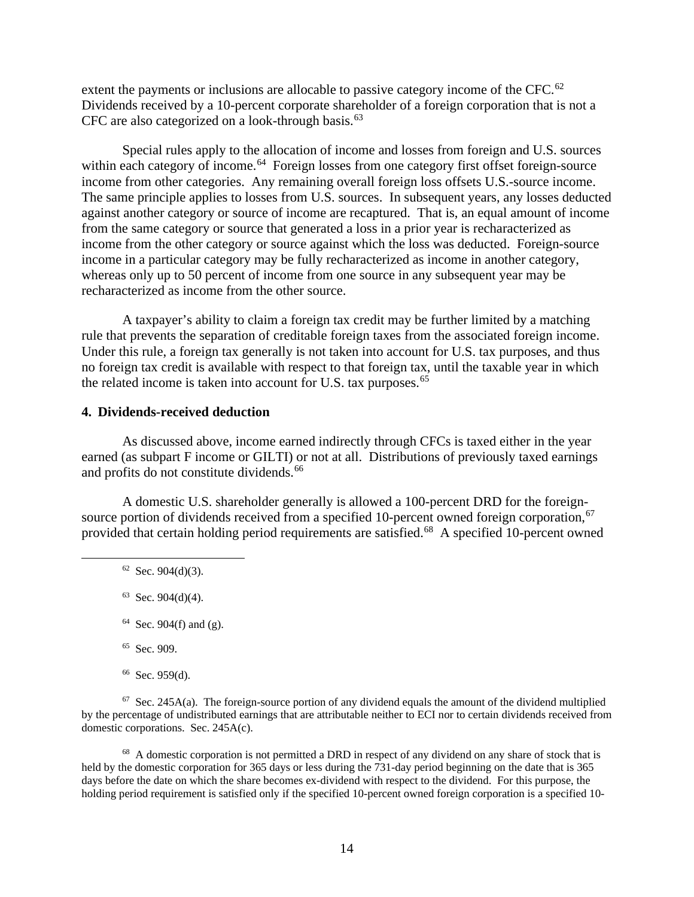extent the payments or inclusions are allocable to passive category income of the CFC. $^{62}$ Dividends received by a 10-percent corporate shareholder of a foreign corporation that is not a CFC are also categorized on a look-through basis. $63$ 

Special rules apply to the allocation of income and losses from foreign and U.S. sources within each category of income.<sup>64</sup> Foreign losses from one category first offset foreign-source income from other categories. Any remaining overall foreign loss offsets U.S.-source income. The same principle applies to losses from U.S. sources. In subsequent years, any losses deducted against another category or source of income are recaptured. That is, an equal amount of income from the same category or source that generated a loss in a prior year is recharacterized as income from the other category or source against which the loss was deducted. Foreign-source income in a particular category may be fully recharacterized as income in another category, whereas only up to 50 percent of income from one source in any subsequent year may be recharacterized as income from the other source.

A taxpayer's ability to claim a foreign tax credit may be further limited by a matching rule that prevents the separation of creditable foreign taxes from the associated foreign income. Under this rule, a foreign tax generally is not taken into account for U.S. tax purposes, and thus no foreign tax credit is available with respect to that foreign tax, until the taxable year in which the related income is taken into account for U.S. tax purposes.<sup>65</sup>

### **4. Dividends-received deduction**

As discussed above, income earned indirectly through CFCs is taxed either in the year earned (as subpart F income or GILTI) or not at all. Distributions of previously taxed earnings and profits do not constitute dividends.<sup>66</sup>

A domestic U.S. shareholder generally is allowed a 100-percent DRD for the foreignsource portion of dividends received from a specified 10-percent owned foreign corporation,  $67$ provided that certain holding period requirements are satisfied.<sup>68</sup> A specified 10-percent owned

- 65 Sec. 909.
- $66$  Sec. 959(d).

 $67$  Sec. 245A(a). The foreign-source portion of any dividend equals the amount of the dividend multiplied by the percentage of undistributed earnings that are attributable neither to ECI nor to certain dividends received from domestic corporations. Sec. 245A(c).

<sup>68</sup> A domestic corporation is not permitted a DRD in respect of any dividend on any share of stock that is held by the domestic corporation for 365 days or less during the 731-day period beginning on the date that is 365 days before the date on which the share becomes ex-dividend with respect to the dividend. For this purpose, the holding period requirement is satisfied only if the specified 10-percent owned foreign corporation is a specified 10-

 $62$  Sec. 904(d)(3).

 $63$  Sec. 904(d)(4).

 $64$  Sec. 904(f) and (g).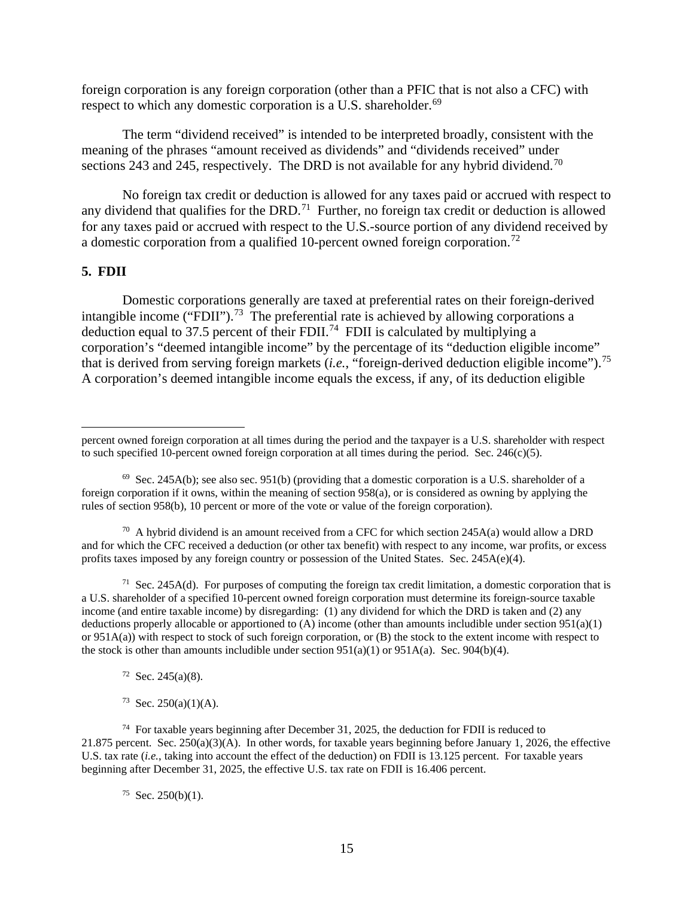foreign corporation is any foreign corporation (other than a PFIC that is not also a CFC) with respect to which any domestic corporation is a U.S. shareholder.<sup>69</sup>

The term "dividend received" is intended to be interpreted broadly, consistent with the meaning of the phrases "amount received as dividends" and "dividends received" under sections 243 and 245, respectively. The DRD is not available for any hybrid dividend.<sup>70</sup>

No foreign tax credit or deduction is allowed for any taxes paid or accrued with respect to any dividend that qualifies for the DRD.<sup>71</sup> Further, no foreign tax credit or deduction is allowed for any taxes paid or accrued with respect to the U.S.-source portion of any dividend received by a domestic corporation from a qualified 10-percent owned foreign corporation.<sup>72</sup>

#### **5. FDII**

Domestic corporations generally are taxed at preferential rates on their foreign-derived intangible income ("FDII").<sup>73</sup> The preferential rate is achieved by allowing corporations a deduction equal to 37.5 percent of their FDII.<sup>74</sup> FDII is calculated by multiplying a corporation's "deemed intangible income" by the percentage of its "deduction eligible income" that is derived from serving foreign markets (*i.e.*, "foreign-derived deduction eligible income").75 A corporation's deemed intangible income equals the excess, if any, of its deduction eligible

 $70$  A hybrid dividend is an amount received from a CFC for which section 245A(a) would allow a DRD and for which the CFC received a deduction (or other tax benefit) with respect to any income, war profits, or excess profits taxes imposed by any foreign country or possession of the United States. Sec. 245A(e)(4).

<sup>71</sup> Sec. 245A(d). For purposes of computing the foreign tax credit limitation, a domestic corporation that is a U.S. shareholder of a specified 10-percent owned foreign corporation must determine its foreign-source taxable income (and entire taxable income) by disregarding: (1) any dividend for which the DRD is taken and (2) any deductions properly allocable or apportioned to (A) income (other than amounts includible under section  $951(a)(1)$ or  $951A(a)$ ) with respect to stock of such foreign corporation, or (B) the stock to the extent income with respect to the stock is other than amounts includible under section  $951(a)(1)$  or  $951A(a)$ . Sec.  $904(b)(4)$ .

 $72$  Sec. 245(a)(8).

 $73$  Sec. 250(a)(1)(A).

 $74$  For taxable years beginning after December 31, 2025, the deduction for FDII is reduced to 21.875 percent. Sec.  $250(a)(3)(A)$ . In other words, for taxable years beginning before January 1, 2026, the effective U.S. tax rate *(i.e., taking into account the effect of the deduction) on FDII is 13.125 percent. For taxable years* beginning after December 31, 2025, the effective U.S. tax rate on FDII is 16.406 percent.

 $75$  Sec. 250(b)(1).

percent owned foreign corporation at all times during the period and the taxpayer is a U.S. shareholder with respect to such specified 10-percent owned foreign corporation at all times during the period. Sec.  $246(c)(5)$ .

 $69$  Sec. 245A(b); see also sec. 951(b) (providing that a domestic corporation is a U.S. shareholder of a foreign corporation if it owns, within the meaning of section 958(a), or is considered as owning by applying the rules of section 958(b), 10 percent or more of the vote or value of the foreign corporation).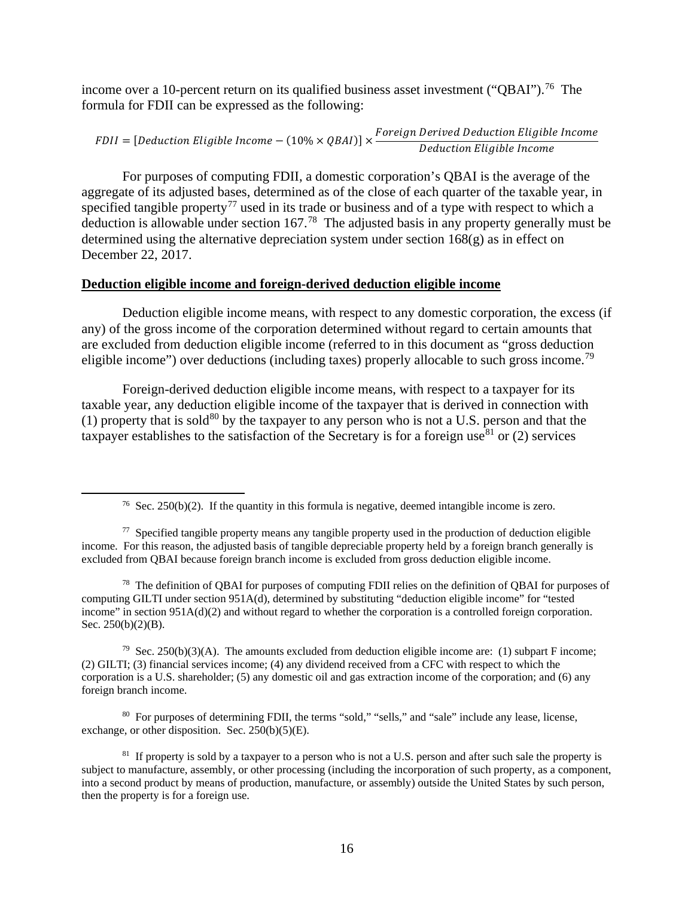income over a 10-percent return on its qualified business asset investment ("QBAI").<sup>76</sup> The formula for FDII can be expressed as the following:

 $DII = [Deduction \, Eligible \, Income - (10\% \times QBAI)] \times \frac{Foreign \, Derved \, Deduction \, Eligible \, Income}{Deduction \, Eliigible \, Income}$ uction Eligible Incom

For purposes of computing FDII, a domestic corporation's QBAI is the average of the aggregate of its adjusted bases, determined as of the close of each quarter of the taxable year, in specified tangible property<sup>77</sup> used in its trade or business and of a type with respect to which a deduction is allowable under section 167.78 The adjusted basis in any property generally must be determined using the alternative depreciation system under section  $168(g)$  as in effect on December 22, 2017.

### **Deduction eligible income and foreign-derived deduction eligible income**

Deduction eligible income means, with respect to any domestic corporation, the excess (if any) of the gross income of the corporation determined without regard to certain amounts that are excluded from deduction eligible income (referred to in this document as "gross deduction eligible income") over deductions (including taxes) properly allocable to such gross income.<sup>79</sup>

Foreign-derived deduction eligible income means, with respect to a taxpayer for its taxable year, any deduction eligible income of the taxpayer that is derived in connection with (1) property that is sold<sup>80</sup> by the taxpayer to any person who is not a U.S. person and that the taxpayer establishes to the satisfaction of the Secretary is for a foreign use<sup>81</sup> or (2) services

<sup>78</sup> The definition of QBAI for purposes of computing FDII relies on the definition of QBAI for purposes of computing GILTI under section 951A(d), determined by substituting "deduction eligible income" for "tested income" in section 951A(d)(2) and without regard to whether the corporation is a controlled foreign corporation. Sec.  $250(b)(2)(B)$ .

<sup>79</sup> Sec. 250(b)(3)(A). The amounts excluded from deduction eligible income are: (1) subpart F income; (2) GILTI; (3) financial services income; (4) any dividend received from a CFC with respect to which the corporation is a U.S. shareholder; (5) any domestic oil and gas extraction income of the corporation; and (6) any foreign branch income.

80 For purposes of determining FDII, the terms "sold," "sells," and "sale" include any lease, license, exchange, or other disposition. Sec.  $250(b)(5)(E)$ .

<sup>&</sup>lt;sup>76</sup> Sec. 250(b)(2). If the quantity in this formula is negative, deemed intangible income is zero.

 $77$  Specified tangible property means any tangible property used in the production of deduction eligible income. For this reason, the adjusted basis of tangible depreciable property held by a foreign branch generally is excluded from QBAI because foreign branch income is excluded from gross deduction eligible income.

<sup>&</sup>lt;sup>81</sup> If property is sold by a taxpayer to a person who is not a U.S. person and after such sale the property is subject to manufacture, assembly, or other processing (including the incorporation of such property, as a component, into a second product by means of production, manufacture, or assembly) outside the United States by such person, then the property is for a foreign use.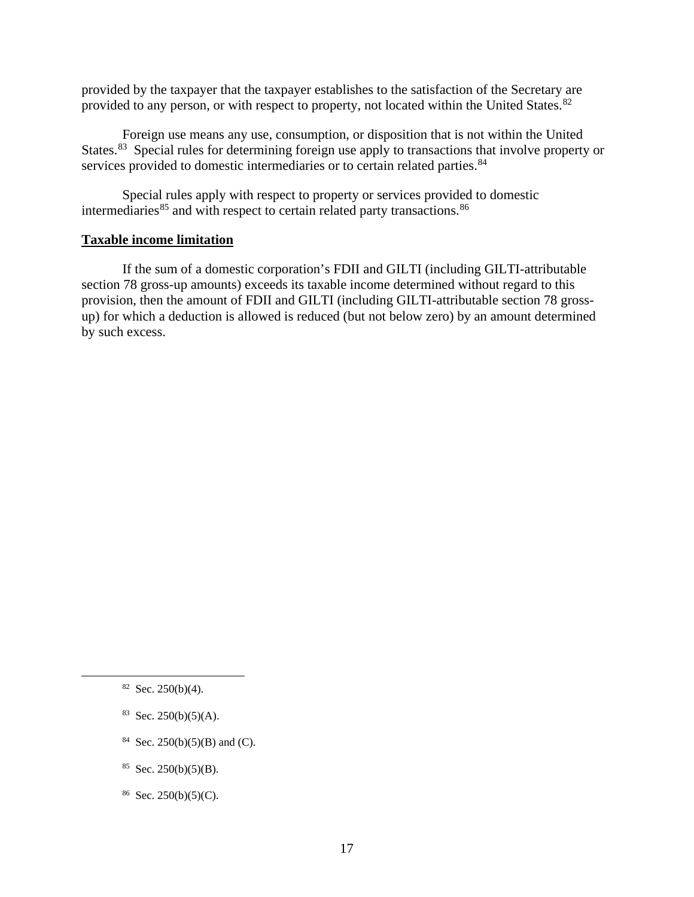provided by the taxpayer that the taxpayer establishes to the satisfaction of the Secretary are provided to any person, or with respect to property, not located within the United States.<sup>82</sup>

Foreign use means any use, consumption, or disposition that is not within the United States.<sup>83</sup> Special rules for determining foreign use apply to transactions that involve property or services provided to domestic intermediaries or to certain related parties.<sup>84</sup>

Special rules apply with respect to property or services provided to domestic intermediaries $^{85}$  and with respect to certain related party transactions.  $^{86}$ 

### **Taxable income limitation**

If the sum of a domestic corporation's FDII and GILTI (including GILTI-attributable section 78 gross-up amounts) exceeds its taxable income determined without regard to this provision, then the amount of FDII and GILTI (including GILTI-attributable section 78 grossup) for which a deduction is allowed is reduced (but not below zero) by an amount determined by such excess.

- 84 Sec. 250(b)(5)(B) and (C).
- $85$  Sec. 250(b)(5)(B).
- $86$  Sec. 250(b)(5)(C).

 $82$  Sec. 250(b)(4).

 $83$  Sec. 250(b)(5)(A).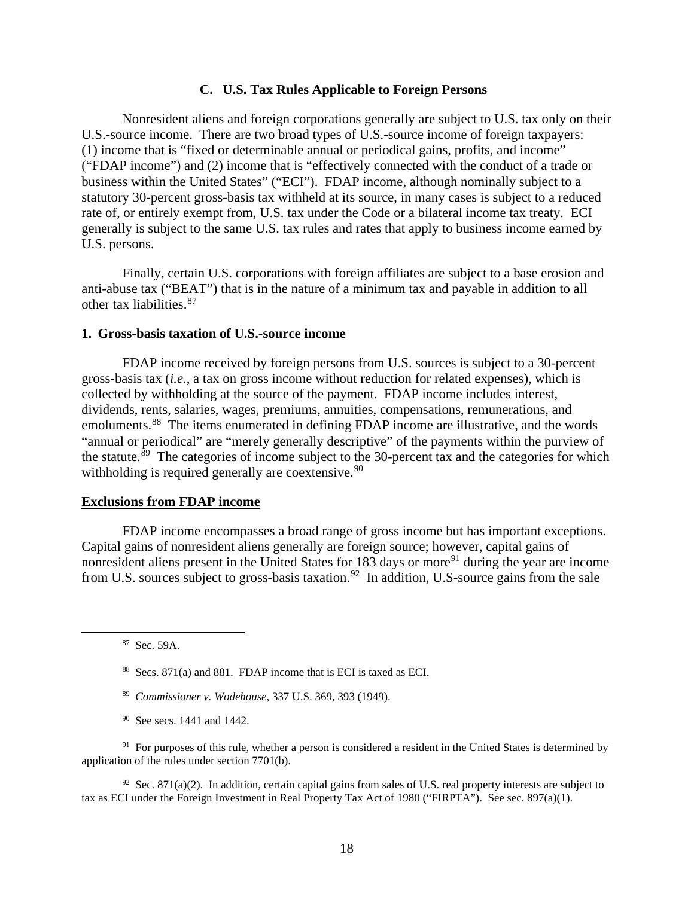### **C. U.S. Tax Rules Applicable to Foreign Persons**

Nonresident aliens and foreign corporations generally are subject to U.S. tax only on their U.S.-source income. There are two broad types of U.S.-source income of foreign taxpayers: (1) income that is "fixed or determinable annual or periodical gains, profits, and income" ("FDAP income") and (2) income that is "effectively connected with the conduct of a trade or business within the United States" ("ECI"). FDAP income, although nominally subject to a statutory 30-percent gross-basis tax withheld at its source, in many cases is subject to a reduced rate of, or entirely exempt from, U.S. tax under the Code or a bilateral income tax treaty. ECI generally is subject to the same U.S. tax rules and rates that apply to business income earned by U.S. persons.

Finally, certain U.S. corporations with foreign affiliates are subject to a base erosion and anti-abuse tax ("BEAT") that is in the nature of a minimum tax and payable in addition to all other tax liabilities.<sup>87</sup>

#### **1. Gross-basis taxation of U.S.-source income**

FDAP income received by foreign persons from U.S. sources is subject to a 30-percent gross-basis tax (*i.e.*, a tax on gross income without reduction for related expenses), which is collected by withholding at the source of the payment. FDAP income includes interest, dividends, rents, salaries, wages, premiums, annuities, compensations, remunerations, and emoluments.<sup>88</sup> The items enumerated in defining FDAP income are illustrative, and the words "annual or periodical" are "merely generally descriptive" of the payments within the purview of the statute.<sup>89</sup> The categories of income subject to the 30-percent tax and the categories for which withholding is required generally are coextensive.<sup>90</sup>

#### **Exclusions from FDAP income**

FDAP income encompasses a broad range of gross income but has important exceptions. Capital gains of nonresident aliens generally are foreign source; however, capital gains of nonresident aliens present in the United States for 183 days or more<sup>91</sup> during the year are income from U.S. sources subject to gross-basis taxation.<sup>92</sup> In addition, U.S-source gains from the sale

87 Sec. 59A.

- 89 *Commissioner v. Wodehouse*, 337 U.S. 369, 393 (1949).
- 90 See secs. 1441 and 1442.

<sup>91</sup> For purposes of this rule, whether a person is considered a resident in the United States is determined by application of the rules under section 7701(b).

<sup>92</sup> Sec. 871(a)(2). In addition, certain capital gains from sales of U.S. real property interests are subject to tax as ECI under the Foreign Investment in Real Property Tax Act of 1980 ("FIRPTA"). See sec. 897(a)(1).

<sup>88</sup> Secs. 871(a) and 881. FDAP income that is ECI is taxed as ECI.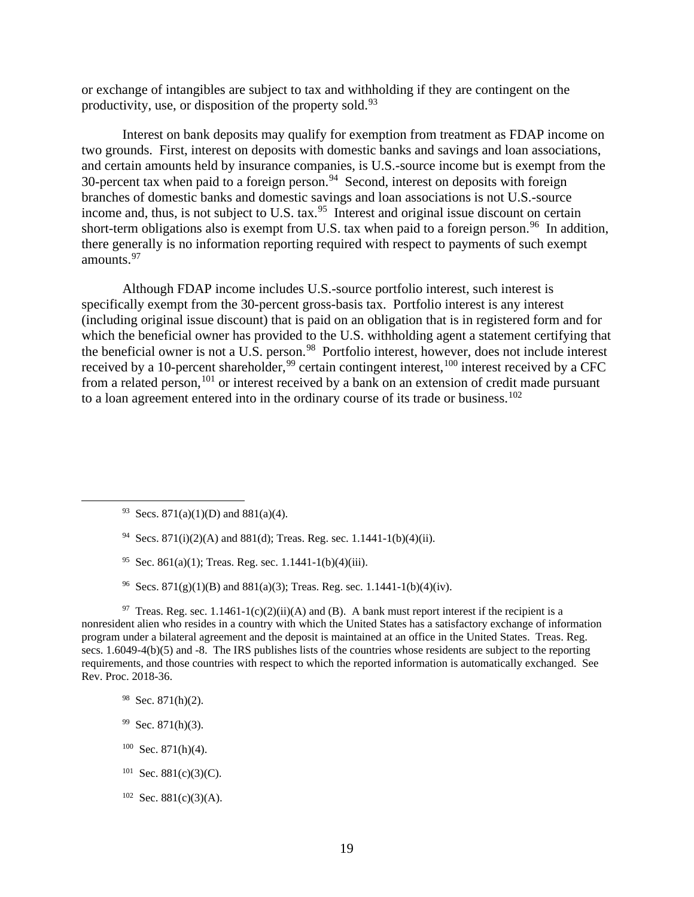or exchange of intangibles are subject to tax and withholding if they are contingent on the productivity, use, or disposition of the property sold.<sup>93</sup>

Interest on bank deposits may qualify for exemption from treatment as FDAP income on two grounds. First, interest on deposits with domestic banks and savings and loan associations, and certain amounts held by insurance companies, is U.S.-source income but is exempt from the 30-percent tax when paid to a foreign person.94 Second, interest on deposits with foreign branches of domestic banks and domestic savings and loan associations is not U.S.-source income and, thus, is not subject to U.S. tax.<sup>95</sup> Interest and original issue discount on certain short-term obligations also is exempt from U.S. tax when paid to a foreign person.<sup>96</sup> In addition, there generally is no information reporting required with respect to payments of such exempt amounts.<sup>97</sup>

Although FDAP income includes U.S.-source portfolio interest, such interest is specifically exempt from the 30-percent gross-basis tax. Portfolio interest is any interest (including original issue discount) that is paid on an obligation that is in registered form and for which the beneficial owner has provided to the U.S. withholding agent a statement certifying that the beneficial owner is not a U.S. person.<sup>98</sup> Portfolio interest, however, does not include interest received by a 10-percent shareholder,<sup>99</sup> certain contingent interest,<sup>100</sup> interest received by a CFC from a related person,<sup>101</sup> or interest received by a bank on an extension of credit made pursuant to a loan agreement entered into in the ordinary course of its trade or business.<sup>102</sup>

- <sup>94</sup> Secs. 871(i)(2)(A) and 881(d); Treas. Reg. sec. 1.1441-1(b)(4)(ii).
- <sup>95</sup> Sec. 861(a)(1); Treas. Reg. sec. 1.1441-1(b)(4)(iii).
- <sup>96</sup> Secs. 871(g)(1)(B) and 881(a)(3); Treas. Reg. sec. 1.1441-1(b)(4)(iv).

<sup>97</sup> Treas. Reg. sec. 1.1461-1(c)(2)(ii)(A) and (B). A bank must report interest if the recipient is a nonresident alien who resides in a country with which the United States has a satisfactory exchange of information program under a bilateral agreement and the deposit is maintained at an office in the United States. Treas. Reg. secs. 1.6049-4(b)(5) and -8. The IRS publishes lists of the countries whose residents are subject to the reporting requirements, and those countries with respect to which the reported information is automatically exchanged. See Rev. Proc. 2018-36.

- 98 Sec. 871(h)(2).
- $99$  Sec. 871(h)(3).
- $100$  Sec. 871(h)(4).
- $101$  Sec. 881(c)(3)(C).
- $102$  Sec. 881(c)(3)(A).

<sup>&</sup>lt;sup>93</sup> Secs. 871(a)(1)(D) and 881(a)(4).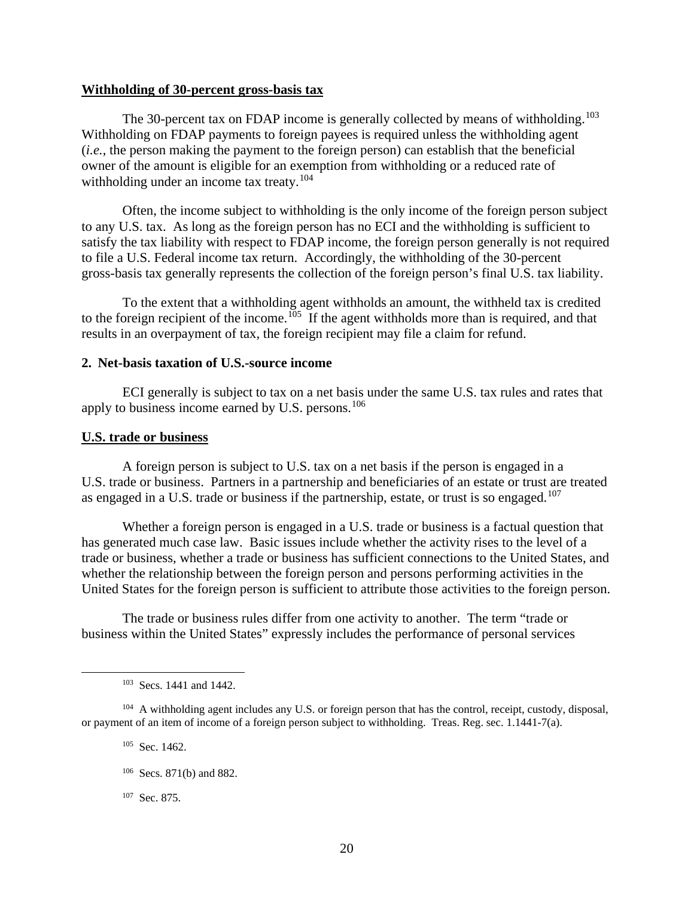#### **Withholding of 30-percent gross-basis tax**

The 30-percent tax on FDAP income is generally collected by means of withholding.<sup>103</sup> Withholding on FDAP payments to foreign payees is required unless the withholding agent (*i.e.*, the person making the payment to the foreign person) can establish that the beneficial owner of the amount is eligible for an exemption from withholding or a reduced rate of withholding under an income tax treaty.<sup>104</sup>

Often, the income subject to withholding is the only income of the foreign person subject to any U.S. tax. As long as the foreign person has no ECI and the withholding is sufficient to satisfy the tax liability with respect to FDAP income, the foreign person generally is not required to file a U.S. Federal income tax return. Accordingly, the withholding of the 30-percent gross-basis tax generally represents the collection of the foreign person's final U.S. tax liability.

To the extent that a withholding agent withholds an amount, the withheld tax is credited to the foreign recipient of the income.<sup>105</sup> If the agent withholds more than is required, and that results in an overpayment of tax, the foreign recipient may file a claim for refund.

# **2. Net-basis taxation of U.S.-source income**

ECI generally is subject to tax on a net basis under the same U.S. tax rules and rates that apply to business income earned by U.S. persons.<sup>106</sup>

#### **U.S. trade or business**

A foreign person is subject to U.S. tax on a net basis if the person is engaged in a U.S. trade or business. Partners in a partnership and beneficiaries of an estate or trust are treated as engaged in a U.S. trade or business if the partnership, estate, or trust is so engaged.<sup>107</sup>

Whether a foreign person is engaged in a U.S. trade or business is a factual question that has generated much case law. Basic issues include whether the activity rises to the level of a trade or business, whether a trade or business has sufficient connections to the United States, and whether the relationship between the foreign person and persons performing activities in the United States for the foreign person is sufficient to attribute those activities to the foreign person.

The trade or business rules differ from one activity to another. The term "trade or business within the United States" expressly includes the performance of personal services

- <sup>105</sup> Sec. 1462.
- 106 Secs. 871(b) and 882.
- 107 Sec. 875.

<sup>103</sup> Secs. 1441 and 1442.

<sup>&</sup>lt;sup>104</sup> A withholding agent includes any U.S. or foreign person that has the control, receipt, custody, disposal, or payment of an item of income of a foreign person subject to withholding. Treas. Reg. sec. 1.1441-7(a).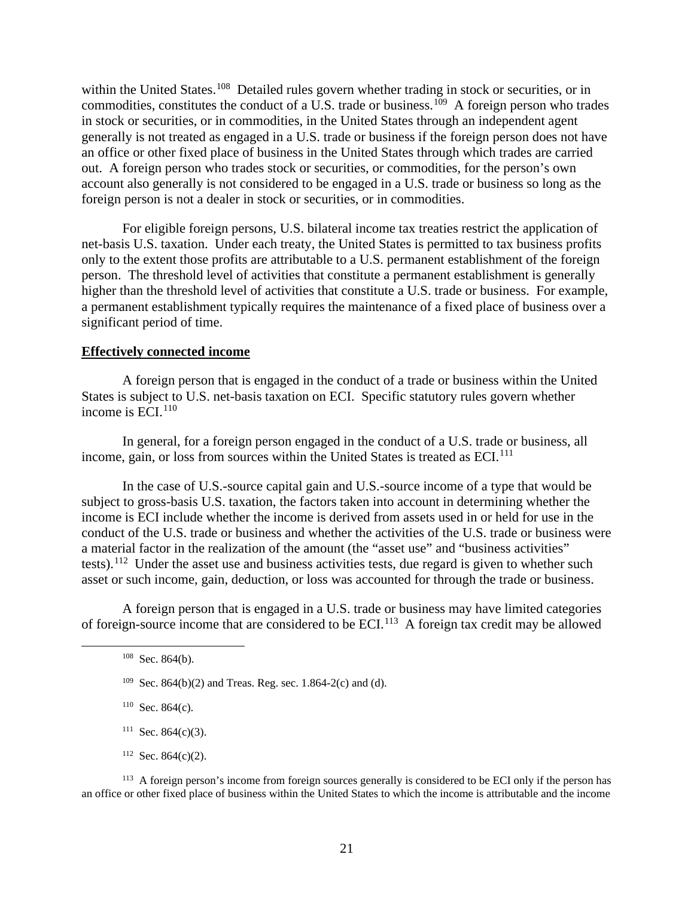within the United States.<sup>108</sup> Detailed rules govern whether trading in stock or securities, or in commodities, constitutes the conduct of a U.S. trade or business.<sup>109</sup> A foreign person who trades in stock or securities, or in commodities, in the United States through an independent agent generally is not treated as engaged in a U.S. trade or business if the foreign person does not have an office or other fixed place of business in the United States through which trades are carried out. A foreign person who trades stock or securities, or commodities, for the person's own account also generally is not considered to be engaged in a U.S. trade or business so long as the foreign person is not a dealer in stock or securities, or in commodities.

For eligible foreign persons, U.S. bilateral income tax treaties restrict the application of net-basis U.S. taxation. Under each treaty, the United States is permitted to tax business profits only to the extent those profits are attributable to a U.S. permanent establishment of the foreign person. The threshold level of activities that constitute a permanent establishment is generally higher than the threshold level of activities that constitute a U.S. trade or business. For example, a permanent establishment typically requires the maintenance of a fixed place of business over a significant period of time.

### **Effectively connected income**

A foreign person that is engaged in the conduct of a trade or business within the United States is subject to U.S. net-basis taxation on ECI. Specific statutory rules govern whether income is  $ECI<sup>110</sup>$ 

In general, for a foreign person engaged in the conduct of a U.S. trade or business, all income, gain, or loss from sources within the United States is treated as ECI.<sup>111</sup>

In the case of U.S.-source capital gain and U.S.-source income of a type that would be subject to gross-basis U.S. taxation, the factors taken into account in determining whether the income is ECI include whether the income is derived from assets used in or held for use in the conduct of the U.S. trade or business and whether the activities of the U.S. trade or business were a material factor in the realization of the amount (the "asset use" and "business activities" tests).<sup>112</sup> Under the asset use and business activities tests, due regard is given to whether such asset or such income, gain, deduction, or loss was accounted for through the trade or business.

A foreign person that is engaged in a U.S. trade or business may have limited categories of foreign-source income that are considered to be ECI.113 A foreign tax credit may be allowed

 $110$  Sec. 864(c).

- $111$  Sec. 864(c)(3).
- $112$  Sec. 864(c)(2).

<sup>113</sup> A foreign person's income from foreign sources generally is considered to be ECI only if the person has an office or other fixed place of business within the United States to which the income is attributable and the income

 $108$  Sec. 864(b).

<sup>&</sup>lt;sup>109</sup> Sec. 864(b)(2) and Treas. Reg. sec. 1.864-2(c) and (d).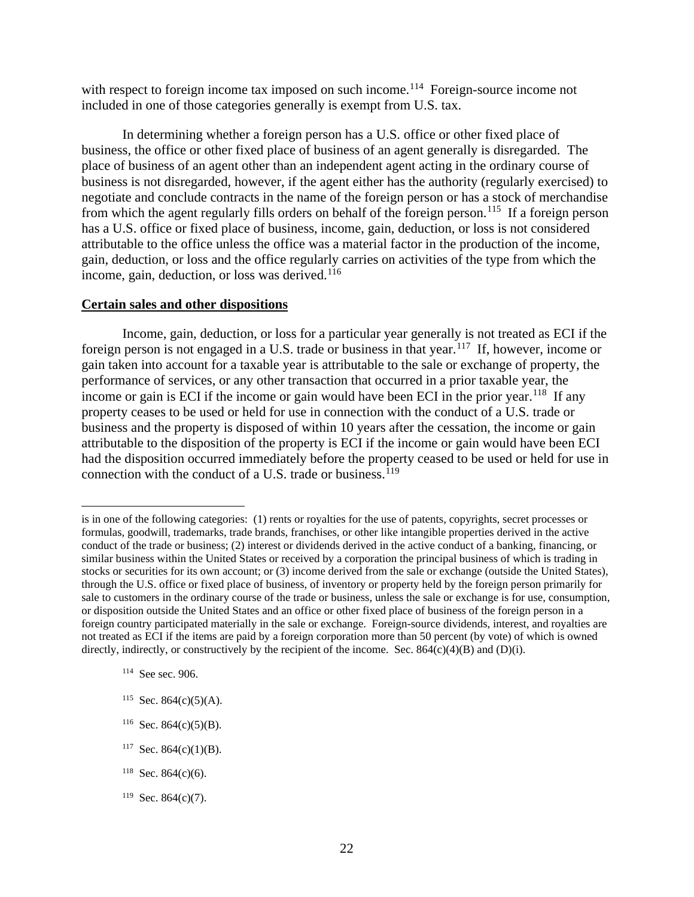with respect to foreign income tax imposed on such income.<sup>114</sup> Foreign-source income not included in one of those categories generally is exempt from U.S. tax.

In determining whether a foreign person has a U.S. office or other fixed place of business, the office or other fixed place of business of an agent generally is disregarded. The place of business of an agent other than an independent agent acting in the ordinary course of business is not disregarded, however, if the agent either has the authority (regularly exercised) to negotiate and conclude contracts in the name of the foreign person or has a stock of merchandise from which the agent regularly fills orders on behalf of the foreign person.<sup>115</sup> If a foreign person has a U.S. office or fixed place of business, income, gain, deduction, or loss is not considered attributable to the office unless the office was a material factor in the production of the income, gain, deduction, or loss and the office regularly carries on activities of the type from which the income, gain, deduction, or loss was derived.<sup>116</sup>

### **Certain sales and other dispositions**

Income, gain, deduction, or loss for a particular year generally is not treated as ECI if the foreign person is not engaged in a U.S. trade or business in that year.117 If, however, income or gain taken into account for a taxable year is attributable to the sale or exchange of property, the performance of services, or any other transaction that occurred in a prior taxable year, the income or gain is ECI if the income or gain would have been ECI in the prior year.<sup>118</sup> If any property ceases to be used or held for use in connection with the conduct of a U.S. trade or business and the property is disposed of within 10 years after the cessation, the income or gain attributable to the disposition of the property is ECI if the income or gain would have been ECI had the disposition occurred immediately before the property ceased to be used or held for use in connection with the conduct of a U.S. trade or business.<sup>119</sup>

- $117$  Sec. 864(c)(1)(B).
- <sup>118</sup> Sec. 864(c)(6).
- $119$  Sec. 864(c)(7).

is in one of the following categories: (1) rents or royalties for the use of patents, copyrights, secret processes or formulas, goodwill, trademarks, trade brands, franchises, or other like intangible properties derived in the active conduct of the trade or business; (2) interest or dividends derived in the active conduct of a banking, financing, or similar business within the United States or received by a corporation the principal business of which is trading in stocks or securities for its own account; or (3) income derived from the sale or exchange (outside the United States), through the U.S. office or fixed place of business, of inventory or property held by the foreign person primarily for sale to customers in the ordinary course of the trade or business, unless the sale or exchange is for use, consumption, or disposition outside the United States and an office or other fixed place of business of the foreign person in a foreign country participated materially in the sale or exchange. Foreign-source dividends, interest, and royalties are not treated as ECI if the items are paid by a foreign corporation more than 50 percent (by vote) of which is owned directly, indirectly, or constructively by the recipient of the income. Sec.  $864(c)(4)(B)$  and  $(D)(i)$ .

<sup>114</sup> See sec. 906.

<sup>&</sup>lt;sup>115</sup> Sec. 864(c)(5)(A).

 $116$  Sec. 864(c)(5)(B).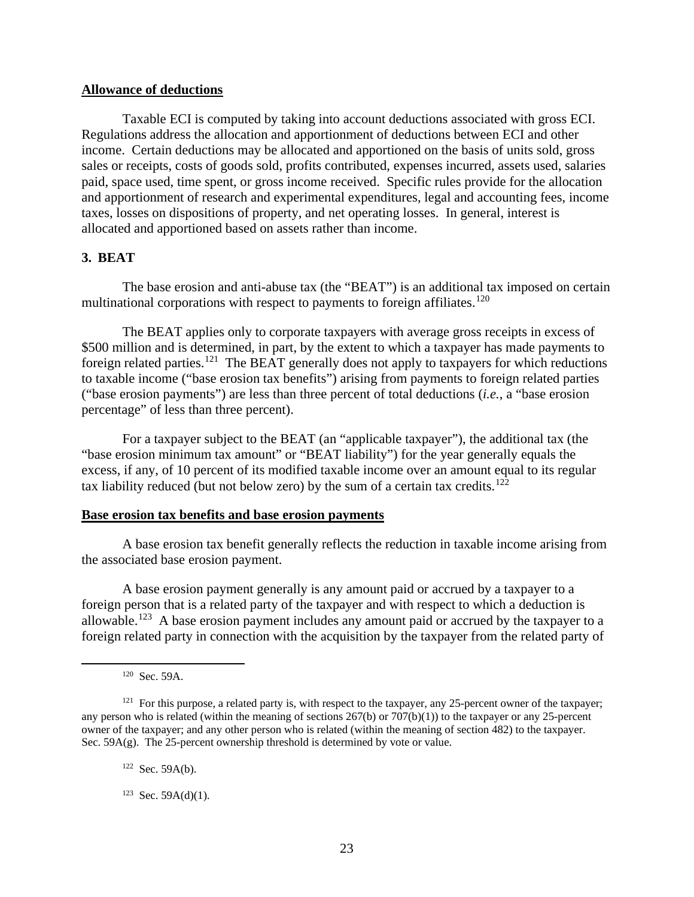### **Allowance of deductions**

Taxable ECI is computed by taking into account deductions associated with gross ECI. Regulations address the allocation and apportionment of deductions between ECI and other income. Certain deductions may be allocated and apportioned on the basis of units sold, gross sales or receipts, costs of goods sold, profits contributed, expenses incurred, assets used, salaries paid, space used, time spent, or gross income received. Specific rules provide for the allocation and apportionment of research and experimental expenditures, legal and accounting fees, income taxes, losses on dispositions of property, and net operating losses. In general, interest is allocated and apportioned based on assets rather than income.

### **3. BEAT**

The base erosion and anti-abuse tax (the "BEAT") is an additional tax imposed on certain multinational corporations with respect to payments to foreign affiliates.<sup>120</sup>

The BEAT applies only to corporate taxpayers with average gross receipts in excess of \$500 million and is determined, in part, by the extent to which a taxpayer has made payments to foreign related parties.<sup>121</sup> The BEAT generally does not apply to taxpayers for which reductions to taxable income ("base erosion tax benefits") arising from payments to foreign related parties ("base erosion payments") are less than three percent of total deductions (*i.e.*, a "base erosion percentage" of less than three percent).

For a taxpayer subject to the BEAT (an "applicable taxpayer"), the additional tax (the "base erosion minimum tax amount" or "BEAT liability") for the year generally equals the excess, if any, of 10 percent of its modified taxable income over an amount equal to its regular tax liability reduced (but not below zero) by the sum of a certain tax credits.<sup>122</sup>

### **Base erosion tax benefits and base erosion payments**

A base erosion tax benefit generally reflects the reduction in taxable income arising from the associated base erosion payment.

A base erosion payment generally is any amount paid or accrued by a taxpayer to a foreign person that is a related party of the taxpayer and with respect to which a deduction is allowable.<sup>123</sup> A base erosion payment includes any amount paid or accrued by the taxpayer to a foreign related party in connection with the acquisition by the taxpayer from the related party of

 $122$  Sec. 59A(b).

<sup>120</sup> Sec. 59A.

 $121$  For this purpose, a related party is, with respect to the taxpayer, any 25-percent owner of the taxpayer; any person who is related (within the meaning of sections  $267(b)$  or  $707(b)(1)$ ) to the taxpayer or any 25-percent owner of the taxpayer; and any other person who is related (within the meaning of section 482) to the taxpayer. Sec.  $59A(g)$ . The 25-percent ownership threshold is determined by vote or value.

 $123$  Sec. 59A(d)(1).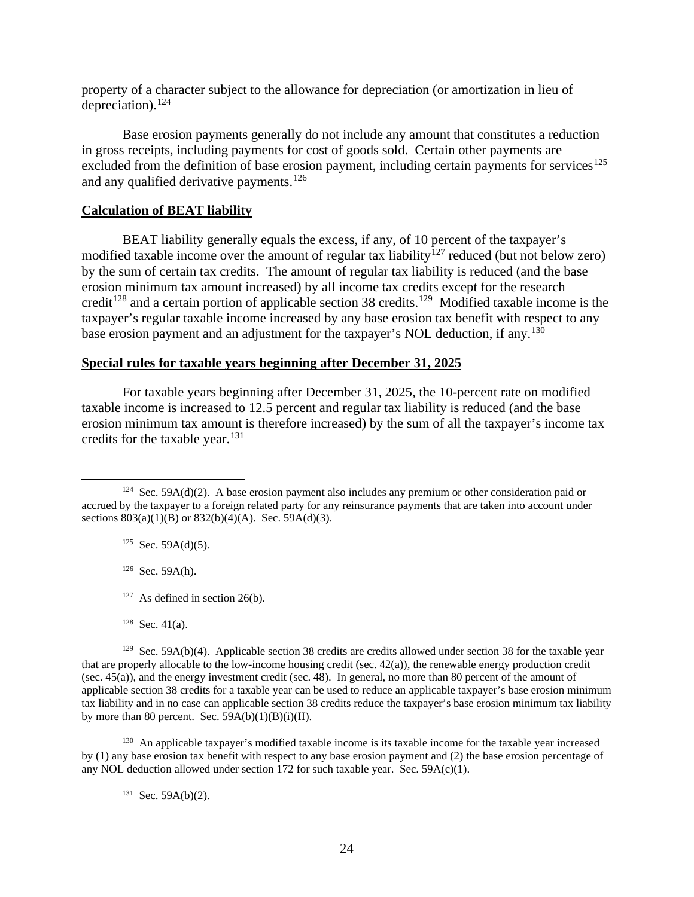property of a character subject to the allowance for depreciation (or amortization in lieu of depreciation).<sup>124</sup>

Base erosion payments generally do not include any amount that constitutes a reduction in gross receipts, including payments for cost of goods sold. Certain other payments are excluded from the definition of base erosion payment, including certain payments for services<sup>125</sup> and any qualified derivative payments.<sup>126</sup>

### **Calculation of BEAT liability**

BEAT liability generally equals the excess, if any, of 10 percent of the taxpayer's modified taxable income over the amount of regular tax liability<sup>127</sup> reduced (but not below zero) by the sum of certain tax credits. The amount of regular tax liability is reduced (and the base erosion minimum tax amount increased) by all income tax credits except for the research credit<sup>128</sup> and a certain portion of applicable section 38 credits.<sup>129</sup> Modified taxable income is the taxpayer's regular taxable income increased by any base erosion tax benefit with respect to any base erosion payment and an adjustment for the taxpayer's NOL deduction, if any.<sup>130</sup>

### **Special rules for taxable years beginning after December 31, 2025**

For taxable years beginning after December 31, 2025, the 10-percent rate on modified taxable income is increased to 12.5 percent and regular tax liability is reduced (and the base erosion minimum tax amount is therefore increased) by the sum of all the taxpayer's income tax credits for the taxable year.<sup>131</sup>

 $125$  Sec. 59A(d)(5).

 $126$  Sec. 59A(h).

- $127$  As defined in section 26(b).
- $128$  Sec. 41(a).

<sup>129</sup> Sec. 59A(b)(4). Applicable section 38 credits are credits allowed under section 38 for the taxable year that are properly allocable to the low-income housing credit (sec.  $42(a)$ ), the renewable energy production credit (sec. 45(a)), and the energy investment credit (sec. 48). In general, no more than 80 percent of the amount of applicable section 38 credits for a taxable year can be used to reduce an applicable taxpayer's base erosion minimum tax liability and in no case can applicable section 38 credits reduce the taxpayer's base erosion minimum tax liability by more than 80 percent. Sec.  $59A(b)(1)(B)(i)(II)$ .

<sup>130</sup> An applicable taxpayer's modified taxable income is its taxable income for the taxable year increased by (1) any base erosion tax benefit with respect to any base erosion payment and (2) the base erosion percentage of any NOL deduction allowed under section 172 for such taxable year. Sec.  $59A(c)(1)$ .

 $131$  Sec. 59A(b)(2).

<sup>&</sup>lt;sup>124</sup> Sec. 59A(d)(2). A base erosion payment also includes any premium or other consideration paid or accrued by the taxpayer to a foreign related party for any reinsurance payments that are taken into account under sections  $803(a)(1)(B)$  or  $832(b)(4)(A)$ . Sec. 59A(d)(3).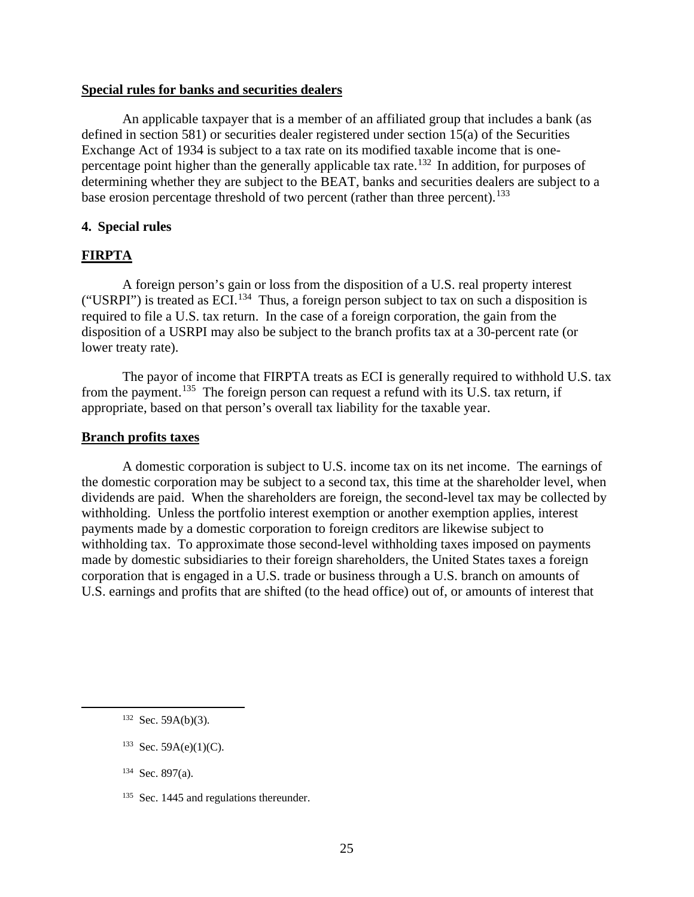### **Special rules for banks and securities dealers**

An applicable taxpayer that is a member of an affiliated group that includes a bank (as defined in section 581) or securities dealer registered under section 15(a) of the Securities Exchange Act of 1934 is subject to a tax rate on its modified taxable income that is onepercentage point higher than the generally applicable tax rate.<sup>132</sup> In addition, for purposes of determining whether they are subject to the BEAT, banks and securities dealers are subject to a base erosion percentage threshold of two percent (rather than three percent).<sup>133</sup>

### **4. Special rules**

### **FIRPTA**

A foreign person's gain or loss from the disposition of a U.S. real property interest ("USRPI") is treated as ECI.<sup>134</sup> Thus, a foreign person subject to tax on such a disposition is required to file a U.S. tax return. In the case of a foreign corporation, the gain from the disposition of a USRPI may also be subject to the branch profits tax at a 30-percent rate (or lower treaty rate).

The payor of income that FIRPTA treats as ECI is generally required to withhold U.S. tax from the payment.<sup>135</sup> The foreign person can request a refund with its U.S. tax return, if appropriate, based on that person's overall tax liability for the taxable year.

#### **Branch profits taxes**

A domestic corporation is subject to U.S. income tax on its net income. The earnings of the domestic corporation may be subject to a second tax, this time at the shareholder level, when dividends are paid. When the shareholders are foreign, the second-level tax may be collected by withholding. Unless the portfolio interest exemption or another exemption applies, interest payments made by a domestic corporation to foreign creditors are likewise subject to withholding tax. To approximate those second-level withholding taxes imposed on payments made by domestic subsidiaries to their foreign shareholders, the United States taxes a foreign corporation that is engaged in a U.S. trade or business through a U.S. branch on amounts of U.S. earnings and profits that are shifted (to the head office) out of, or amounts of interest that

 $133$  Sec. 59A(e)(1)(C).

134 Sec. 897(a).

 $132$  Sec. 59A(b)(3).

<sup>&</sup>lt;sup>135</sup> Sec. 1445 and regulations thereunder.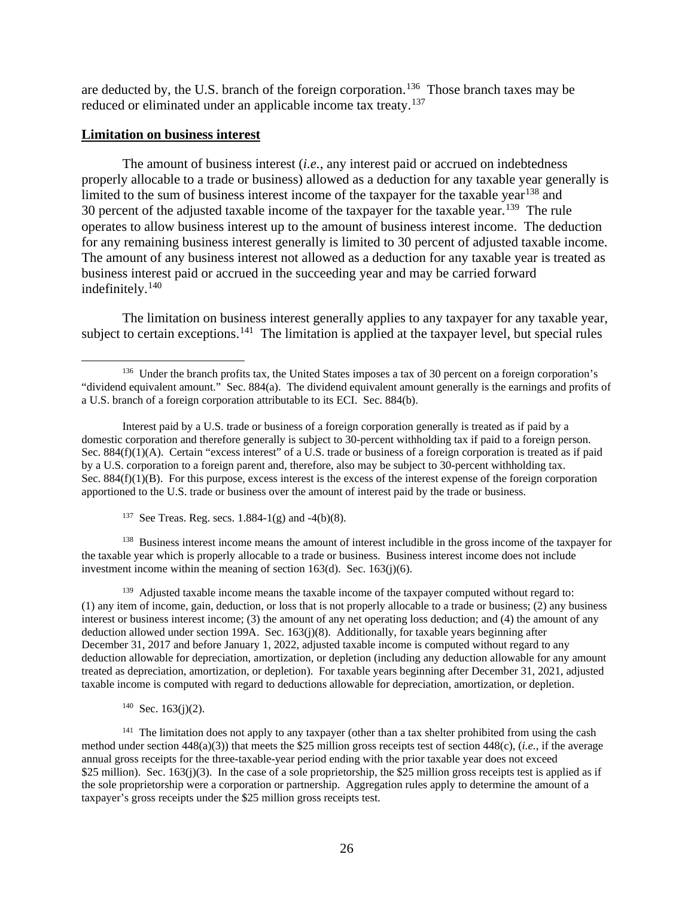are deducted by, the U.S. branch of the foreign corporation.<sup>136</sup> Those branch taxes may be reduced or eliminated under an applicable income tax treaty.<sup>137</sup>

#### **Limitation on business interest**

The amount of business interest (*i.e.*, any interest paid or accrued on indebtedness properly allocable to a trade or business) allowed as a deduction for any taxable year generally is limited to the sum of business interest income of the taxpayer for the taxable year<sup>138</sup> and 30 percent of the adjusted taxable income of the taxpayer for the taxable year.<sup>139</sup> The rule operates to allow business interest up to the amount of business interest income. The deduction for any remaining business interest generally is limited to 30 percent of adjusted taxable income. The amount of any business interest not allowed as a deduction for any taxable year is treated as business interest paid or accrued in the succeeding year and may be carried forward indefinitely.<sup>140</sup>

The limitation on business interest generally applies to any taxpayer for any taxable year, subject to certain exceptions.<sup>141</sup> The limitation is applied at the taxpayer level, but special rules

<sup>137</sup> See Treas. Reg. secs.  $1.884-1(g)$  and  $-4(b)(8)$ .

<sup>138</sup> Business interest income means the amount of interest includible in the gross income of the taxpayer for the taxable year which is properly allocable to a trade or business. Business interest income does not include investment income within the meaning of section  $163(d)$ . Sec.  $163(i)(6)$ .

<sup>139</sup> Adjusted taxable income means the taxable income of the taxpayer computed without regard to: (1) any item of income, gain, deduction, or loss that is not properly allocable to a trade or business; (2) any business interest or business interest income; (3) the amount of any net operating loss deduction; and (4) the amount of any deduction allowed under section 199A. Sec. 163(j)(8). Additionally, for taxable years beginning after December 31, 2017 and before January 1, 2022, adjusted taxable income is computed without regard to any deduction allowable for depreciation, amortization, or depletion (including any deduction allowable for any amount treated as depreciation, amortization, or depletion). For taxable years beginning after December 31, 2021, adjusted taxable income is computed with regard to deductions allowable for depreciation, amortization, or depletion.

 $140$  Sec. 163(j)(2).

<sup>141</sup> The limitation does not apply to any taxpayer (other than a tax shelter prohibited from using the cash method under section 448(a)(3)) that meets the \$25 million gross receipts test of section 448(c), (*i.e.*, if the average annual gross receipts for the three-taxable-year period ending with the prior taxable year does not exceed \$25 million). Sec.  $163(j)(3)$ . In the case of a sole proprietorship, the \$25 million gross receipts test is applied as if the sole proprietorship were a corporation or partnership. Aggregation rules apply to determine the amount of a taxpayer's gross receipts under the \$25 million gross receipts test.

<sup>&</sup>lt;sup>136</sup> Under the branch profits tax, the United States imposes a tax of 30 percent on a foreign corporation's "dividend equivalent amount." Sec. 884(a). The dividend equivalent amount generally is the earnings and profits of a U.S. branch of a foreign corporation attributable to its ECI. Sec. 884(b).

Interest paid by a U.S. trade or business of a foreign corporation generally is treated as if paid by a domestic corporation and therefore generally is subject to 30-percent withholding tax if paid to a foreign person. Sec. 884(f)(1)(A). Certain "excess interest" of a U.S. trade or business of a foreign corporation is treated as if paid by a U.S. corporation to a foreign parent and, therefore, also may be subject to 30-percent withholding tax. Sec. 884(f)(1)(B). For this purpose, excess interest is the excess of the interest expense of the foreign corporation apportioned to the U.S. trade or business over the amount of interest paid by the trade or business.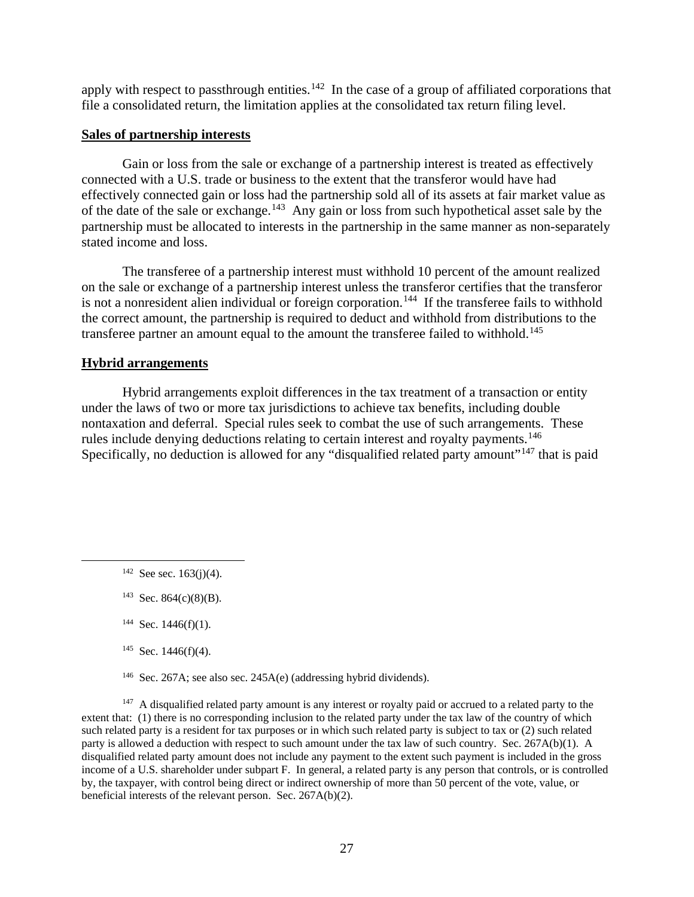apply with respect to passthrough entities.<sup>142</sup> In the case of a group of affiliated corporations that file a consolidated return, the limitation applies at the consolidated tax return filing level.

### **Sales of partnership interests**

Gain or loss from the sale or exchange of a partnership interest is treated as effectively connected with a U.S. trade or business to the extent that the transferor would have had effectively connected gain or loss had the partnership sold all of its assets at fair market value as of the date of the sale or exchange.143 Any gain or loss from such hypothetical asset sale by the partnership must be allocated to interests in the partnership in the same manner as non-separately stated income and loss.

The transferee of a partnership interest must withhold 10 percent of the amount realized on the sale or exchange of a partnership interest unless the transferor certifies that the transferor is not a nonresident alien individual or foreign corporation.<sup>144</sup> If the transferee fails to withhold the correct amount, the partnership is required to deduct and withhold from distributions to the transferee partner an amount equal to the amount the transferee failed to withhold.<sup>145</sup>

### **Hybrid arrangements**

Hybrid arrangements exploit differences in the tax treatment of a transaction or entity under the laws of two or more tax jurisdictions to achieve tax benefits, including double nontaxation and deferral. Special rules seek to combat the use of such arrangements. These rules include denying deductions relating to certain interest and royalty payments.<sup>146</sup> Specifically, no deduction is allowed for any "disqualified related party amount"<sup>147</sup> that is paid

146 Sec. 267A; see also sec. 245A(e) (addressing hybrid dividends).

<sup>147</sup> A disqualified related party amount is any interest or royalty paid or accrued to a related party to the extent that: (1) there is no corresponding inclusion to the related party under the tax law of the country of which such related party is a resident for tax purposes or in which such related party is subject to tax or (2) such related party is allowed a deduction with respect to such amount under the tax law of such country. Sec. 267A(b)(1). A disqualified related party amount does not include any payment to the extent such payment is included in the gross income of a U.S. shareholder under subpart F. In general, a related party is any person that controls, or is controlled by, the taxpayer, with control being direct or indirect ownership of more than 50 percent of the vote, value, or beneficial interests of the relevant person. Sec. 267A(b)(2).

 $142$  See sec. 163(j)(4).

 $143$  Sec. 864(c)(8)(B).

 $144$  Sec. 1446(f)(1).

 $145$  Sec. 1446(f)(4).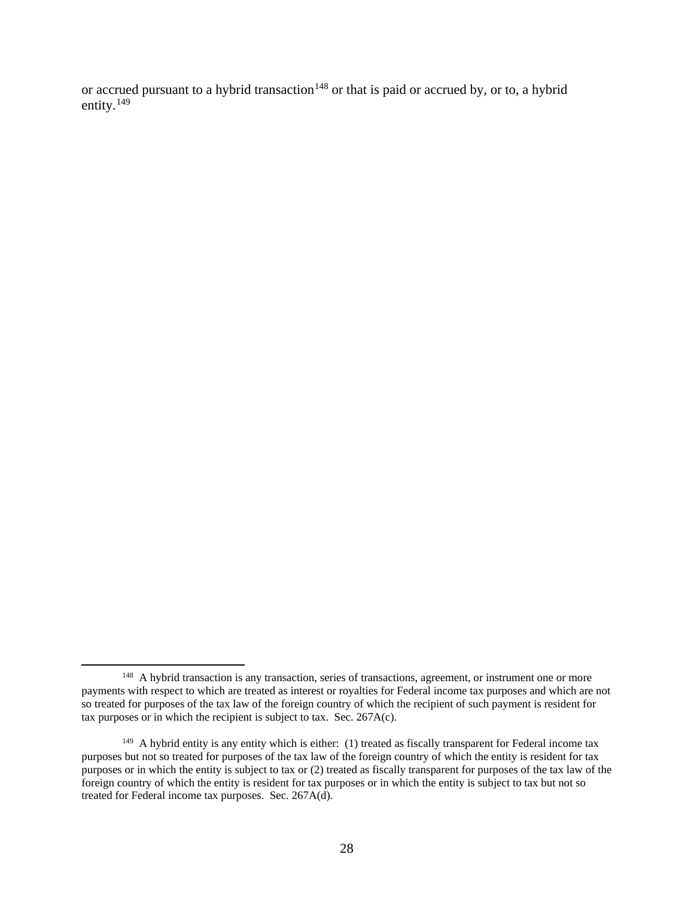or accrued pursuant to a hybrid transaction<sup>148</sup> or that is paid or accrued by, or to, a hybrid entity.<sup>149</sup>

<sup>&</sup>lt;sup>148</sup> A hybrid transaction is any transaction, series of transactions, agreement, or instrument one or more payments with respect to which are treated as interest or royalties for Federal income tax purposes and which are not so treated for purposes of the tax law of the foreign country of which the recipient of such payment is resident for tax purposes or in which the recipient is subject to tax. Sec.  $267A(c)$ .

<sup>&</sup>lt;sup>149</sup> A hybrid entity is any entity which is either: (1) treated as fiscally transparent for Federal income tax purposes but not so treated for purposes of the tax law of the foreign country of which the entity is resident for tax purposes or in which the entity is subject to tax or (2) treated as fiscally transparent for purposes of the tax law of the foreign country of which the entity is resident for tax purposes or in which the entity is subject to tax but not so treated for Federal income tax purposes. Sec. 267A(d).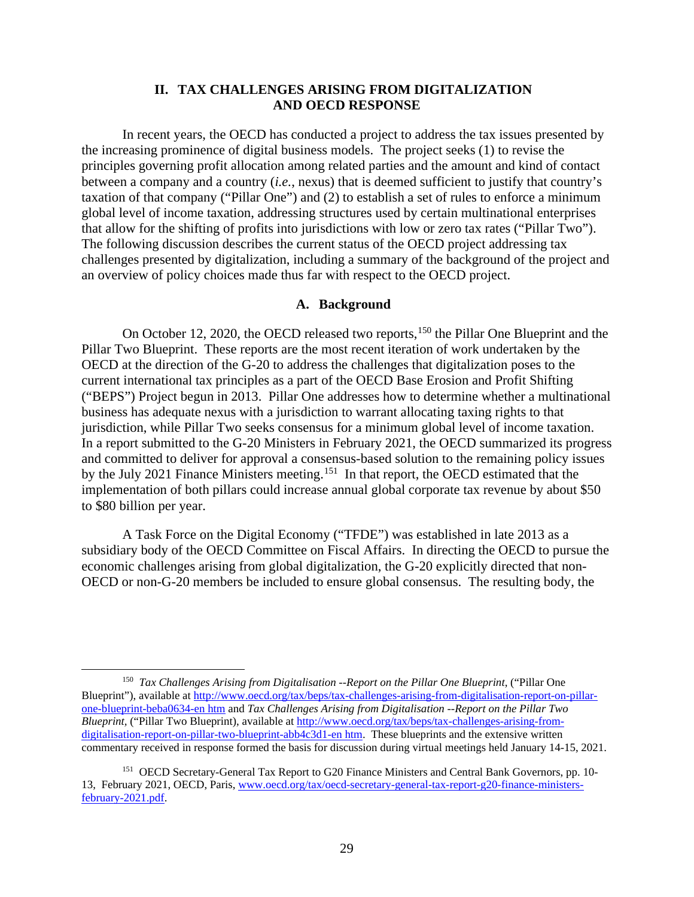### **II. TAX CHALLENGES ARISING FROM DIGITALIZATION AND OECD RESPONSE**

In recent years, the OECD has conducted a project to address the tax issues presented by the increasing prominence of digital business models. The project seeks (1) to revise the principles governing profit allocation among related parties and the amount and kind of contact between a company and a country (*i.e.*, nexus) that is deemed sufficient to justify that country's taxation of that company ("Pillar One") and (2) to establish a set of rules to enforce a minimum global level of income taxation, addressing structures used by certain multinational enterprises that allow for the shifting of profits into jurisdictions with low or zero tax rates ("Pillar Two"). The following discussion describes the current status of the OECD project addressing tax challenges presented by digitalization, including a summary of the background of the project and an overview of policy choices made thus far with respect to the OECD project.

### **A. Background**

On October 12, 2020, the OECD released two reports, <sup>150</sup> the Pillar One Blueprint and the Pillar Two Blueprint. These reports are the most recent iteration of work undertaken by the OECD at the direction of the G-20 to address the challenges that digitalization poses to the current international tax principles as a part of the OECD Base Erosion and Profit Shifting ("BEPS") Project begun in 2013. Pillar One addresses how to determine whether a multinational business has adequate nexus with a jurisdiction to warrant allocating taxing rights to that jurisdiction, while Pillar Two seeks consensus for a minimum global level of income taxation. In a report submitted to the G-20 Ministers in February 2021, the OECD summarized its progress and committed to deliver for approval a consensus-based solution to the remaining policy issues by the July 2021 Finance Ministers meeting.<sup>151</sup> In that report, the OECD estimated that the implementation of both pillars could increase annual global corporate tax revenue by about \$50 to \$80 billion per year.

A Task Force on the Digital Economy ("TFDE") was established in late 2013 as a subsidiary body of the OECD Committee on Fiscal Affairs. In directing the OECD to pursue the economic challenges arising from global digitalization, the G-20 explicitly directed that non-OECD or non-G-20 members be included to ensure global consensus. The resulting body, the

<sup>150</sup> *Tax Challenges Arising from Digitalisation --Report on the Pillar One Blueprint*, ("Pillar One Blueprint"), available at http://www.oecd.org/tax/beps/tax-challenges-arising-from-digitalisation-report-on-pillarone-blueprint-beba0634-en htm and *Tax Challenges Arising from Digitalisation --Report on the Pillar Two Blueprint,* ("Pillar Two Blueprint), available at http://www.oecd.org/tax/beps/tax-challenges-arising-fromdigitalisation-report-on-pillar-two-blueprint-abb4c3d1-en htm. These blueprints and the extensive written commentary received in response formed the basis for discussion during virtual meetings held January 14-15, 2021.

<sup>&</sup>lt;sup>151</sup> OECD Secretary-General Tax Report to G20 Finance Ministers and Central Bank Governors, pp. 10-13, February 2021, OECD, Paris, www.oecd.org/tax/oecd-secretary-general-tax-report-g20-finance-ministersfebruary-2021.pdf.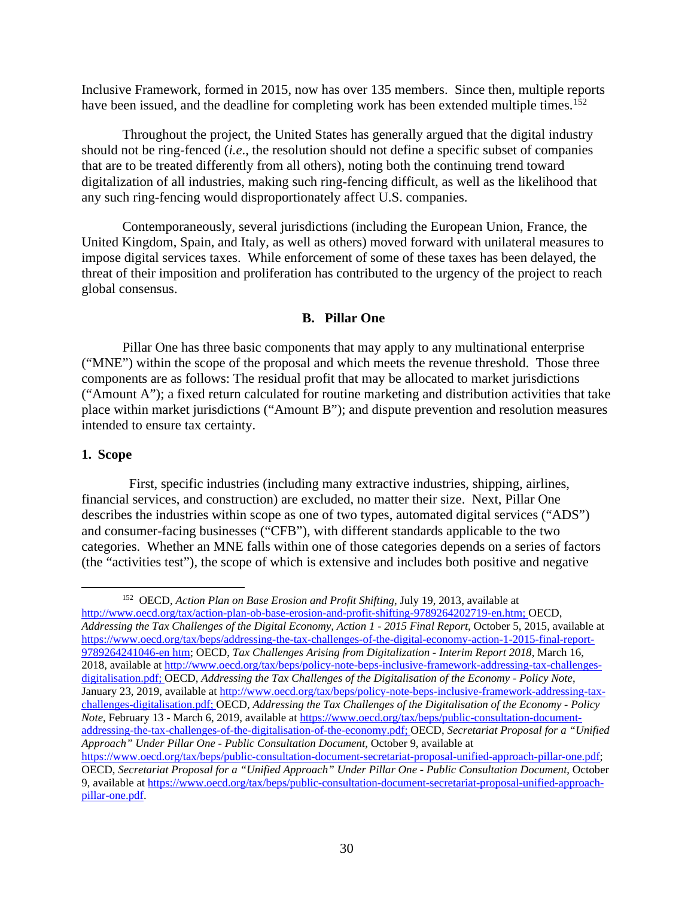Inclusive Framework, formed in 2015, now has over 135 members. Since then, multiple reports have been issued, and the deadline for completing work has been extended multiple times.<sup>152</sup>

Throughout the project, the United States has generally argued that the digital industry should not be ring-fenced (*i.e*., the resolution should not define a specific subset of companies that are to be treated differently from all others), noting both the continuing trend toward digitalization of all industries, making such ring-fencing difficult, as well as the likelihood that any such ring-fencing would disproportionately affect U.S. companies.

Contemporaneously, several jurisdictions (including the European Union, France, the United Kingdom, Spain, and Italy, as well as others) moved forward with unilateral measures to impose digital services taxes. While enforcement of some of these taxes has been delayed, the threat of their imposition and proliferation has contributed to the urgency of the project to reach global consensus.

### **B. Pillar One**

Pillar One has three basic components that may apply to any multinational enterprise ("MNE") within the scope of the proposal and which meets the revenue threshold. Those three components are as follows: The residual profit that may be allocated to market jurisdictions ("Amount A"); a fixed return calculated for routine marketing and distribution activities that take place within market jurisdictions ("Amount B"); and dispute prevention and resolution measures intended to ensure tax certainty.

### **1. Scope**

 First, specific industries (including many extractive industries, shipping, airlines, financial services, and construction) are excluded, no matter their size. Next, Pillar One describes the industries within scope as one of two types, automated digital services ("ADS") and consumer-facing businesses ("CFB"), with different standards applicable to the two categories. Whether an MNE falls within one of those categories depends on a series of factors (the "activities test"), the scope of which is extensive and includes both positive and negative

<sup>152</sup> OECD, *Action Plan on Base Erosion and Profit Shifting*, July 19, 2013, available at http://www.oecd.org/tax/action-plan-ob-base-erosion-and-profit-shifting-9789264202719-en.htm; OECD, *Addressing the Tax Challenges of the Digital Economy, Action 1 - 2015 Final Report*, October 5, 2015, available at https://www.oecd.org/tax/beps/addressing-the-tax-challenges-of-the-digital-economy-action-1-2015-final-report-9789264241046-en htm; OECD, *Tax Challenges Arising from Digitalization - Interim Report 2018*, March 16, 2018, available at http://www.oecd.org/tax/beps/policy-note-beps-inclusive-framework-addressing-tax-challengesdigitalisation.pdf; OECD, *Addressing the Tax Challenges of the Digitalisation of the Economy - Policy Note*, January 23, 2019, available at http://www.oecd.org/tax/beps/policy-note-beps-inclusive-framework-addressing-taxchallenges-digitalisation.pdf; OECD, *Addressing the Tax Challenges of the Digitalisation of the Economy - Policy Note*, February 13 - March 6, 2019, available at https://www.oecd.org/tax/beps/public-consultation-documentaddressing-the-tax-challenges-of-the-digitalisation-of-the-economy.pdf; OECD, *Secretariat Proposal for a "Unified Approach" Under Pillar One - Public Consultation Document*, October 9, available at

https://www.oecd.org/tax/beps/public-consultation-document-secretariat-proposal-unified-approach-pillar-one.pdf; OECD, *Secretariat Proposal for a "Unified Approach" Under Pillar One - Public Consultation Document*, October 9, available at https://www.oecd.org/tax/beps/public-consultation-document-secretariat-proposal-unified-approachpillar-one.pdf.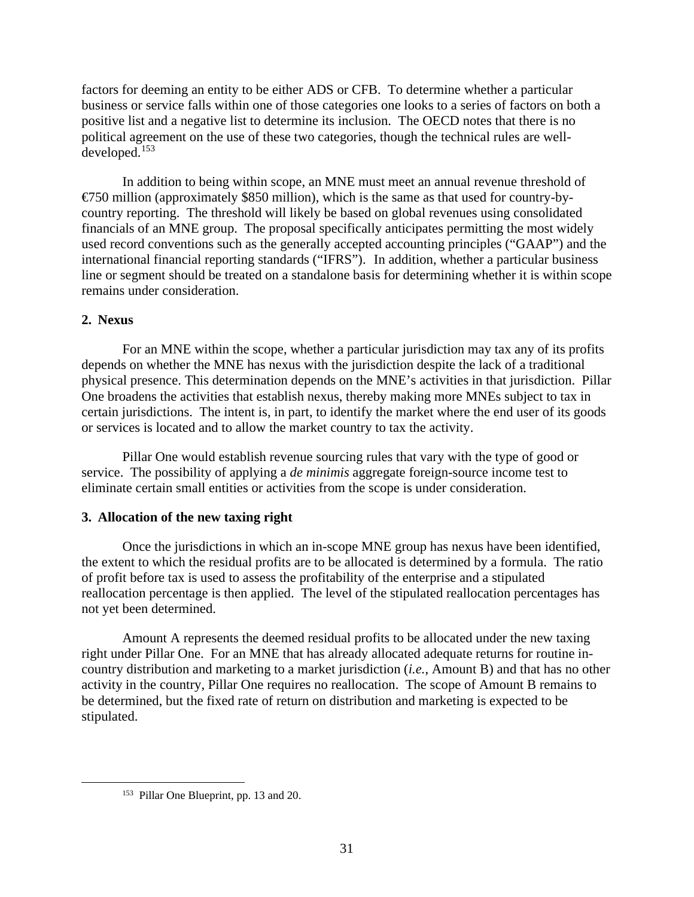factors for deeming an entity to be either ADS or CFB. To determine whether a particular business or service falls within one of those categories one looks to a series of factors on both a positive list and a negative list to determine its inclusion. The OECD notes that there is no political agreement on the use of these two categories, though the technical rules are welldeveloped.153

In addition to being within scope, an MNE must meet an annual revenue threshold of  $\epsilon$ 750 million (approximately \$850 million), which is the same as that used for country-bycountry reporting. The threshold will likely be based on global revenues using consolidated financials of an MNE group. The proposal specifically anticipates permitting the most widely used record conventions such as the generally accepted accounting principles ("GAAP") and the international financial reporting standards ("IFRS"). In addition, whether a particular business line or segment should be treated on a standalone basis for determining whether it is within scope remains under consideration.

# **2. Nexus**

For an MNE within the scope, whether a particular jurisdiction may tax any of its profits depends on whether the MNE has nexus with the jurisdiction despite the lack of a traditional physical presence. This determination depends on the MNE's activities in that jurisdiction. Pillar One broadens the activities that establish nexus, thereby making more MNEs subject to tax in certain jurisdictions. The intent is, in part, to identify the market where the end user of its goods or services is located and to allow the market country to tax the activity.

Pillar One would establish revenue sourcing rules that vary with the type of good or service. The possibility of applying a *de minimis* aggregate foreign-source income test to eliminate certain small entities or activities from the scope is under consideration.

# **3. Allocation of the new taxing right**

Once the jurisdictions in which an in-scope MNE group has nexus have been identified, the extent to which the residual profits are to be allocated is determined by a formula. The ratio of profit before tax is used to assess the profitability of the enterprise and a stipulated reallocation percentage is then applied. The level of the stipulated reallocation percentages has not yet been determined.

Amount A represents the deemed residual profits to be allocated under the new taxing right under Pillar One. For an MNE that has already allocated adequate returns for routine incountry distribution and marketing to a market jurisdiction (*i.e.*, Amount B) and that has no other activity in the country, Pillar One requires no reallocation. The scope of Amount B remains to be determined, but the fixed rate of return on distribution and marketing is expected to be stipulated.

<sup>153</sup> Pillar One Blueprint, pp. 13 and 20.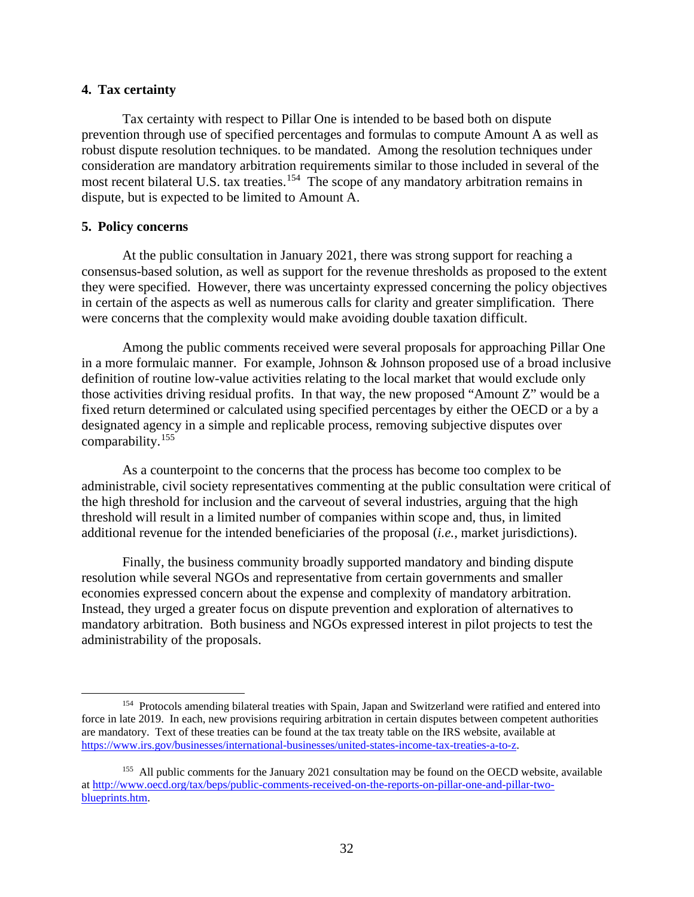### **4. Tax certainty**

Tax certainty with respect to Pillar One is intended to be based both on dispute prevention through use of specified percentages and formulas to compute Amount A as well as robust dispute resolution techniques. to be mandated. Among the resolution techniques under consideration are mandatory arbitration requirements similar to those included in several of the most recent bilateral U.S. tax treaties.<sup>154</sup> The scope of any mandatory arbitration remains in dispute, but is expected to be limited to Amount A.

### **5. Policy concerns**

At the public consultation in January 2021, there was strong support for reaching a consensus-based solution, as well as support for the revenue thresholds as proposed to the extent they were specified. However, there was uncertainty expressed concerning the policy objectives in certain of the aspects as well as numerous calls for clarity and greater simplification. There were concerns that the complexity would make avoiding double taxation difficult.

Among the public comments received were several proposals for approaching Pillar One in a more formulaic manner. For example, Johnson & Johnson proposed use of a broad inclusive definition of routine low-value activities relating to the local market that would exclude only those activities driving residual profits. In that way, the new proposed "Amount Z" would be a fixed return determined or calculated using specified percentages by either the OECD or a by a designated agency in a simple and replicable process, removing subjective disputes over comparability.155

As a counterpoint to the concerns that the process has become too complex to be administrable, civil society representatives commenting at the public consultation were critical of the high threshold for inclusion and the carveout of several industries, arguing that the high threshold will result in a limited number of companies within scope and, thus, in limited additional revenue for the intended beneficiaries of the proposal (*i.e.*, market jurisdictions).

Finally, the business community broadly supported mandatory and binding dispute resolution while several NGOs and representative from certain governments and smaller economies expressed concern about the expense and complexity of mandatory arbitration. Instead, they urged a greater focus on dispute prevention and exploration of alternatives to mandatory arbitration. Both business and NGOs expressed interest in pilot projects to test the administrability of the proposals.

<sup>&</sup>lt;sup>154</sup> Protocols amending bilateral treaties with Spain, Japan and Switzerland were ratified and entered into force in late 2019. In each, new provisions requiring arbitration in certain disputes between competent authorities are mandatory. Text of these treaties can be found at the tax treaty table on the IRS website, available at https://www.irs.gov/businesses/international-businesses/united-states-income-tax-treaties-a-to-z.

<sup>&</sup>lt;sup>155</sup> All public comments for the January 2021 consultation may be found on the OECD website, available at http://www.oecd.org/tax/beps/public-comments-received-on-the-reports-on-pillar-one-and-pillar-twoblueprints.htm.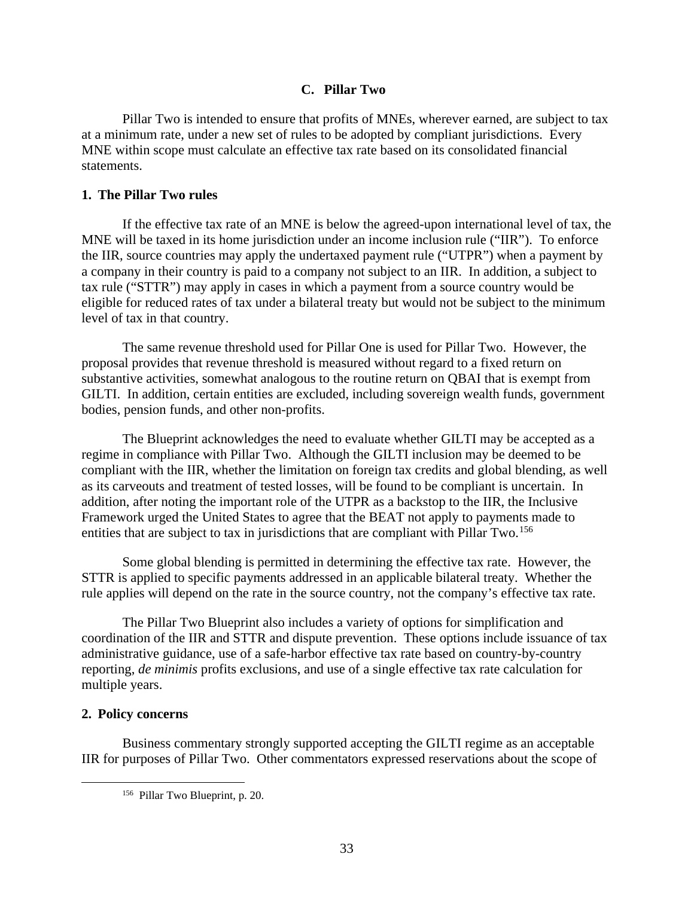### **C. Pillar Two**

Pillar Two is intended to ensure that profits of MNEs, wherever earned, are subject to tax at a minimum rate, under a new set of rules to be adopted by compliant jurisdictions. Every MNE within scope must calculate an effective tax rate based on its consolidated financial statements.

### **1. The Pillar Two rules**

If the effective tax rate of an MNE is below the agreed-upon international level of tax, the MNE will be taxed in its home jurisdiction under an income inclusion rule ("IIR"). To enforce the IIR, source countries may apply the undertaxed payment rule ("UTPR") when a payment by a company in their country is paid to a company not subject to an IIR. In addition, a subject to tax rule ("STTR") may apply in cases in which a payment from a source country would be eligible for reduced rates of tax under a bilateral treaty but would not be subject to the minimum level of tax in that country.

The same revenue threshold used for Pillar One is used for Pillar Two. However, the proposal provides that revenue threshold is measured without regard to a fixed return on substantive activities, somewhat analogous to the routine return on QBAI that is exempt from GILTI. In addition, certain entities are excluded, including sovereign wealth funds, government bodies, pension funds, and other non-profits.

The Blueprint acknowledges the need to evaluate whether GILTI may be accepted as a regime in compliance with Pillar Two. Although the GILTI inclusion may be deemed to be compliant with the IIR, whether the limitation on foreign tax credits and global blending, as well as its carveouts and treatment of tested losses, will be found to be compliant is uncertain. In addition, after noting the important role of the UTPR as a backstop to the IIR, the Inclusive Framework urged the United States to agree that the BEAT not apply to payments made to entities that are subject to tax in jurisdictions that are compliant with Pillar Two.<sup>156</sup>

Some global blending is permitted in determining the effective tax rate. However, the STTR is applied to specific payments addressed in an applicable bilateral treaty. Whether the rule applies will depend on the rate in the source country, not the company's effective tax rate.

The Pillar Two Blueprint also includes a variety of options for simplification and coordination of the IIR and STTR and dispute prevention. These options include issuance of tax administrative guidance, use of a safe-harbor effective tax rate based on country-by-country reporting, *de minimis* profits exclusions, and use of a single effective tax rate calculation for multiple years.

### **2. Policy concerns**

Business commentary strongly supported accepting the GILTI regime as an acceptable IIR for purposes of Pillar Two. Other commentators expressed reservations about the scope of

<sup>156</sup> Pillar Two Blueprint, p. 20.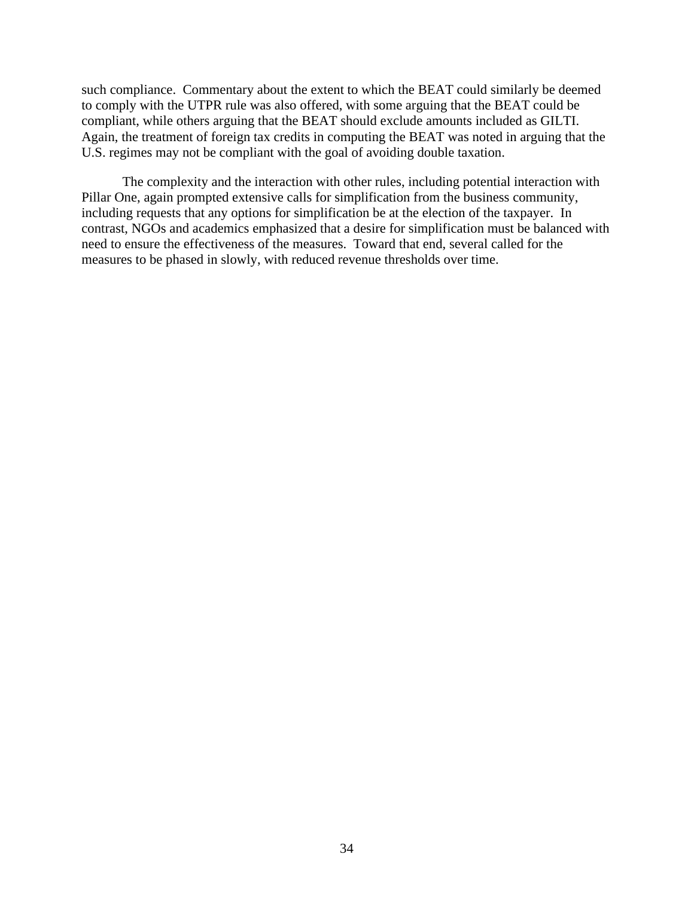such compliance. Commentary about the extent to which the BEAT could similarly be deemed to comply with the UTPR rule was also offered, with some arguing that the BEAT could be compliant, while others arguing that the BEAT should exclude amounts included as GILTI. Again, the treatment of foreign tax credits in computing the BEAT was noted in arguing that the U.S. regimes may not be compliant with the goal of avoiding double taxation.

The complexity and the interaction with other rules, including potential interaction with Pillar One, again prompted extensive calls for simplification from the business community, including requests that any options for simplification be at the election of the taxpayer. In contrast, NGOs and academics emphasized that a desire for simplification must be balanced with need to ensure the effectiveness of the measures. Toward that end, several called for the measures to be phased in slowly, with reduced revenue thresholds over time.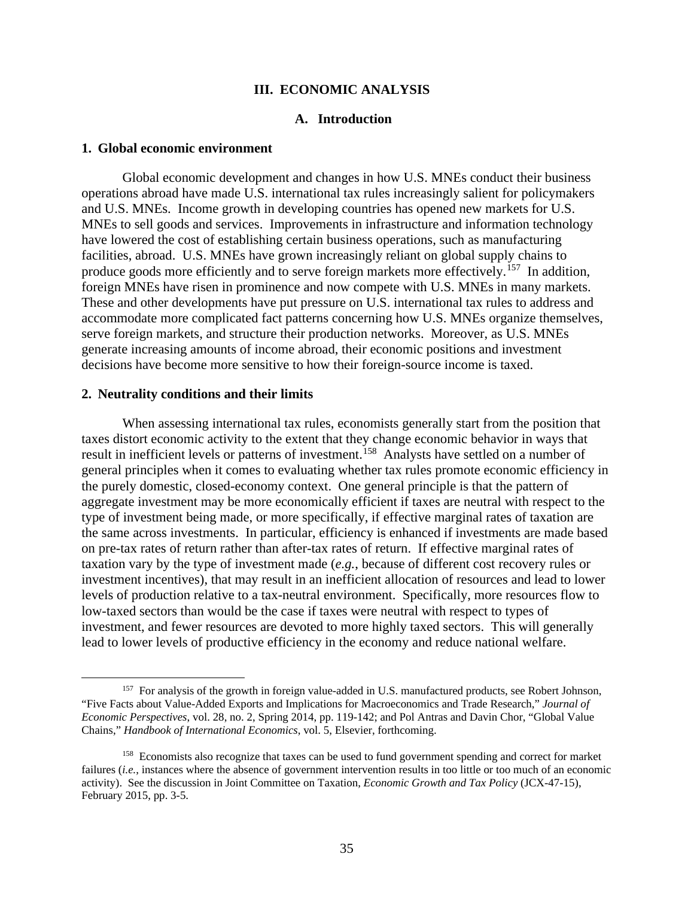### **III. ECONOMIC ANALYSIS**

# **A. Introduction**

#### **1. Global economic environment**

Global economic development and changes in how U.S. MNEs conduct their business operations abroad have made U.S. international tax rules increasingly salient for policymakers and U.S. MNEs. Income growth in developing countries has opened new markets for U.S. MNEs to sell goods and services. Improvements in infrastructure and information technology have lowered the cost of establishing certain business operations, such as manufacturing facilities, abroad. U.S. MNEs have grown increasingly reliant on global supply chains to produce goods more efficiently and to serve foreign markets more effectively.<sup>157</sup> In addition, foreign MNEs have risen in prominence and now compete with U.S. MNEs in many markets. These and other developments have put pressure on U.S. international tax rules to address and accommodate more complicated fact patterns concerning how U.S. MNEs organize themselves, serve foreign markets, and structure their production networks. Moreover, as U.S. MNEs generate increasing amounts of income abroad, their economic positions and investment decisions have become more sensitive to how their foreign-source income is taxed.

#### **2. Neutrality conditions and their limits**

When assessing international tax rules, economists generally start from the position that taxes distort economic activity to the extent that they change economic behavior in ways that result in inefficient levels or patterns of investment.<sup>158</sup> Analysts have settled on a number of general principles when it comes to evaluating whether tax rules promote economic efficiency in the purely domestic, closed-economy context. One general principle is that the pattern of aggregate investment may be more economically efficient if taxes are neutral with respect to the type of investment being made, or more specifically, if effective marginal rates of taxation are the same across investments. In particular, efficiency is enhanced if investments are made based on pre-tax rates of return rather than after-tax rates of return. If effective marginal rates of taxation vary by the type of investment made (*e.g.*, because of different cost recovery rules or investment incentives), that may result in an inefficient allocation of resources and lead to lower levels of production relative to a tax-neutral environment. Specifically, more resources flow to low-taxed sectors than would be the case if taxes were neutral with respect to types of investment, and fewer resources are devoted to more highly taxed sectors. This will generally lead to lower levels of productive efficiency in the economy and reduce national welfare.

<sup>&</sup>lt;sup>157</sup> For analysis of the growth in foreign value-added in U.S. manufactured products, see Robert Johnson, "Five Facts about Value-Added Exports and Implications for Macroeconomics and Trade Research," *Journal of Economic Perspectives*, vol. 28, no. 2, Spring 2014, pp. 119-142; and Pol Antras and Davin Chor, "Global Value Chains," *Handbook of International Economics*, vol. 5, Elsevier, forthcoming.

<sup>&</sup>lt;sup>158</sup> Economists also recognize that taxes can be used to fund government spending and correct for market failures *(i.e., instances where the absence of government intervention results in too little or too much of an economic* activity). See the discussion in Joint Committee on Taxation, *Economic Growth and Tax Policy* (JCX-47-15), February 2015, pp. 3-5.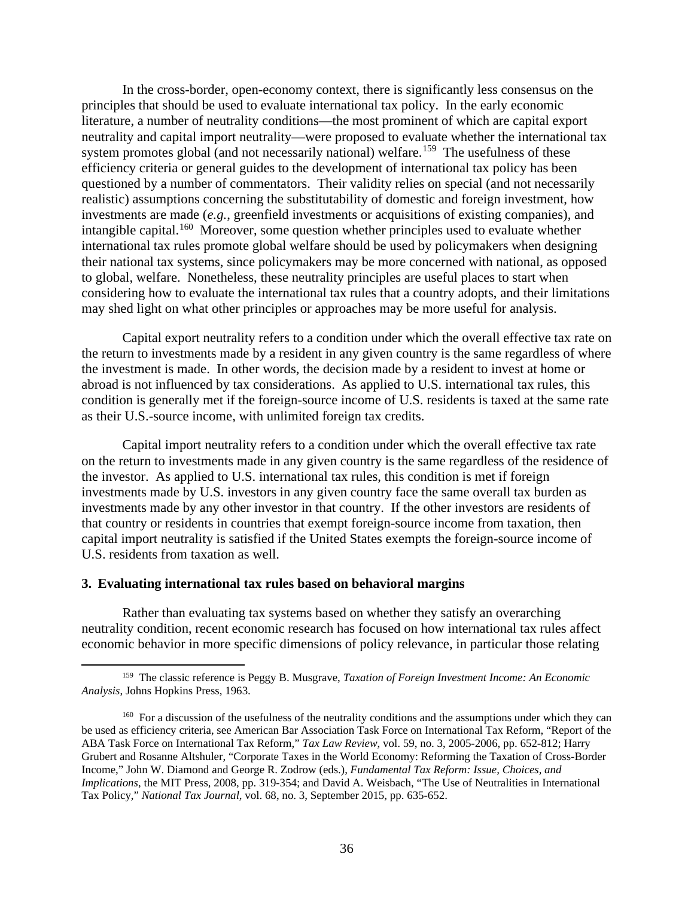In the cross-border, open-economy context, there is significantly less consensus on the principles that should be used to evaluate international tax policy. In the early economic literature, a number of neutrality conditions—the most prominent of which are capital export neutrality and capital import neutrality—were proposed to evaluate whether the international tax system promotes global (and not necessarily national) welfare.<sup>159</sup> The usefulness of these efficiency criteria or general guides to the development of international tax policy has been questioned by a number of commentators. Their validity relies on special (and not necessarily realistic) assumptions concerning the substitutability of domestic and foreign investment, how investments are made (*e.g.*, greenfield investments or acquisitions of existing companies), and intangible capital.160 Moreover, some question whether principles used to evaluate whether international tax rules promote global welfare should be used by policymakers when designing their national tax systems, since policymakers may be more concerned with national, as opposed to global, welfare. Nonetheless, these neutrality principles are useful places to start when considering how to evaluate the international tax rules that a country adopts, and their limitations may shed light on what other principles or approaches may be more useful for analysis.

Capital export neutrality refers to a condition under which the overall effective tax rate on the return to investments made by a resident in any given country is the same regardless of where the investment is made. In other words, the decision made by a resident to invest at home or abroad is not influenced by tax considerations. As applied to U.S. international tax rules, this condition is generally met if the foreign-source income of U.S. residents is taxed at the same rate as their U.S.-source income, with unlimited foreign tax credits.

Capital import neutrality refers to a condition under which the overall effective tax rate on the return to investments made in any given country is the same regardless of the residence of the investor. As applied to U.S. international tax rules, this condition is met if foreign investments made by U.S. investors in any given country face the same overall tax burden as investments made by any other investor in that country. If the other investors are residents of that country or residents in countries that exempt foreign-source income from taxation, then capital import neutrality is satisfied if the United States exempts the foreign-source income of U.S. residents from taxation as well.

#### **3. Evaluating international tax rules based on behavioral margins**

Rather than evaluating tax systems based on whether they satisfy an overarching neutrality condition, recent economic research has focused on how international tax rules affect economic behavior in more specific dimensions of policy relevance, in particular those relating

<sup>159</sup> The classic reference is Peggy B. Musgrave, *Taxation of Foreign Investment Income: An Economic Analysis*, Johns Hopkins Press, 1963.

<sup>&</sup>lt;sup>160</sup> For a discussion of the usefulness of the neutrality conditions and the assumptions under which they can be used as efficiency criteria, see American Bar Association Task Force on International Tax Reform, "Report of the ABA Task Force on International Tax Reform," *Tax Law Review*, vol. 59, no. 3, 2005-2006, pp. 652-812; Harry Grubert and Rosanne Altshuler, "Corporate Taxes in the World Economy: Reforming the Taxation of Cross-Border Income," John W. Diamond and George R. Zodrow (eds.), *Fundamental Tax Reform: Issue, Choices, and Implications*, the MIT Press, 2008, pp. 319-354; and David A. Weisbach, "The Use of Neutralities in International Tax Policy," *National Tax Journal*, vol. 68, no. 3, September 2015, pp. 635-652.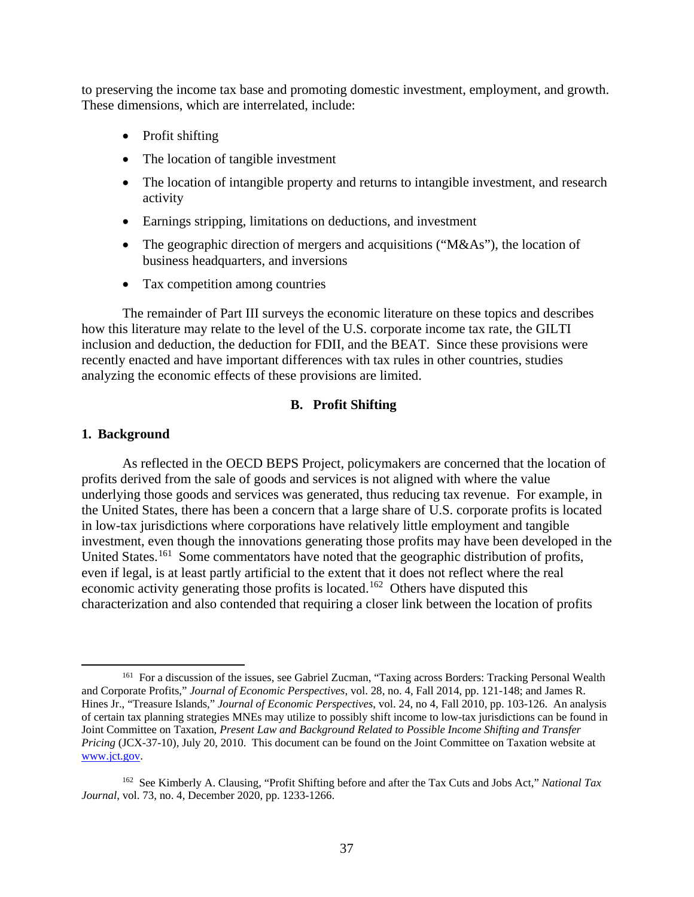to preserving the income tax base and promoting domestic investment, employment, and growth. These dimensions, which are interrelated, include:

- Profit shifting
- The location of tangible investment
- The location of intangible property and returns to intangible investment, and research activity
- Earnings stripping, limitations on deductions, and investment
- The geographic direction of mergers and acquisitions ("M&As"), the location of business headquarters, and inversions
- Tax competition among countries

The remainder of Part III surveys the economic literature on these topics and describes how this literature may relate to the level of the U.S. corporate income tax rate, the GILTI inclusion and deduction, the deduction for FDII, and the BEAT. Since these provisions were recently enacted and have important differences with tax rules in other countries, studies analyzing the economic effects of these provisions are limited.

### **B. Profit Shifting**

### **1. Background**

As reflected in the OECD BEPS Project, policymakers are concerned that the location of profits derived from the sale of goods and services is not aligned with where the value underlying those goods and services was generated, thus reducing tax revenue. For example, in the United States, there has been a concern that a large share of U.S. corporate profits is located in low-tax jurisdictions where corporations have relatively little employment and tangible investment, even though the innovations generating those profits may have been developed in the United States.<sup>161</sup> Some commentators have noted that the geographic distribution of profits, even if legal, is at least partly artificial to the extent that it does not reflect where the real economic activity generating those profits is located.<sup>162</sup> Others have disputed this characterization and also contended that requiring a closer link between the location of profits

<sup>161</sup> For a discussion of the issues, see Gabriel Zucman, "Taxing across Borders: Tracking Personal Wealth and Corporate Profits," *Journal of Economic Perspectives*, vol. 28, no. 4, Fall 2014, pp. 121-148; and James R. Hines Jr., "Treasure Islands," *Journal of Economic Perspectives*, vol. 24, no 4, Fall 2010, pp. 103-126. An analysis of certain tax planning strategies MNEs may utilize to possibly shift income to low-tax jurisdictions can be found in Joint Committee on Taxation, *Present Law and Background Related to Possible Income Shifting and Transfer Pricing* (JCX-37-10), July 20, 2010. This document can be found on the Joint Committee on Taxation website at www.jct.gov.

<sup>162</sup> See Kimberly A. Clausing, "Profit Shifting before and after the Tax Cuts and Jobs Act," *National Tax Journal*, vol. 73, no. 4, December 2020, pp. 1233-1266.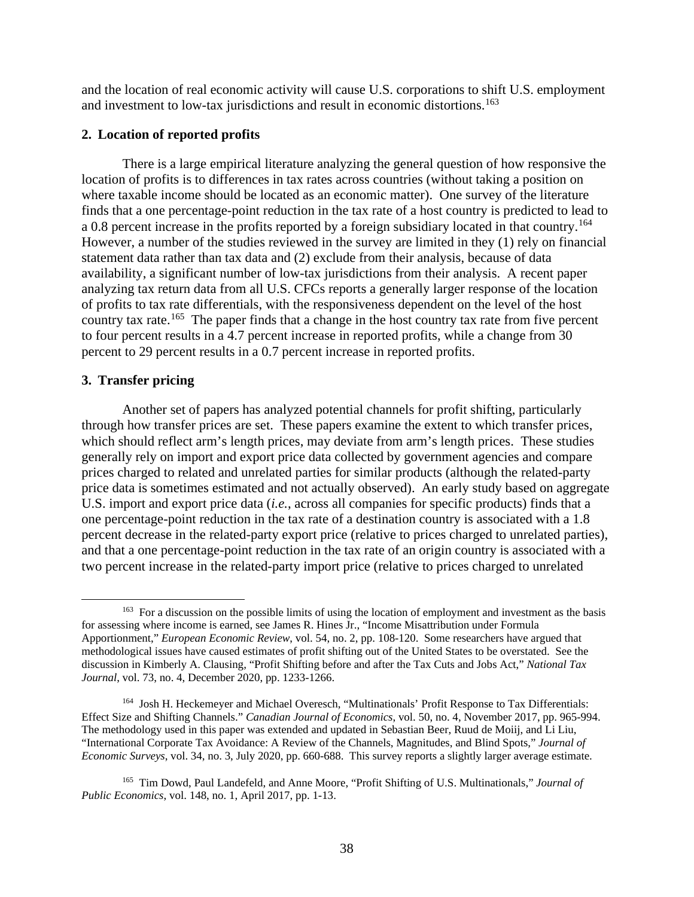and the location of real economic activity will cause U.S. corporations to shift U.S. employment and investment to low-tax jurisdictions and result in economic distortions. 163

### **2. Location of reported profits**

There is a large empirical literature analyzing the general question of how responsive the location of profits is to differences in tax rates across countries (without taking a position on where taxable income should be located as an economic matter). One survey of the literature finds that a one percentage-point reduction in the tax rate of a host country is predicted to lead to a 0.8 percent increase in the profits reported by a foreign subsidiary located in that country.<sup>164</sup> However, a number of the studies reviewed in the survey are limited in they (1) rely on financial statement data rather than tax data and (2) exclude from their analysis, because of data availability, a significant number of low-tax jurisdictions from their analysis. A recent paper analyzing tax return data from all U.S. CFCs reports a generally larger response of the location of profits to tax rate differentials, with the responsiveness dependent on the level of the host country tax rate.165 The paper finds that a change in the host country tax rate from five percent to four percent results in a 4.7 percent increase in reported profits, while a change from 30 percent to 29 percent results in a 0.7 percent increase in reported profits.

### **3. Transfer pricing**

Another set of papers has analyzed potential channels for profit shifting, particularly through how transfer prices are set. These papers examine the extent to which transfer prices, which should reflect arm's length prices, may deviate from arm's length prices. These studies generally rely on import and export price data collected by government agencies and compare prices charged to related and unrelated parties for similar products (although the related-party price data is sometimes estimated and not actually observed). An early study based on aggregate U.S. import and export price data (*i.e.*, across all companies for specific products) finds that a one percentage-point reduction in the tax rate of a destination country is associated with a 1.8 percent decrease in the related-party export price (relative to prices charged to unrelated parties), and that a one percentage-point reduction in the tax rate of an origin country is associated with a two percent increase in the related-party import price (relative to prices charged to unrelated

<sup>&</sup>lt;sup>163</sup> For a discussion on the possible limits of using the location of employment and investment as the basis for assessing where income is earned, see James R. Hines Jr., "Income Misattribution under Formula Apportionment," *European Economic Review*, vol. 54, no. 2, pp. 108-120. Some researchers have argued that methodological issues have caused estimates of profit shifting out of the United States to be overstated. See the discussion in Kimberly A. Clausing, "Profit Shifting before and after the Tax Cuts and Jobs Act," *National Tax Journal*, vol. 73, no. 4, December 2020, pp. 1233-1266.

<sup>164</sup> Josh H. Heckemeyer and Michael Overesch, "Multinationals' Profit Response to Tax Differentials: Effect Size and Shifting Channels." *Canadian Journal of Economics*, vol. 50, no. 4, November 2017, pp. 965-994. The methodology used in this paper was extended and updated in Sebastian Beer, Ruud de Moiij, and Li Liu, "International Corporate Tax Avoidance: A Review of the Channels, Magnitudes, and Blind Spots," *Journal of Economic Surveys*, vol. 34, no. 3, July 2020, pp. 660-688. This survey reports a slightly larger average estimate.

<sup>165</sup> Tim Dowd, Paul Landefeld, and Anne Moore, "Profit Shifting of U.S. Multinationals," *Journal of Public Economics*, vol. 148, no. 1, April 2017, pp. 1-13.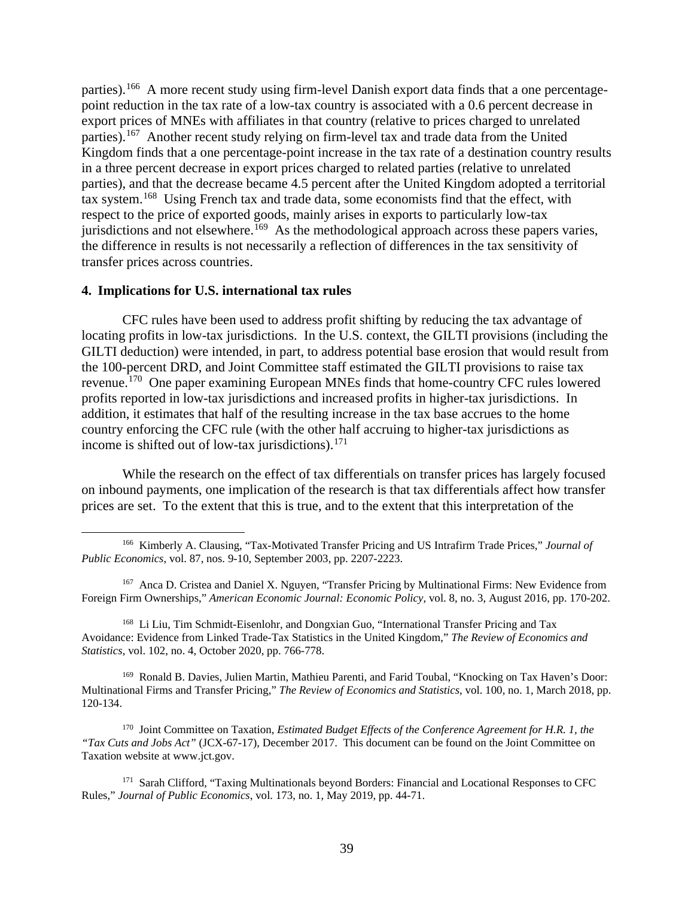parties).<sup>166</sup> A more recent study using firm-level Danish export data finds that a one percentagepoint reduction in the tax rate of a low-tax country is associated with a 0.6 percent decrease in export prices of MNEs with affiliates in that country (relative to prices charged to unrelated parties).<sup>167</sup> Another recent study relying on firm-level tax and trade data from the United Kingdom finds that a one percentage-point increase in the tax rate of a destination country results in a three percent decrease in export prices charged to related parties (relative to unrelated parties), and that the decrease became 4.5 percent after the United Kingdom adopted a territorial tax system.168 Using French tax and trade data, some economists find that the effect, with respect to the price of exported goods, mainly arises in exports to particularly low-tax jurisdictions and not elsewhere.<sup>169</sup> As the methodological approach across these papers varies, the difference in results is not necessarily a reflection of differences in the tax sensitivity of transfer prices across countries.

#### **4. Implications for U.S. international tax rules**

CFC rules have been used to address profit shifting by reducing the tax advantage of locating profits in low-tax jurisdictions. In the U.S. context, the GILTI provisions (including the GILTI deduction) were intended, in part, to address potential base erosion that would result from the 100-percent DRD, and Joint Committee staff estimated the GILTI provisions to raise tax revenue.170 One paper examining European MNEs finds that home-country CFC rules lowered profits reported in low-tax jurisdictions and increased profits in higher-tax jurisdictions. In addition, it estimates that half of the resulting increase in the tax base accrues to the home country enforcing the CFC rule (with the other half accruing to higher-tax jurisdictions as income is shifted out of low-tax jurisdictions). $^{171}$ 

While the research on the effect of tax differentials on transfer prices has largely focused on inbound payments, one implication of the research is that tax differentials affect how transfer prices are set. To the extent that this is true, and to the extent that this interpretation of the

168 Li Liu, Tim Schmidt-Eisenlohr, and Dongxian Guo, "International Transfer Pricing and Tax Avoidance: Evidence from Linked Trade-Tax Statistics in the United Kingdom," *The Review of Economics and Statistics*, vol. 102, no. 4, October 2020, pp. 766-778.

169 Ronald B. Davies, Julien Martin, Mathieu Parenti, and Farid Toubal, "Knocking on Tax Haven's Door: Multinational Firms and Transfer Pricing," *The Review of Economics and Statistics*, vol. 100, no. 1, March 2018, pp. 120-134.

170 Joint Committee on Taxation, *Estimated Budget Effects of the Conference Agreement for H.R. 1, the "Tax Cuts and Jobs Act"* (JCX-67-17), December 2017. This document can be found on the Joint Committee on Taxation website at www.jct.gov.

<sup>171</sup> Sarah Clifford, "Taxing Multinationals beyond Borders: Financial and Locational Responses to CFC Rules," *Journal of Public Economics*, vol. 173, no. 1, May 2019, pp. 44-71.

<sup>166</sup> Kimberly A. Clausing, "Tax-Motivated Transfer Pricing and US Intrafirm Trade Prices," *Journal of Public Economics*, vol. 87, nos. 9-10, September 2003, pp. 2207-2223.

<sup>&</sup>lt;sup>167</sup> Anca D. Cristea and Daniel X. Nguyen, "Transfer Pricing by Multinational Firms: New Evidence from Foreign Firm Ownerships," *American Economic Journal: Economic Policy*, vol. 8, no. 3, August 2016, pp. 170-202.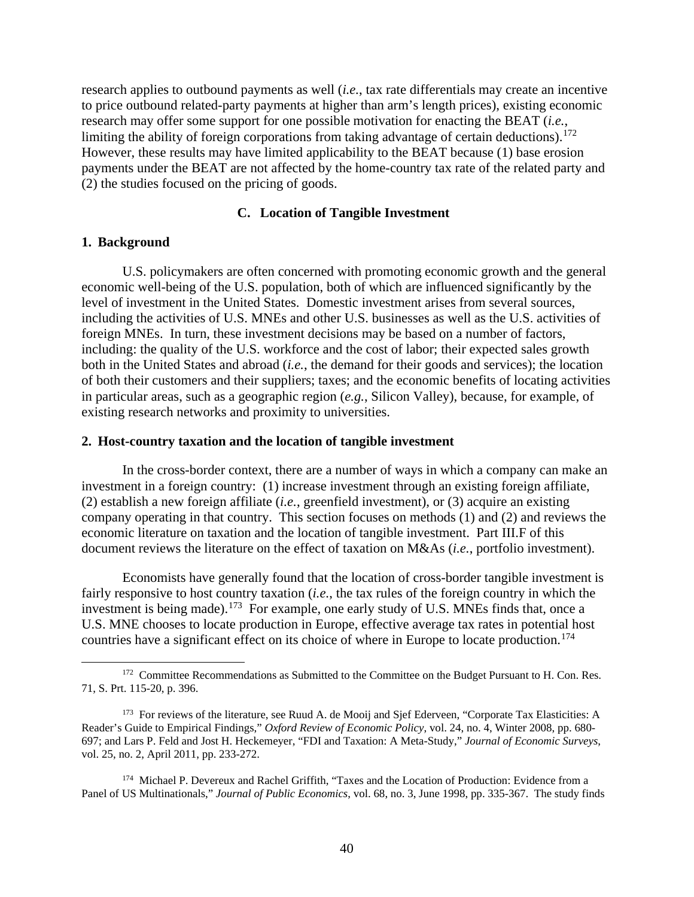research applies to outbound payments as well (*i.e.*, tax rate differentials may create an incentive to price outbound related-party payments at higher than arm's length prices), existing economic research may offer some support for one possible motivation for enacting the BEAT (*i.e.*, limiting the ability of foreign corporations from taking advantage of certain deductions).<sup>172</sup> However, these results may have limited applicability to the BEAT because (1) base erosion payments under the BEAT are not affected by the home-country tax rate of the related party and (2) the studies focused on the pricing of goods.

### **C. Location of Tangible Investment**

### **1. Background**

U.S. policymakers are often concerned with promoting economic growth and the general economic well-being of the U.S. population, both of which are influenced significantly by the level of investment in the United States. Domestic investment arises from several sources, including the activities of U.S. MNEs and other U.S. businesses as well as the U.S. activities of foreign MNEs. In turn, these investment decisions may be based on a number of factors, including: the quality of the U.S. workforce and the cost of labor; their expected sales growth both in the United States and abroad (*i.e.*, the demand for their goods and services); the location of both their customers and their suppliers; taxes; and the economic benefits of locating activities in particular areas, such as a geographic region (*e.g.*, Silicon Valley), because, for example, of existing research networks and proximity to universities.

### **2. Host-country taxation and the location of tangible investment**

In the cross-border context, there are a number of ways in which a company can make an investment in a foreign country: (1) increase investment through an existing foreign affiliate, (2) establish a new foreign affiliate (*i.e.*, greenfield investment), or (3) acquire an existing company operating in that country. This section focuses on methods (1) and (2) and reviews the economic literature on taxation and the location of tangible investment. Part III.F of this document reviews the literature on the effect of taxation on M&As (*i.e.*, portfolio investment).

Economists have generally found that the location of cross-border tangible investment is fairly responsive to host country taxation (*i.e.*, the tax rules of the foreign country in which the investment is being made).<sup>173</sup> For example, one early study of U.S. MNEs finds that, once a U.S. MNE chooses to locate production in Europe, effective average tax rates in potential host countries have a significant effect on its choice of where in Europe to locate production.<sup>174</sup>

<sup>&</sup>lt;sup>172</sup> Committee Recommendations as Submitted to the Committee on the Budget Pursuant to H. Con. Res. 71, S. Prt. 115-20, p. 396.

<sup>&</sup>lt;sup>173</sup> For reviews of the literature, see Ruud A. de Mooij and Sjef Ederveen, "Corporate Tax Elasticities: A Reader's Guide to Empirical Findings," *Oxford Review of Economic Policy*, vol. 24, no. 4, Winter 2008, pp. 680- 697; and Lars P. Feld and Jost H. Heckemeyer, "FDI and Taxation: A Meta-Study," *Journal of Economic Surveys*, vol. 25, no. 2, April 2011, pp. 233-272.

<sup>&</sup>lt;sup>174</sup> Michael P. Devereux and Rachel Griffith, "Taxes and the Location of Production: Evidence from a Panel of US Multinationals," *Journal of Public Economics*, vol. 68, no. 3, June 1998, pp. 335-367. The study finds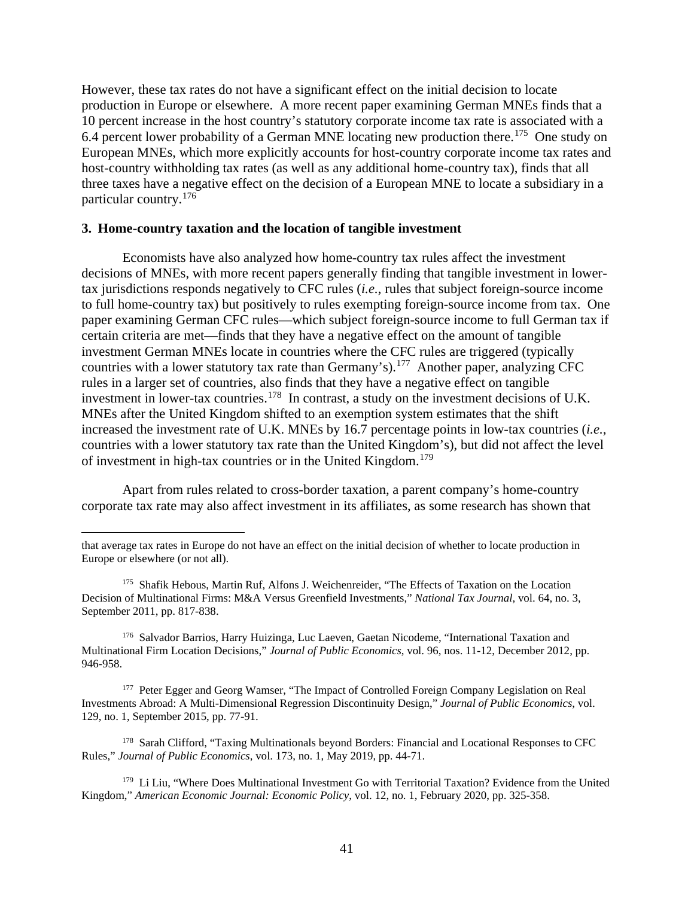However, these tax rates do not have a significant effect on the initial decision to locate production in Europe or elsewhere. A more recent paper examining German MNEs finds that a 10 percent increase in the host country's statutory corporate income tax rate is associated with a 6.4 percent lower probability of a German MNE locating new production there.<sup>175</sup> One study on European MNEs, which more explicitly accounts for host-country corporate income tax rates and host-country withholding tax rates (as well as any additional home-country tax), finds that all three taxes have a negative effect on the decision of a European MNE to locate a subsidiary in a particular country.<sup>176</sup>

#### **3. Home-country taxation and the location of tangible investment**

Economists have also analyzed how home-country tax rules affect the investment decisions of MNEs, with more recent papers generally finding that tangible investment in lowertax jurisdictions responds negatively to CFC rules (*i.e.*, rules that subject foreign-source income to full home-country tax) but positively to rules exempting foreign-source income from tax. One paper examining German CFC rules—which subject foreign-source income to full German tax if certain criteria are met—finds that they have a negative effect on the amount of tangible investment German MNEs locate in countries where the CFC rules are triggered (typically countries with a lower statutory tax rate than Germany's).<sup>177</sup> Another paper, analyzing CFC rules in a larger set of countries, also finds that they have a negative effect on tangible investment in lower-tax countries.<sup>178</sup> In contrast, a study on the investment decisions of U.K. MNEs after the United Kingdom shifted to an exemption system estimates that the shift increased the investment rate of U.K. MNEs by 16.7 percentage points in low-tax countries (*i.e.*, countries with a lower statutory tax rate than the United Kingdom's), but did not affect the level of investment in high-tax countries or in the United Kingdom.<sup>179</sup>

Apart from rules related to cross-border taxation, a parent company's home-country corporate tax rate may also affect investment in its affiliates, as some research has shown that

176 Salvador Barrios, Harry Huizinga, Luc Laeven, Gaetan Nicodeme, "International Taxation and Multinational Firm Location Decisions," *Journal of Public Economics*, vol. 96, nos. 11-12, December 2012, pp. 946-958.

<sup>177</sup> Peter Egger and Georg Wamser, "The Impact of Controlled Foreign Company Legislation on Real Investments Abroad: A Multi-Dimensional Regression Discontinuity Design," *Journal of Public Economics*, vol. 129, no. 1, September 2015, pp. 77-91.

<sup>178</sup> Sarah Clifford, "Taxing Multinationals beyond Borders: Financial and Locational Responses to CFC Rules," *Journal of Public Economics*, vol. 173, no. 1, May 2019, pp. 44-71.

<sup>179</sup> Li Liu, "Where Does Multinational Investment Go with Territorial Taxation? Evidence from the United Kingdom," *American Economic Journal: Economic Policy*, vol. 12, no. 1, February 2020, pp. 325-358.

that average tax rates in Europe do not have an effect on the initial decision of whether to locate production in Europe or elsewhere (or not all).

<sup>175</sup> Shafik Hebous, Martin Ruf, Alfons J. Weichenreider, "The Effects of Taxation on the Location Decision of Multinational Firms: M&A Versus Greenfield Investments," *National Tax Journal*, vol. 64, no. 3, September 2011, pp. 817-838.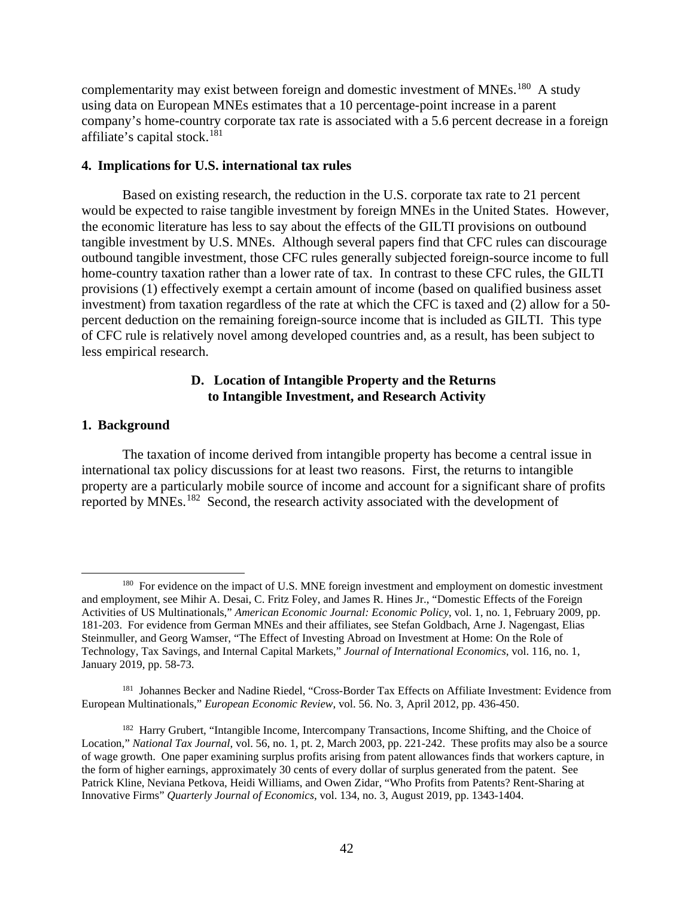complementarity may exist between foreign and domestic investment of MNEs.180 A study using data on European MNEs estimates that a 10 percentage-point increase in a parent company's home-country corporate tax rate is associated with a 5.6 percent decrease in a foreign affiliate's capital stock.<sup>181</sup>

### **4. Implications for U.S. international tax rules**

Based on existing research, the reduction in the U.S. corporate tax rate to 21 percent would be expected to raise tangible investment by foreign MNEs in the United States. However, the economic literature has less to say about the effects of the GILTI provisions on outbound tangible investment by U.S. MNEs. Although several papers find that CFC rules can discourage outbound tangible investment, those CFC rules generally subjected foreign-source income to full home-country taxation rather than a lower rate of tax. In contrast to these CFC rules, the GILTI provisions (1) effectively exempt a certain amount of income (based on qualified business asset investment) from taxation regardless of the rate at which the CFC is taxed and (2) allow for a 50 percent deduction on the remaining foreign-source income that is included as GILTI. This type of CFC rule is relatively novel among developed countries and, as a result, has been subject to less empirical research.

### **D. Location of Intangible Property and the Returns to Intangible Investment, and Research Activity**

#### **1. Background**

The taxation of income derived from intangible property has become a central issue in international tax policy discussions for at least two reasons. First, the returns to intangible property are a particularly mobile source of income and account for a significant share of profits reported by MNEs.182 Second, the research activity associated with the development of

<sup>&</sup>lt;sup>180</sup> For evidence on the impact of U.S. MNE foreign investment and employment on domestic investment and employment, see Mihir A. Desai, C. Fritz Foley, and James R. Hines Jr., "Domestic Effects of the Foreign Activities of US Multinationals," *American Economic Journal: Economic Policy*, vol. 1, no. 1, February 2009, pp. 181-203. For evidence from German MNEs and their affiliates, see Stefan Goldbach, Arne J. Nagengast, Elias Steinmuller, and Georg Wamser, "The Effect of Investing Abroad on Investment at Home: On the Role of Technology, Tax Savings, and Internal Capital Markets," *Journal of International Economics*, vol. 116, no. 1, January 2019, pp. 58-73.

<sup>181</sup> Johannes Becker and Nadine Riedel, "Cross-Border Tax Effects on Affiliate Investment: Evidence from European Multinationals," *European Economic Review*, vol. 56. No. 3, April 2012, pp. 436-450.

<sup>&</sup>lt;sup>182</sup> Harry Grubert, "Intangible Income, Intercompany Transactions, Income Shifting, and the Choice of Location," *National Tax Journal*, vol. 56, no. 1, pt. 2, March 2003, pp. 221-242. These profits may also be a source of wage growth. One paper examining surplus profits arising from patent allowances finds that workers capture, in the form of higher earnings, approximately 30 cents of every dollar of surplus generated from the patent. See Patrick Kline, Neviana Petkova, Heidi Williams, and Owen Zidar, "Who Profits from Patents? Rent-Sharing at Innovative Firms" *Quarterly Journal of Economics*, vol. 134, no. 3, August 2019, pp. 1343-1404.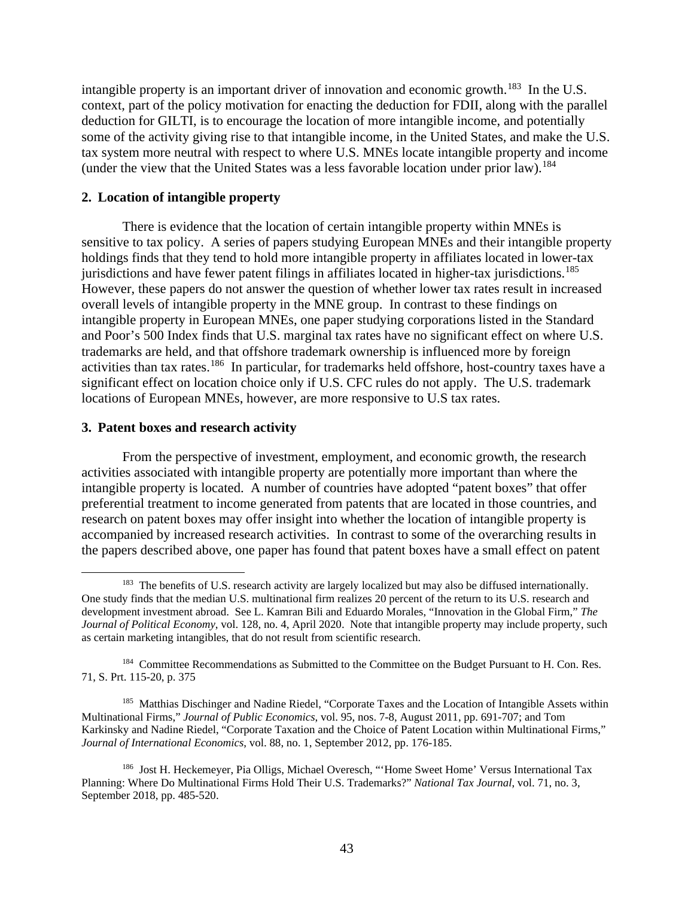intangible property is an important driver of innovation and economic growth.<sup>183</sup> In the U.S. context, part of the policy motivation for enacting the deduction for FDII, along with the parallel deduction for GILTI, is to encourage the location of more intangible income, and potentially some of the activity giving rise to that intangible income, in the United States, and make the U.S. tax system more neutral with respect to where U.S. MNEs locate intangible property and income (under the view that the United States was a less favorable location under prior law).<sup>184</sup>

### **2. Location of intangible property**

There is evidence that the location of certain intangible property within MNEs is sensitive to tax policy. A series of papers studying European MNEs and their intangible property holdings finds that they tend to hold more intangible property in affiliates located in lower-tax jurisdictions and have fewer patent filings in affiliates located in higher-tax jurisdictions.<sup>185</sup> However, these papers do not answer the question of whether lower tax rates result in increased overall levels of intangible property in the MNE group. In contrast to these findings on intangible property in European MNEs, one paper studying corporations listed in the Standard and Poor's 500 Index finds that U.S. marginal tax rates have no significant effect on where U.S. trademarks are held, and that offshore trademark ownership is influenced more by foreign activities than tax rates.186 In particular, for trademarks held offshore, host-country taxes have a significant effect on location choice only if U.S. CFC rules do not apply. The U.S. trademark locations of European MNEs, however, are more responsive to U.S tax rates.

#### **3. Patent boxes and research activity**

From the perspective of investment, employment, and economic growth, the research activities associated with intangible property are potentially more important than where the intangible property is located. A number of countries have adopted "patent boxes" that offer preferential treatment to income generated from patents that are located in those countries, and research on patent boxes may offer insight into whether the location of intangible property is accompanied by increased research activities. In contrast to some of the overarching results in the papers described above, one paper has found that patent boxes have a small effect on patent

<sup>&</sup>lt;sup>183</sup> The benefits of U.S. research activity are largely localized but may also be diffused internationally. One study finds that the median U.S. multinational firm realizes 20 percent of the return to its U.S. research and development investment abroad. See L. Kamran Bili and Eduardo Morales, "Innovation in the Global Firm," *The Journal of Political Economy*, vol. 128, no. 4, April 2020. Note that intangible property may include property, such as certain marketing intangibles, that do not result from scientific research.

<sup>&</sup>lt;sup>184</sup> Committee Recommendations as Submitted to the Committee on the Budget Pursuant to H. Con. Res. 71, S. Prt. 115-20, p. 375

<sup>&</sup>lt;sup>185</sup> Matthias Dischinger and Nadine Riedel, "Corporate Taxes and the Location of Intangible Assets within Multinational Firms," *Journal of Public Economics*, vol. 95, nos. 7-8, August 2011, pp. 691-707; and Tom Karkinsky and Nadine Riedel, "Corporate Taxation and the Choice of Patent Location within Multinational Firms," *Journal of International Economics*, vol. 88, no. 1, September 2012, pp. 176-185.

<sup>186</sup> Jost H. Heckemeyer, Pia Olligs, Michael Overesch, "'Home Sweet Home' Versus International Tax Planning: Where Do Multinational Firms Hold Their U.S. Trademarks?" *National Tax Journal*, vol. 71, no. 3, September 2018, pp. 485-520.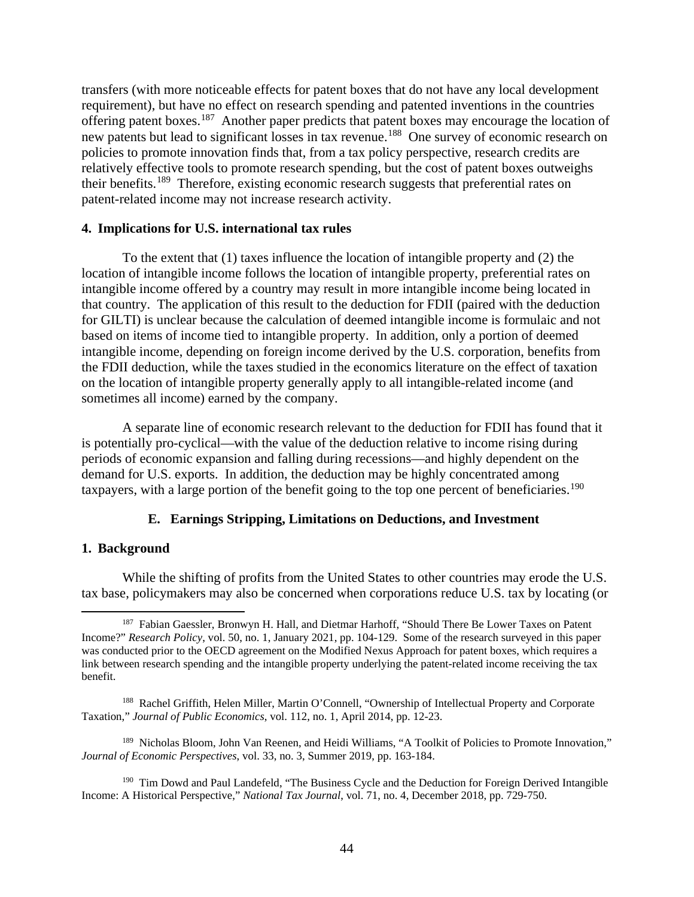transfers (with more noticeable effects for patent boxes that do not have any local development requirement), but have no effect on research spending and patented inventions in the countries offering patent boxes.187 Another paper predicts that patent boxes may encourage the location of new patents but lead to significant losses in tax revenue.<sup>188</sup> One survey of economic research on policies to promote innovation finds that, from a tax policy perspective, research credits are relatively effective tools to promote research spending, but the cost of patent boxes outweighs their benefits.189 Therefore, existing economic research suggests that preferential rates on patent-related income may not increase research activity.

### **4. Implications for U.S. international tax rules**

To the extent that (1) taxes influence the location of intangible property and (2) the location of intangible income follows the location of intangible property, preferential rates on intangible income offered by a country may result in more intangible income being located in that country. The application of this result to the deduction for FDII (paired with the deduction for GILTI) is unclear because the calculation of deemed intangible income is formulaic and not based on items of income tied to intangible property. In addition, only a portion of deemed intangible income, depending on foreign income derived by the U.S. corporation, benefits from the FDII deduction, while the taxes studied in the economics literature on the effect of taxation on the location of intangible property generally apply to all intangible-related income (and sometimes all income) earned by the company.

A separate line of economic research relevant to the deduction for FDII has found that it is potentially pro-cyclical—with the value of the deduction relative to income rising during periods of economic expansion and falling during recessions—and highly dependent on the demand for U.S. exports. In addition, the deduction may be highly concentrated among taxpayers, with a large portion of the benefit going to the top one percent of beneficiaries.<sup>190</sup>

### **E. Earnings Stripping, Limitations on Deductions, and Investment**

### **1. Background**

While the shifting of profits from the United States to other countries may erode the U.S. tax base, policymakers may also be concerned when corporations reduce U.S. tax by locating (or

<sup>189</sup> Nicholas Bloom, John Van Reenen, and Heidi Williams, "A Toolkit of Policies to Promote Innovation," *Journal of Economic Perspectives*, vol. 33, no. 3, Summer 2019, pp. 163-184.

<sup>&</sup>lt;sup>187</sup> Fabian Gaessler, Bronwyn H. Hall, and Dietmar Harhoff, "Should There Be Lower Taxes on Patent Income?" *Research Policy*, vol. 50, no. 1, January 2021, pp. 104-129. Some of the research surveyed in this paper was conducted prior to the OECD agreement on the Modified Nexus Approach for patent boxes, which requires a link between research spending and the intangible property underlying the patent-related income receiving the tax benefit.

<sup>&</sup>lt;sup>188</sup> Rachel Griffith, Helen Miller, Martin O'Connell, "Ownership of Intellectual Property and Corporate Taxation," *Journal of Public Economics*, vol. 112, no. 1, April 2014, pp. 12-23.

<sup>&</sup>lt;sup>190</sup> Tim Dowd and Paul Landefeld, "The Business Cycle and the Deduction for Foreign Derived Intangible Income: A Historical Perspective," *National Tax Journal*, vol. 71, no. 4, December 2018, pp. 729-750.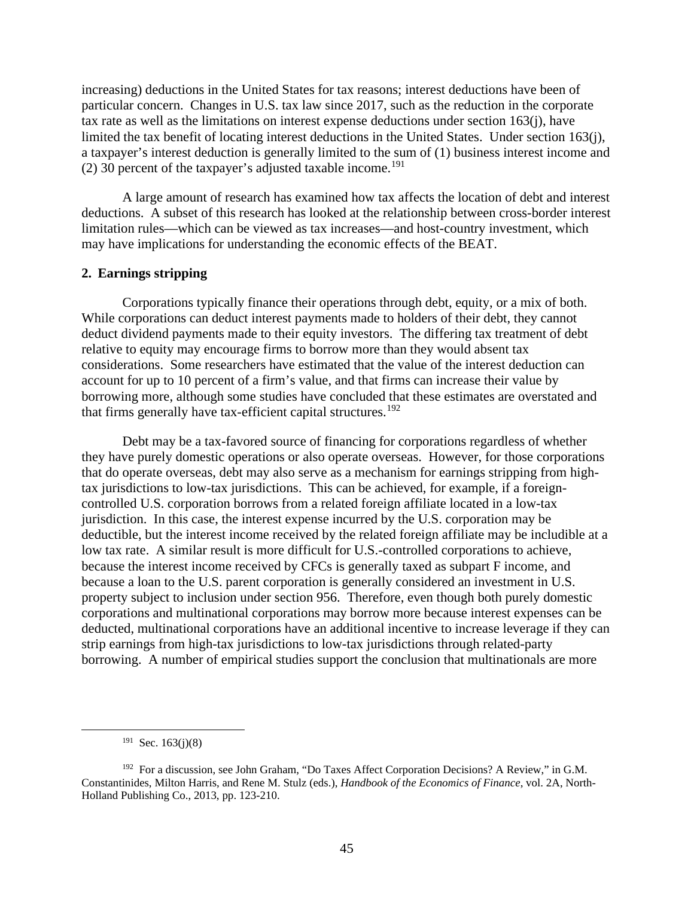increasing) deductions in the United States for tax reasons; interest deductions have been of particular concern. Changes in U.S. tax law since 2017, such as the reduction in the corporate tax rate as well as the limitations on interest expense deductions under section 163(j), have limited the tax benefit of locating interest deductions in the United States. Under section 163(j), a taxpayer's interest deduction is generally limited to the sum of (1) business interest income and (2) 30 percent of the taxpayer's adjusted taxable income.<sup>191</sup>

A large amount of research has examined how tax affects the location of debt and interest deductions. A subset of this research has looked at the relationship between cross-border interest limitation rules—which can be viewed as tax increases—and host-country investment, which may have implications for understanding the economic effects of the BEAT.

### **2. Earnings stripping**

Corporations typically finance their operations through debt, equity, or a mix of both. While corporations can deduct interest payments made to holders of their debt, they cannot deduct dividend payments made to their equity investors. The differing tax treatment of debt relative to equity may encourage firms to borrow more than they would absent tax considerations. Some researchers have estimated that the value of the interest deduction can account for up to 10 percent of a firm's value, and that firms can increase their value by borrowing more, although some studies have concluded that these estimates are overstated and that firms generally have tax-efficient capital structures.<sup>192</sup>

Debt may be a tax-favored source of financing for corporations regardless of whether they have purely domestic operations or also operate overseas. However, for those corporations that do operate overseas, debt may also serve as a mechanism for earnings stripping from hightax jurisdictions to low-tax jurisdictions. This can be achieved, for example, if a foreigncontrolled U.S. corporation borrows from a related foreign affiliate located in a low-tax jurisdiction. In this case, the interest expense incurred by the U.S. corporation may be deductible, but the interest income received by the related foreign affiliate may be includible at a low tax rate. A similar result is more difficult for U.S.-controlled corporations to achieve, because the interest income received by CFCs is generally taxed as subpart F income, and because a loan to the U.S. parent corporation is generally considered an investment in U.S. property subject to inclusion under section 956. Therefore, even though both purely domestic corporations and multinational corporations may borrow more because interest expenses can be deducted, multinational corporations have an additional incentive to increase leverage if they can strip earnings from high-tax jurisdictions to low-tax jurisdictions through related-party borrowing. A number of empirical studies support the conclusion that multinationals are more

 $191$  Sec. 163(j)(8)

<sup>192</sup> For a discussion, see John Graham, "Do Taxes Affect Corporation Decisions? A Review," in G.M. Constantinides, Milton Harris, and Rene M. Stulz (eds.), *Handbook of the Economics of Finance*, vol. 2A, North-Holland Publishing Co., 2013, pp. 123-210.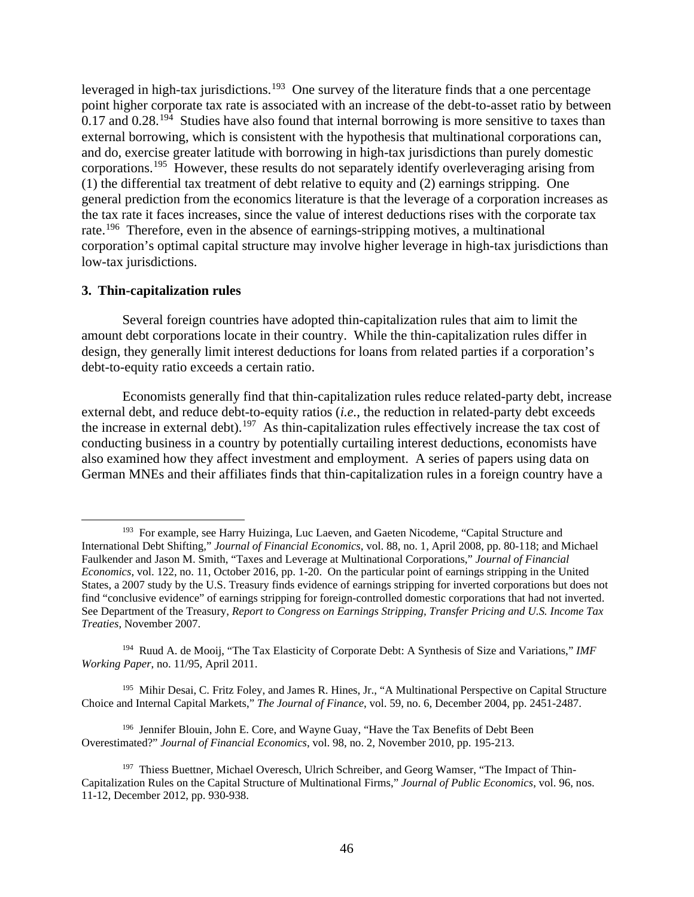leveraged in high-tax jurisdictions.<sup>193</sup> One survey of the literature finds that a one percentage point higher corporate tax rate is associated with an increase of the debt-to-asset ratio by between 0.17 and 0.28.<sup>194</sup> Studies have also found that internal borrowing is more sensitive to taxes than external borrowing, which is consistent with the hypothesis that multinational corporations can, and do, exercise greater latitude with borrowing in high-tax jurisdictions than purely domestic corporations.195 However, these results do not separately identify overleveraging arising from (1) the differential tax treatment of debt relative to equity and (2) earnings stripping. One general prediction from the economics literature is that the leverage of a corporation increases as the tax rate it faces increases, since the value of interest deductions rises with the corporate tax rate.<sup>196</sup> Therefore, even in the absence of earnings-stripping motives, a multinational corporation's optimal capital structure may involve higher leverage in high-tax jurisdictions than low-tax jurisdictions.

#### **3. Thin-capitalization rules**

Several foreign countries have adopted thin-capitalization rules that aim to limit the amount debt corporations locate in their country. While the thin-capitalization rules differ in design, they generally limit interest deductions for loans from related parties if a corporation's debt-to-equity ratio exceeds a certain ratio.

Economists generally find that thin-capitalization rules reduce related-party debt, increase external debt, and reduce debt-to-equity ratios (*i.e.*, the reduction in related-party debt exceeds the increase in external debt).<sup>197</sup> As thin-capitalization rules effectively increase the tax cost of conducting business in a country by potentially curtailing interest deductions, economists have also examined how they affect investment and employment. A series of papers using data on German MNEs and their affiliates finds that thin-capitalization rules in a foreign country have a

195 Mihir Desai, C. Fritz Foley, and James R. Hines, Jr., "A Multinational Perspective on Capital Structure Choice and Internal Capital Markets," *The Journal of Finance*, vol. 59, no. 6, December 2004, pp. 2451-2487.

<sup>196</sup> Jennifer Blouin, John E. Core, and Wayne Guay, "Have the Tax Benefits of Debt Been Overestimated?" *Journal of Financial Economics*, vol. 98, no. 2, November 2010, pp. 195-213.

<sup>&</sup>lt;sup>193</sup> For example, see Harry Huizinga, Luc Laeven, and Gaeten Nicodeme, "Capital Structure and International Debt Shifting," *Journal of Financial Economics*, vol. 88, no. 1, April 2008, pp. 80-118; and Michael Faulkender and Jason M. Smith, "Taxes and Leverage at Multinational Corporations," *Journal of Financial Economics*, vol. 122, no. 11, October 2016, pp. 1-20. On the particular point of earnings stripping in the United States, a 2007 study by the U.S. Treasury finds evidence of earnings stripping for inverted corporations but does not find "conclusive evidence" of earnings stripping for foreign-controlled domestic corporations that had not inverted. See Department of the Treasury, *Report to Congress on Earnings Stripping, Transfer Pricing and U.S. Income Tax Treaties*, November 2007.

<sup>194</sup> Ruud A. de Mooij, "The Tax Elasticity of Corporate Debt: A Synthesis of Size and Variations," *IMF Working Paper*, no. 11/95, April 2011.

<sup>&</sup>lt;sup>197</sup> Thiess Buettner, Michael Overesch, Ulrich Schreiber, and Georg Wamser, "The Impact of Thin-Capitalization Rules on the Capital Structure of Multinational Firms," *Journal of Public Economics*, vol. 96, nos. 11-12, December 2012, pp. 930-938.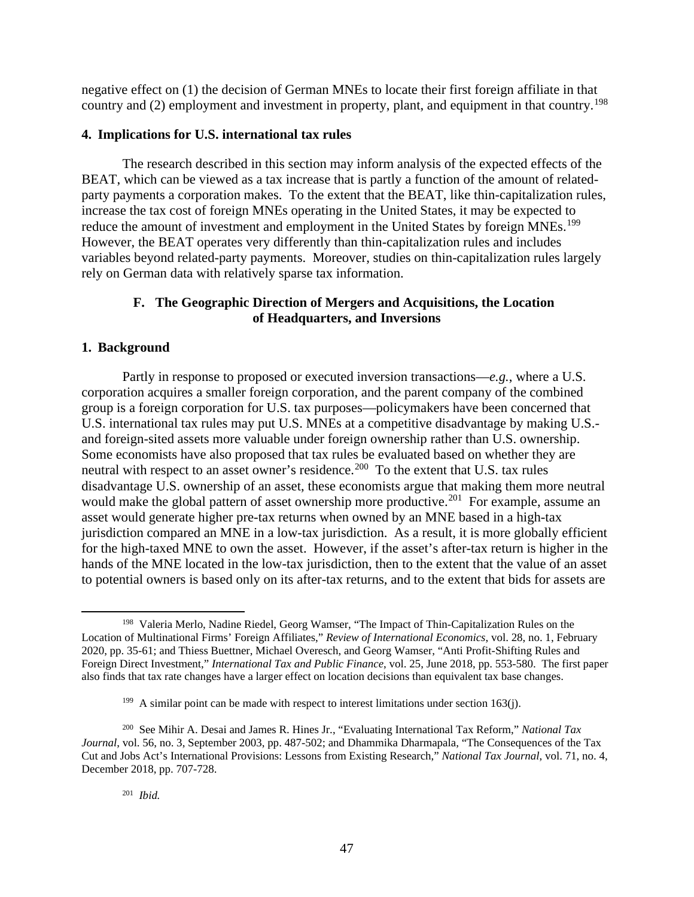negative effect on (1) the decision of German MNEs to locate their first foreign affiliate in that country and (2) employment and investment in property, plant, and equipment in that country.<sup>198</sup>

### **4. Implications for U.S. international tax rules**

The research described in this section may inform analysis of the expected effects of the BEAT, which can be viewed as a tax increase that is partly a function of the amount of relatedparty payments a corporation makes. To the extent that the BEAT, like thin-capitalization rules, increase the tax cost of foreign MNEs operating in the United States, it may be expected to reduce the amount of investment and employment in the United States by foreign MNEs.<sup>199</sup> However, the BEAT operates very differently than thin-capitalization rules and includes variables beyond related-party payments. Moreover, studies on thin-capitalization rules largely rely on German data with relatively sparse tax information.

# **F. The Geographic Direction of Mergers and Acquisitions, the Location of Headquarters, and Inversions**

### **1. Background**

Partly in response to proposed or executed inversion transactions—*e.g.*, where a U.S. corporation acquires a smaller foreign corporation, and the parent company of the combined group is a foreign corporation for U.S. tax purposes—policymakers have been concerned that U.S. international tax rules may put U.S. MNEs at a competitive disadvantage by making U.S. and foreign-sited assets more valuable under foreign ownership rather than U.S. ownership. Some economists have also proposed that tax rules be evaluated based on whether they are neutral with respect to an asset owner's residence.<sup>200</sup> To the extent that U.S. tax rules disadvantage U.S. ownership of an asset, these economists argue that making them more neutral would make the global pattern of asset ownership more productive.<sup>201</sup> For example, assume an asset would generate higher pre-tax returns when owned by an MNE based in a high-tax jurisdiction compared an MNE in a low-tax jurisdiction. As a result, it is more globally efficient for the high-taxed MNE to own the asset. However, if the asset's after-tax return is higher in the hands of the MNE located in the low-tax jurisdiction, then to the extent that the value of an asset to potential owners is based only on its after-tax returns, and to the extent that bids for assets are

<sup>198</sup> Valeria Merlo, Nadine Riedel, Georg Wamser, "The Impact of Thin-Capitalization Rules on the Location of Multinational Firms' Foreign Affiliates," *Review of International Economics*, vol. 28, no. 1, February 2020, pp. 35-61; and Thiess Buettner, Michael Overesch, and Georg Wamser, "Anti Profit-Shifting Rules and Foreign Direct Investment," *International Tax and Public Finance*, vol. 25, June 2018, pp. 553-580. The first paper also finds that tax rate changes have a larger effect on location decisions than equivalent tax base changes.

<sup>&</sup>lt;sup>199</sup> A similar point can be made with respect to interest limitations under section 163(j).

<sup>200</sup> See Mihir A. Desai and James R. Hines Jr., "Evaluating International Tax Reform," *National Tax Journal*, vol. 56, no. 3, September 2003, pp. 487-502; and Dhammika Dharmapala, "The Consequences of the Tax Cut and Jobs Act's International Provisions: Lessons from Existing Research," *National Tax Journal*, vol. 71, no. 4, December 2018, pp. 707-728.

<sup>201</sup> *Ibid.*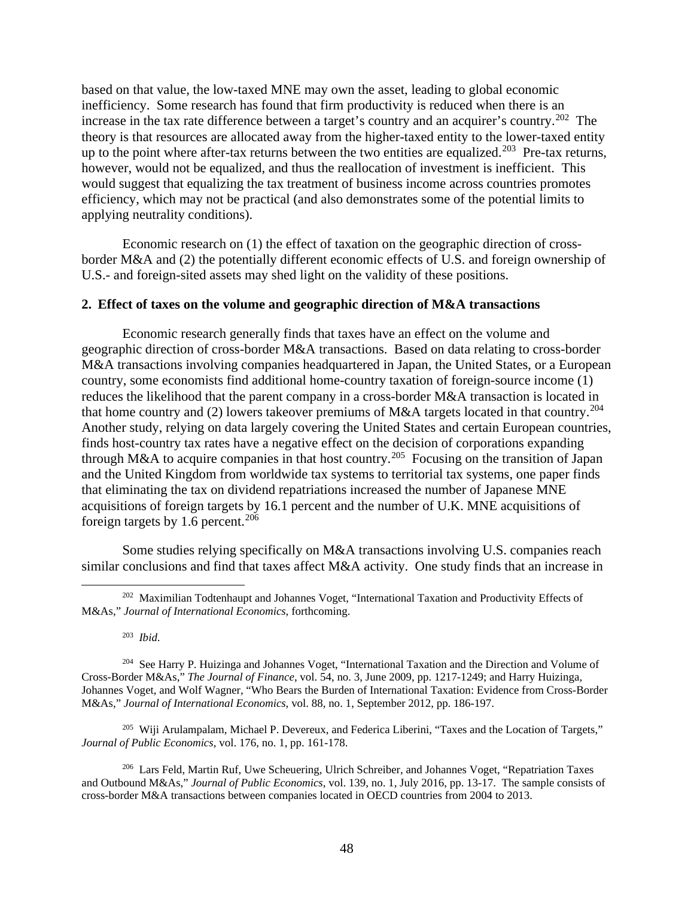based on that value, the low-taxed MNE may own the asset, leading to global economic inefficiency. Some research has found that firm productivity is reduced when there is an increase in the tax rate difference between a target's country and an acquirer's country.<sup>202</sup> The theory is that resources are allocated away from the higher-taxed entity to the lower-taxed entity up to the point where after-tax returns between the two entities are equalized.<sup>203</sup> Pre-tax returns, however, would not be equalized, and thus the reallocation of investment is inefficient. This would suggest that equalizing the tax treatment of business income across countries promotes efficiency, which may not be practical (and also demonstrates some of the potential limits to applying neutrality conditions).

Economic research on (1) the effect of taxation on the geographic direction of crossborder M&A and (2) the potentially different economic effects of U.S. and foreign ownership of U.S.- and foreign-sited assets may shed light on the validity of these positions.

### **2. Effect of taxes on the volume and geographic direction of M&A transactions**

Economic research generally finds that taxes have an effect on the volume and geographic direction of cross-border M&A transactions. Based on data relating to cross-border M&A transactions involving companies headquartered in Japan, the United States, or a European country, some economists find additional home-country taxation of foreign-source income (1) reduces the likelihood that the parent company in a cross-border M&A transaction is located in that home country and (2) lowers takeover premiums of M&A targets located in that country.<sup>204</sup> Another study, relying on data largely covering the United States and certain European countries, finds host-country tax rates have a negative effect on the decision of corporations expanding through M&A to acquire companies in that host country.205 Focusing on the transition of Japan and the United Kingdom from worldwide tax systems to territorial tax systems, one paper finds that eliminating the tax on dividend repatriations increased the number of Japanese MNE acquisitions of foreign targets by 16.1 percent and the number of U.K. MNE acquisitions of foreign targets by  $1.6$  percent.<sup>206</sup>

Some studies relying specifically on M&A transactions involving U.S. companies reach similar conclusions and find that taxes affect M&A activity. One study finds that an increase in

203 *Ibid*.

205 Wiji Arulampalam, Michael P. Devereux, and Federica Liberini, "Taxes and the Location of Targets," *Journal of Public Economics*, vol. 176, no. 1, pp. 161-178.

<sup>206</sup> Lars Feld, Martin Ruf, Uwe Scheuering, Ulrich Schreiber, and Johannes Voget, "Repatriation Taxes" and Outbound M&As," *Journal of Public Economics*, vol. 139, no. 1, July 2016, pp. 13-17. The sample consists of cross-border M&A transactions between companies located in OECD countries from 2004 to 2013.

<sup>&</sup>lt;sup>202</sup> Maximilian Todtenhaupt and Johannes Voget, "International Taxation and Productivity Effects of M&As," *Journal of International Economics*, forthcoming.

<sup>204</sup> See Harry P. Huizinga and Johannes Voget, "International Taxation and the Direction and Volume of Cross-Border M&As," *The Journal of Finance*, vol. 54, no. 3, June 2009, pp. 1217-1249; and Harry Huizinga, Johannes Voget, and Wolf Wagner, "Who Bears the Burden of International Taxation: Evidence from Cross-Border M&As," *Journal of International Economics*, vol. 88, no. 1, September 2012, pp. 186-197.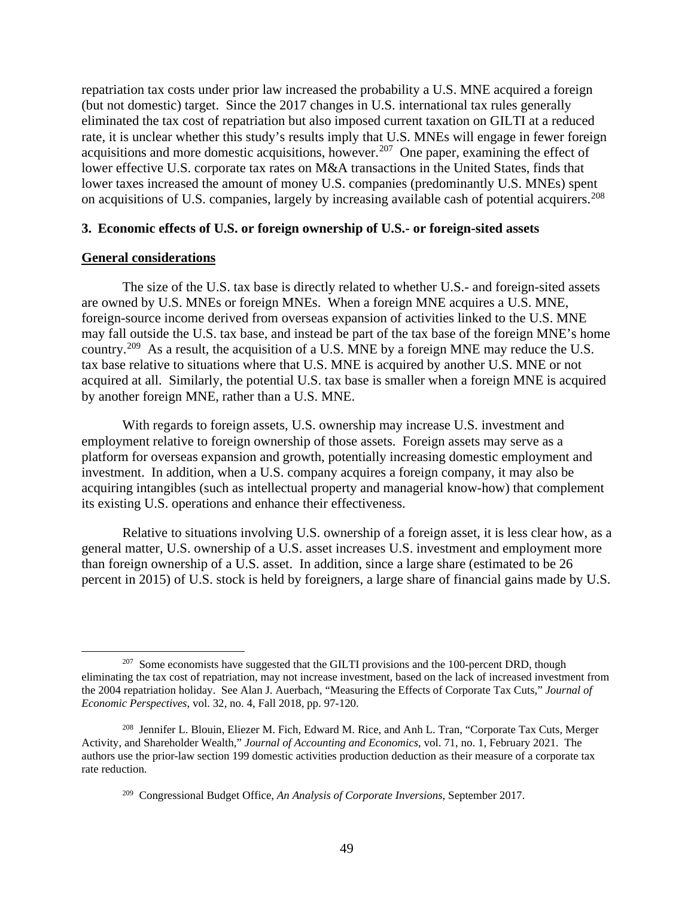repatriation tax costs under prior law increased the probability a U.S. MNE acquired a foreign (but not domestic) target. Since the 2017 changes in U.S. international tax rules generally eliminated the tax cost of repatriation but also imposed current taxation on GILTI at a reduced rate, it is unclear whether this study's results imply that U.S. MNEs will engage in fewer foreign acquisitions and more domestic acquisitions, however.<sup>207</sup> One paper, examining the effect of lower effective U.S. corporate tax rates on M&A transactions in the United States, finds that lower taxes increased the amount of money U.S. companies (predominantly U.S. MNEs) spent on acquisitions of U.S. companies, largely by increasing available cash of potential acquirers.<sup>208</sup>

#### **3. Economic effects of U.S. or foreign ownership of U.S.- or foreign-sited assets**

### **General considerations**

The size of the U.S. tax base is directly related to whether U.S.- and foreign-sited assets are owned by U.S. MNEs or foreign MNEs. When a foreign MNE acquires a U.S. MNE, foreign-source income derived from overseas expansion of activities linked to the U.S. MNE may fall outside the U.S. tax base, and instead be part of the tax base of the foreign MNE's home country.<sup>209</sup> As a result, the acquisition of a U.S. MNE by a foreign MNE may reduce the U.S. tax base relative to situations where that U.S. MNE is acquired by another U.S. MNE or not acquired at all. Similarly, the potential U.S. tax base is smaller when a foreign MNE is acquired by another foreign MNE, rather than a U.S. MNE.

With regards to foreign assets, U.S. ownership may increase U.S. investment and employment relative to foreign ownership of those assets. Foreign assets may serve as a platform for overseas expansion and growth, potentially increasing domestic employment and investment. In addition, when a U.S. company acquires a foreign company, it may also be acquiring intangibles (such as intellectual property and managerial know-how) that complement its existing U.S. operations and enhance their effectiveness.

Relative to situations involving U.S. ownership of a foreign asset, it is less clear how, as a general matter, U.S. ownership of a U.S. asset increases U.S. investment and employment more than foreign ownership of a U.S. asset. In addition, since a large share (estimated to be 26 percent in 2015) of U.S. stock is held by foreigners, a large share of financial gains made by U.S.

 $207$  Some economists have suggested that the GILTI provisions and the 100-percent DRD, though eliminating the tax cost of repatriation, may not increase investment, based on the lack of increased investment from the 2004 repatriation holiday. See Alan J. Auerbach, "Measuring the Effects of Corporate Tax Cuts," *Journal of Economic Perspectives*, vol. 32, no. 4, Fall 2018, pp. 97-120.

<sup>208</sup> Jennifer L. Blouin, Eliezer M. Fich, Edward M. Rice, and Anh L. Tran, "Corporate Tax Cuts, Merger Activity, and Shareholder Wealth," *Journal of Accounting and Economics*, vol. 71, no. 1, February 2021. The authors use the prior-law section 199 domestic activities production deduction as their measure of a corporate tax rate reduction.

<sup>209</sup> Congressional Budget Office, *An Analysis of Corporate Inversions*, September 2017.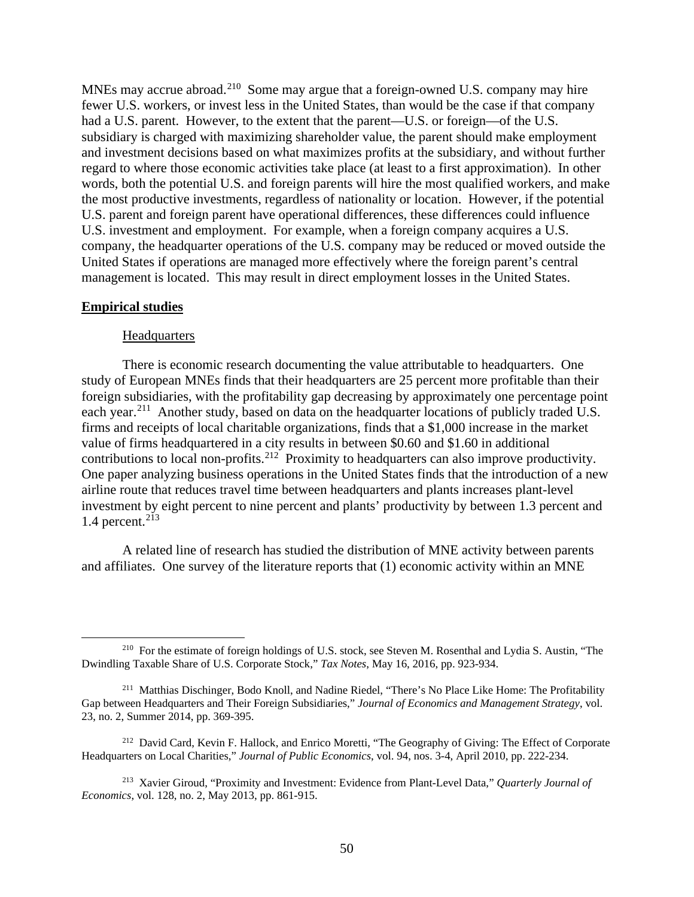MNEs may accrue abroad.<sup>210</sup> Some may argue that a foreign-owned U.S. company may hire fewer U.S. workers, or invest less in the United States, than would be the case if that company had a U.S. parent. However, to the extent that the parent—U.S. or foreign—of the U.S. subsidiary is charged with maximizing shareholder value, the parent should make employment and investment decisions based on what maximizes profits at the subsidiary, and without further regard to where those economic activities take place (at least to a first approximation). In other words, both the potential U.S. and foreign parents will hire the most qualified workers, and make the most productive investments, regardless of nationality or location. However, if the potential U.S. parent and foreign parent have operational differences, these differences could influence U.S. investment and employment. For example, when a foreign company acquires a U.S. company, the headquarter operations of the U.S. company may be reduced or moved outside the United States if operations are managed more effectively where the foreign parent's central management is located. This may result in direct employment losses in the United States.

#### **Empirical studies**

### **Headquarters**

There is economic research documenting the value attributable to headquarters. One study of European MNEs finds that their headquarters are 25 percent more profitable than their foreign subsidiaries, with the profitability gap decreasing by approximately one percentage point each year.<sup>211</sup> Another study, based on data on the headquarter locations of publicly traded U.S. firms and receipts of local charitable organizations, finds that a \$1,000 increase in the market value of firms headquartered in a city results in between \$0.60 and \$1.60 in additional contributions to local non-profits.212 Proximity to headquarters can also improve productivity. One paper analyzing business operations in the United States finds that the introduction of a new airline route that reduces travel time between headquarters and plants increases plant-level investment by eight percent to nine percent and plants' productivity by between 1.3 percent and 1.4 percent. $213$ 

A related line of research has studied the distribution of MNE activity between parents and affiliates. One survey of the literature reports that (1) economic activity within an MNE

<sup>&</sup>lt;sup>210</sup> For the estimate of foreign holdings of U.S. stock, see Steven M. Rosenthal and Lydia S. Austin, "The Dwindling Taxable Share of U.S. Corporate Stock," *Tax Notes*, May 16, 2016, pp. 923-934.

<sup>&</sup>lt;sup>211</sup> Matthias Dischinger, Bodo Knoll, and Nadine Riedel, "There's No Place Like Home: The Profitability Gap between Headquarters and Their Foreign Subsidiaries," *Journal of Economics and Management Strategy*, vol. 23, no. 2, Summer 2014, pp. 369-395.

<sup>&</sup>lt;sup>212</sup> David Card, Kevin F. Hallock, and Enrico Moretti, "The Geography of Giving: The Effect of Corporate Headquarters on Local Charities," *Journal of Public Economics*, vol. 94, nos. 3-4, April 2010, pp. 222-234.

<sup>213</sup> Xavier Giroud, "Proximity and Investment: Evidence from Plant-Level Data," *Quarterly Journal of Economics*, vol. 128, no. 2, May 2013, pp. 861-915.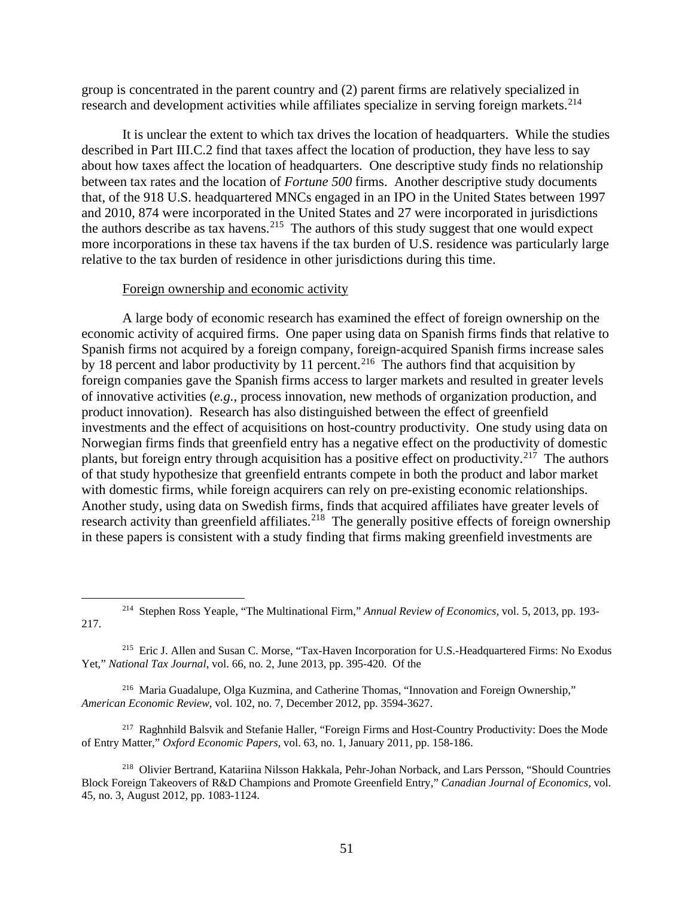group is concentrated in the parent country and (2) parent firms are relatively specialized in research and development activities while affiliates specialize in serving foreign markets.<sup>214</sup>

It is unclear the extent to which tax drives the location of headquarters. While the studies described in Part III.C.2 find that taxes affect the location of production, they have less to say about how taxes affect the location of headquarters. One descriptive study finds no relationship between tax rates and the location of *Fortune 500* firms. Another descriptive study documents that, of the 918 U.S. headquartered MNCs engaged in an IPO in the United States between 1997 and 2010, 874 were incorporated in the United States and 27 were incorporated in jurisdictions the authors describe as tax havens.<sup>215</sup> The authors of this study suggest that one would expect more incorporations in these tax havens if the tax burden of U.S. residence was particularly large relative to the tax burden of residence in other jurisdictions during this time.

### Foreign ownership and economic activity

A large body of economic research has examined the effect of foreign ownership on the economic activity of acquired firms. One paper using data on Spanish firms finds that relative to Spanish firms not acquired by a foreign company, foreign-acquired Spanish firms increase sales by 18 percent and labor productivity by 11 percent.<sup>216</sup> The authors find that acquisition by foreign companies gave the Spanish firms access to larger markets and resulted in greater levels of innovative activities (*e.g.*, process innovation, new methods of organization production, and product innovation). Research has also distinguished between the effect of greenfield investments and the effect of acquisitions on host-country productivity. One study using data on Norwegian firms finds that greenfield entry has a negative effect on the productivity of domestic plants, but foreign entry through acquisition has a positive effect on productivity.<sup>217</sup> The authors of that study hypothesize that greenfield entrants compete in both the product and labor market with domestic firms, while foreign acquirers can rely on pre-existing economic relationships. Another study, using data on Swedish firms, finds that acquired affiliates have greater levels of research activity than greenfield affiliates.<sup>218</sup> The generally positive effects of foreign ownership in these papers is consistent with a study finding that firms making greenfield investments are

216 Maria Guadalupe, Olga Kuzmina, and Catherine Thomas, "Innovation and Foreign Ownership," *American Economic Review*, vol. 102, no. 7, December 2012, pp. 3594-3627.

<sup>217</sup> Raghnhild Balsvik and Stefanie Haller, "Foreign Firms and Host-Country Productivity: Does the Mode of Entry Matter," *Oxford Economic Papers*, vol. 63, no. 1, January 2011, pp. 158-186.

218 Olivier Bertrand, Katariina Nilsson Hakkala, Pehr-Johan Norback, and Lars Persson, "Should Countries Block Foreign Takeovers of R&D Champions and Promote Greenfield Entry," *Canadian Journal of Economics,* vol. 45, no. 3, August 2012, pp. 1083-1124.

<sup>214</sup> Stephen Ross Yeaple, "The Multinational Firm," *Annual Review of Economics*, vol. 5, 2013, pp. 193- 217.

<sup>&</sup>lt;sup>215</sup> Eric J. Allen and Susan C. Morse, "Tax-Haven Incorporation for U.S.-Headquartered Firms: No Exodus Yet," *National Tax Journal*, vol. 66, no. 2, June 2013, pp. 395-420. Of the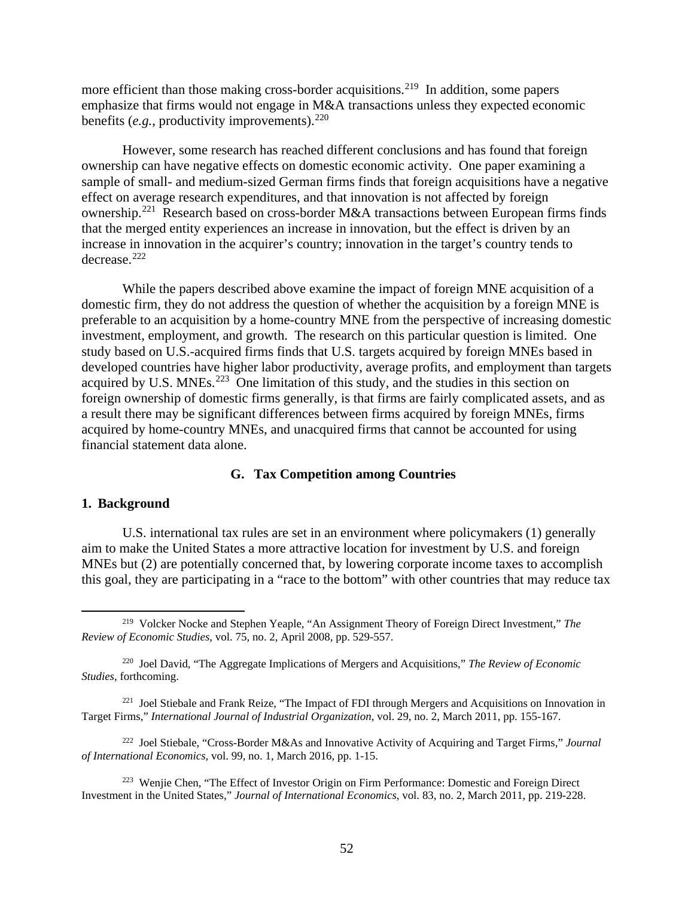more efficient than those making cross-border acquisitions.<sup>219</sup> In addition, some papers emphasize that firms would not engage in M&A transactions unless they expected economic benefits  $(e.g.,$  productivity improvements).  $220$ 

However, some research has reached different conclusions and has found that foreign ownership can have negative effects on domestic economic activity. One paper examining a sample of small- and medium-sized German firms finds that foreign acquisitions have a negative effect on average research expenditures, and that innovation is not affected by foreign ownership.221 Research based on cross-border M&A transactions between European firms finds that the merged entity experiences an increase in innovation, but the effect is driven by an increase in innovation in the acquirer's country; innovation in the target's country tends to  $decrease.$ <sup>222</sup>

While the papers described above examine the impact of foreign MNE acquisition of a domestic firm, they do not address the question of whether the acquisition by a foreign MNE is preferable to an acquisition by a home-country MNE from the perspective of increasing domestic investment, employment, and growth. The research on this particular question is limited. One study based on U.S.-acquired firms finds that U.S. targets acquired by foreign MNEs based in developed countries have higher labor productivity, average profits, and employment than targets acquired by U.S. MNEs.<sup>223</sup> One limitation of this study, and the studies in this section on foreign ownership of domestic firms generally, is that firms are fairly complicated assets, and as a result there may be significant differences between firms acquired by foreign MNEs, firms acquired by home-country MNEs, and unacquired firms that cannot be accounted for using financial statement data alone.

### **G. Tax Competition among Countries**

### **1. Background**

U.S. international tax rules are set in an environment where policymakers (1) generally aim to make the United States a more attractive location for investment by U.S. and foreign MNEs but (2) are potentially concerned that, by lowering corporate income taxes to accomplish this goal, they are participating in a "race to the bottom" with other countries that may reduce tax

<sup>219</sup> Volcker Nocke and Stephen Yeaple, "An Assignment Theory of Foreign Direct Investment," *The Review of Economic Studies*, vol. 75, no. 2, April 2008, pp. 529-557.

<sup>220</sup> Joel David, "The Aggregate Implications of Mergers and Acquisitions," *The Review of Economic Studies*, forthcoming.

<sup>&</sup>lt;sup>221</sup> Joel Stiebale and Frank Reize, "The Impact of FDI through Mergers and Acquisitions on Innovation in Target Firms," *International Journal of Industrial Organization*, vol. 29, no. 2, March 2011, pp. 155-167.

<sup>222</sup> Joel Stiebale, "Cross-Border M&As and Innovative Activity of Acquiring and Target Firms," *Journal of International Economics*, vol. 99, no. 1, March 2016, pp. 1-15.

<sup>223</sup> Wenjie Chen, "The Effect of Investor Origin on Firm Performance: Domestic and Foreign Direct Investment in the United States," *Journal of International Economics*, vol. 83, no. 2, March 2011, pp. 219-228.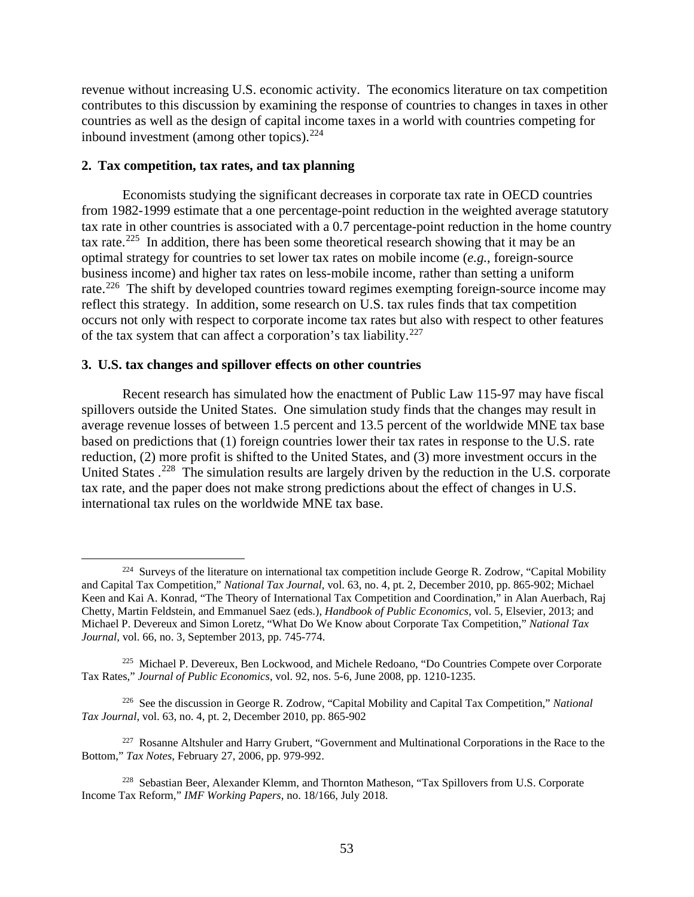revenue without increasing U.S. economic activity. The economics literature on tax competition contributes to this discussion by examining the response of countries to changes in taxes in other countries as well as the design of capital income taxes in a world with countries competing for inbound investment (among other topics). $224$ 

### **2. Tax competition, tax rates, and tax planning**

Economists studying the significant decreases in corporate tax rate in OECD countries from 1982-1999 estimate that a one percentage-point reduction in the weighted average statutory tax rate in other countries is associated with a 0.7 percentage-point reduction in the home country tax rate.<sup>225</sup> In addition, there has been some theoretical research showing that it may be an optimal strategy for countries to set lower tax rates on mobile income (*e.g.*, foreign-source business income) and higher tax rates on less-mobile income, rather than setting a uniform rate.<sup>226</sup> The shift by developed countries toward regimes exempting foreign-source income may reflect this strategy. In addition, some research on U.S. tax rules finds that tax competition occurs not only with respect to corporate income tax rates but also with respect to other features of the tax system that can affect a corporation's tax liability.<sup>227</sup>

### **3. U.S. tax changes and spillover effects on other countries**

Recent research has simulated how the enactment of Public Law 115-97 may have fiscal spillovers outside the United States. One simulation study finds that the changes may result in average revenue losses of between 1.5 percent and 13.5 percent of the worldwide MNE tax base based on predictions that (1) foreign countries lower their tax rates in response to the U.S. rate reduction, (2) more profit is shifted to the United States, and (3) more investment occurs in the United States .<sup>228</sup> The simulation results are largely driven by the reduction in the U.S. corporate tax rate, and the paper does not make strong predictions about the effect of changes in U.S. international tax rules on the worldwide MNE tax base.

226 See the discussion in George R. Zodrow, "Capital Mobility and Capital Tax Competition," *National Tax Journal*, vol. 63, no. 4, pt. 2, December 2010, pp. 865-902

<sup>&</sup>lt;sup>224</sup> Surveys of the literature on international tax competition include George R. Zodrow, "Capital Mobility" and Capital Tax Competition," *National Tax Journal*, vol. 63, no. 4, pt. 2, December 2010, pp. 865-902; Michael Keen and Kai A. Konrad, "The Theory of International Tax Competition and Coordination," in Alan Auerbach, Raj Chetty, Martin Feldstein, and Emmanuel Saez (eds.), *Handbook of Public Economics*, vol. 5, Elsevier, 2013; and Michael P. Devereux and Simon Loretz, "What Do We Know about Corporate Tax Competition," *National Tax Journal*, vol. 66, no. 3, September 2013, pp. 745-774.

<sup>&</sup>lt;sup>225</sup> Michael P. Devereux, Ben Lockwood, and Michele Redoano, "Do Countries Compete over Corporate Tax Rates," *Journal of Public Economics*, vol. 92, nos. 5-6, June 2008, pp. 1210-1235.

<sup>227</sup> Rosanne Altshuler and Harry Grubert, "Government and Multinational Corporations in the Race to the Bottom," *Tax Notes*, February 27, 2006, pp. 979-992.

<sup>&</sup>lt;sup>228</sup> Sebastian Beer, Alexander Klemm, and Thornton Matheson, "Tax Spillovers from U.S. Corporate Income Tax Reform," *IMF Working Papers*, no. 18/166, July 2018.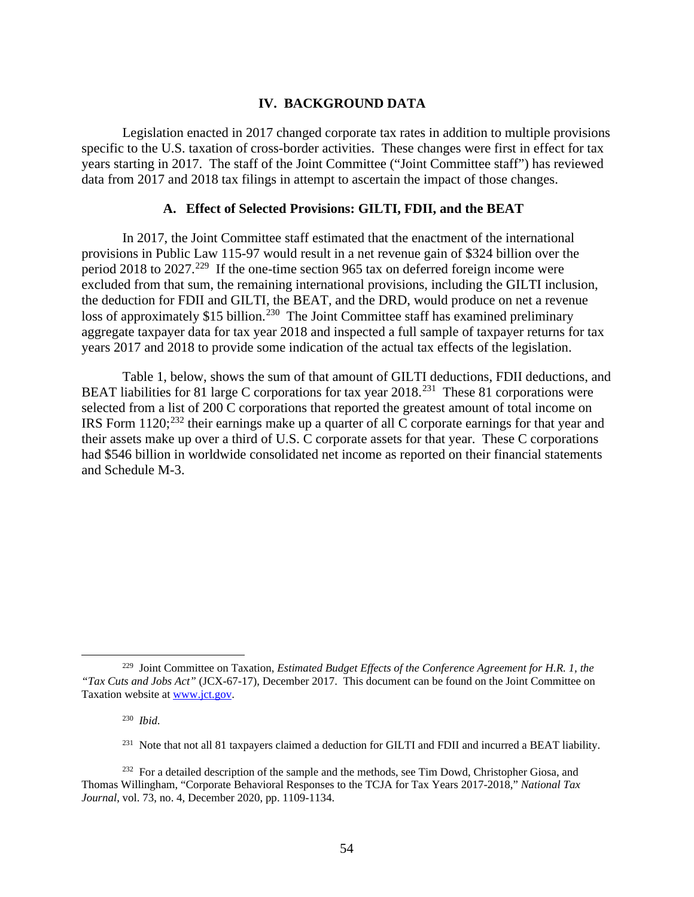### **IV. BACKGROUND DATA**

Legislation enacted in 2017 changed corporate tax rates in addition to multiple provisions specific to the U.S. taxation of cross-border activities. These changes were first in effect for tax years starting in 2017. The staff of the Joint Committee ("Joint Committee staff") has reviewed data from 2017 and 2018 tax filings in attempt to ascertain the impact of those changes.

### **A. Effect of Selected Provisions: GILTI, FDII, and the BEAT**

In 2017, the Joint Committee staff estimated that the enactment of the international provisions in Public Law 115-97 would result in a net revenue gain of \$324 billion over the period 2018 to 2027.<sup>229</sup> If the one-time section 965 tax on deferred foreign income were excluded from that sum, the remaining international provisions, including the GILTI inclusion, the deduction for FDII and GILTI, the BEAT, and the DRD, would produce on net a revenue loss of approximately \$15 billion.<sup>230</sup> The Joint Committee staff has examined preliminary aggregate taxpayer data for tax year 2018 and inspected a full sample of taxpayer returns for tax years 2017 and 2018 to provide some indication of the actual tax effects of the legislation.

Table 1, below, shows the sum of that amount of GILTI deductions, FDII deductions, and BEAT liabilities for 81 large C corporations for tax year 2018.<sup>231</sup> These 81 corporations were selected from a list of 200 C corporations that reported the greatest amount of total income on IRS Form  $1120$ <sup>232</sup> their earnings make up a quarter of all C corporate earnings for that year and their assets make up over a third of U.S. C corporate assets for that year. These C corporations had \$546 billion in worldwide consolidated net income as reported on their financial statements and Schedule M-3.

230 *Ibid*.

<sup>229</sup> Joint Committee on Taxation, *Estimated Budget Effects of the Conference Agreement for H.R. 1, the "Tax Cuts and Jobs Act"* (JCX-67-17), December 2017. This document can be found on the Joint Committee on Taxation website at www.jct.gov.

<sup>&</sup>lt;sup>231</sup> Note that not all 81 taxpayers claimed a deduction for GILTI and FDII and incurred a BEAT liability.

<sup>&</sup>lt;sup>232</sup> For a detailed description of the sample and the methods, see Tim Dowd, Christopher Giosa, and Thomas Willingham, "Corporate Behavioral Responses to the TCJA for Tax Years 2017-2018," *National Tax Journal*, vol. 73, no. 4, December 2020, pp. 1109-1134.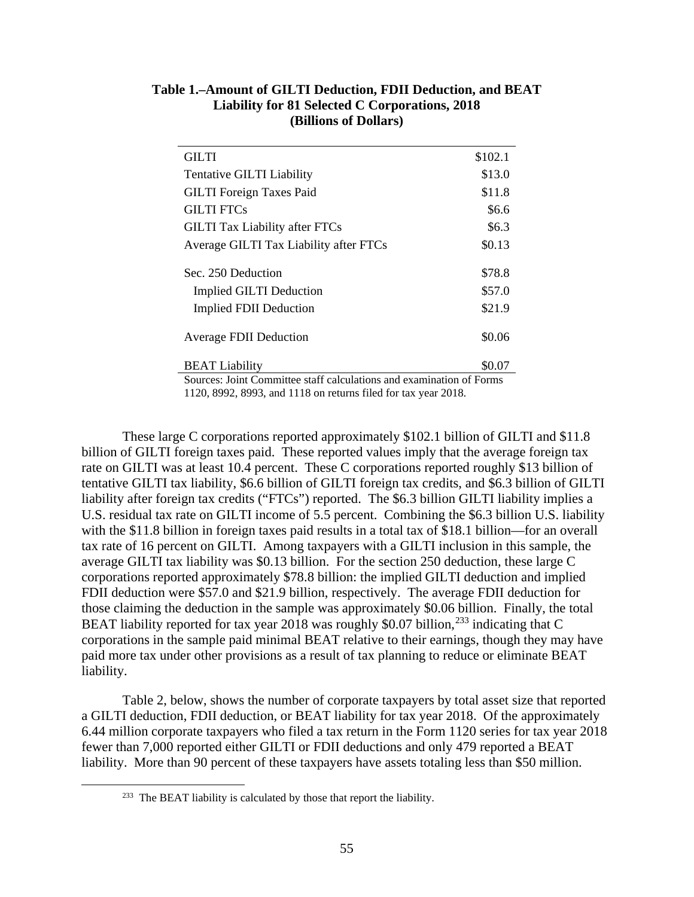| <b>GILTI</b>                                                         | \$102.1 |  |  |  |  |
|----------------------------------------------------------------------|---------|--|--|--|--|
| Tentative GILTI Liability                                            | \$13.0  |  |  |  |  |
| <b>GILTI</b> Foreign Taxes Paid                                      | \$11.8  |  |  |  |  |
| <b>GILTI FTCs</b>                                                    | \$6.6   |  |  |  |  |
| <b>GILTI Tax Liability after FTCs</b>                                | \$6.3   |  |  |  |  |
| Average GILTI Tax Liability after FTCs                               | \$0.13  |  |  |  |  |
|                                                                      |         |  |  |  |  |
| Sec. 250 Deduction                                                   | \$78.8  |  |  |  |  |
| <b>Implied GILTI Deduction</b>                                       | \$57.0  |  |  |  |  |
| <b>Implied FDII Deduction</b>                                        | \$21.9  |  |  |  |  |
| <b>Average FDII Deduction</b>                                        | \$0.06  |  |  |  |  |
| <b>BEAT Liability</b>                                                | \$0.07  |  |  |  |  |
| Sources: Joint Committee staff calculations and examination of Forms |         |  |  |  |  |

# **Table 1.–Amount of GILTI Deduction, FDII Deduction, and BEAT Liability for 81 Selected C Corporations, 2018 (Billions of Dollars)**

1120, 8992, 8993, and 1118 on returns filed for tax year 2018.

These large C corporations reported approximately \$102.1 billion of GILTI and \$11.8 billion of GILTI foreign taxes paid. These reported values imply that the average foreign tax rate on GILTI was at least 10.4 percent. These C corporations reported roughly \$13 billion of tentative GILTI tax liability, \$6.6 billion of GILTI foreign tax credits, and \$6.3 billion of GILTI liability after foreign tax credits ("FTCs") reported. The \$6.3 billion GILTI liability implies a U.S. residual tax rate on GILTI income of 5.5 percent. Combining the \$6.3 billion U.S. liability with the \$11.8 billion in foreign taxes paid results in a total tax of \$18.1 billion—for an overall tax rate of 16 percent on GILTI. Among taxpayers with a GILTI inclusion in this sample, the average GILTI tax liability was \$0.13 billion. For the section 250 deduction, these large C corporations reported approximately \$78.8 billion: the implied GILTI deduction and implied FDII deduction were \$57.0 and \$21.9 billion, respectively. The average FDII deduction for those claiming the deduction in the sample was approximately \$0.06 billion. Finally, the total BEAT liability reported for tax year 2018 was roughly \$0.07 billion, $^{233}$  indicating that C corporations in the sample paid minimal BEAT relative to their earnings, though they may have paid more tax under other provisions as a result of tax planning to reduce or eliminate BEAT liability.

Table 2, below, shows the number of corporate taxpayers by total asset size that reported a GILTI deduction, FDII deduction, or BEAT liability for tax year 2018. Of the approximately 6.44 million corporate taxpayers who filed a tax return in the Form 1120 series for tax year 2018 fewer than 7,000 reported either GILTI or FDII deductions and only 479 reported a BEAT liability. More than 90 percent of these taxpayers have assets totaling less than \$50 million.

<sup>&</sup>lt;sup>233</sup> The BEAT liability is calculated by those that report the liability.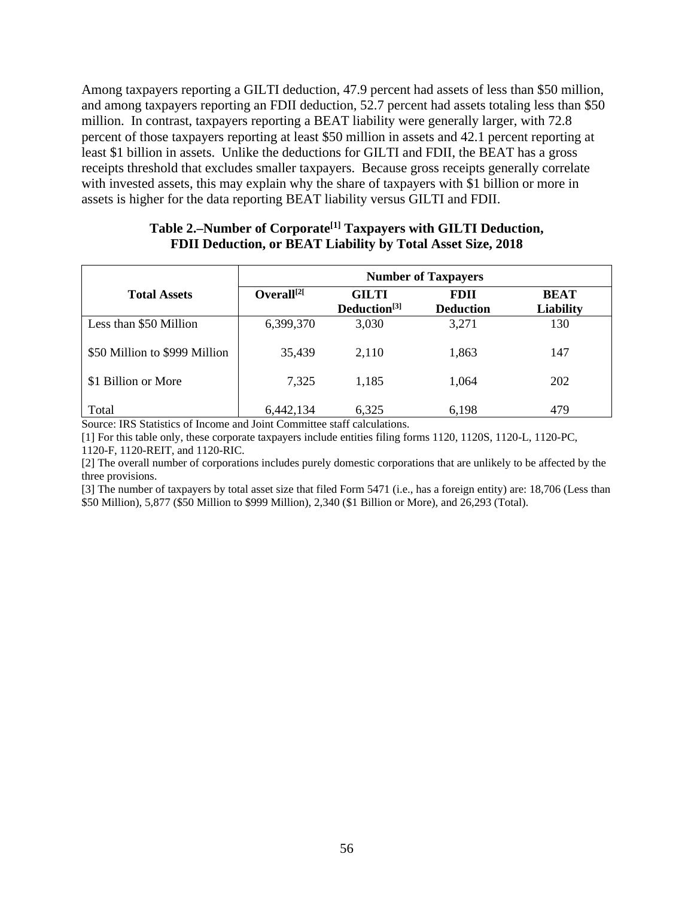Among taxpayers reporting a GILTI deduction, 47.9 percent had assets of less than \$50 million, and among taxpayers reporting an FDII deduction, 52.7 percent had assets totaling less than \$50 million. In contrast, taxpayers reporting a BEAT liability were generally larger, with 72.8 percent of those taxpayers reporting at least \$50 million in assets and 42.1 percent reporting at least \$1 billion in assets. Unlike the deductions for GILTI and FDII, the BEAT has a gross receipts threshold that excludes smaller taxpayers. Because gross receipts generally correlate with invested assets, this may explain why the share of taxpayers with \$1 billion or more in assets is higher for the data reporting BEAT liability versus GILTI and FDII.

|                               | <b>Number of Taxpayers</b> |                                          |                                 |                                 |  |  |  |  |
|-------------------------------|----------------------------|------------------------------------------|---------------------------------|---------------------------------|--|--|--|--|
| <b>Total Assets</b>           | Overall <sup>[2[</sup> ]   | <b>GILTI</b><br>Deduction <sup>[3]</sup> | <b>FDII</b><br><b>Deduction</b> | <b>BEAT</b><br><b>Liability</b> |  |  |  |  |
| Less than \$50 Million        | 6,399,370                  | 3,030                                    | 3,271                           | 130                             |  |  |  |  |
| \$50 Million to \$999 Million | 35,439                     | 2,110                                    | 1,863                           | 147                             |  |  |  |  |
| \$1 Billion or More           | 7,325                      | 1,185                                    | 1,064                           | 202                             |  |  |  |  |
| Total                         | 6,442,134                  | 6,325                                    | 6,198                           | 479                             |  |  |  |  |

# **Table 2.–Number of Corporate[1] Taxpayers with GILTI Deduction, FDII Deduction, or BEAT Liability by Total Asset Size, 2018**

Source: IRS Statistics of Income and Joint Committee staff calculations.

[1] For this table only, these corporate taxpayers include entities filing forms 1120, 1120S, 1120-L, 1120-PC, 1120-F, 1120-REIT, and 1120-RIC.

[2] The overall number of corporations includes purely domestic corporations that are unlikely to be affected by the three provisions.

[3] The number of taxpayers by total asset size that filed Form 5471 (i.e., has a foreign entity) are: 18,706 (Less than \$50 Million), 5,877 (\$50 Million to \$999 Million), 2,340 (\$1 Billion or More), and 26,293 (Total).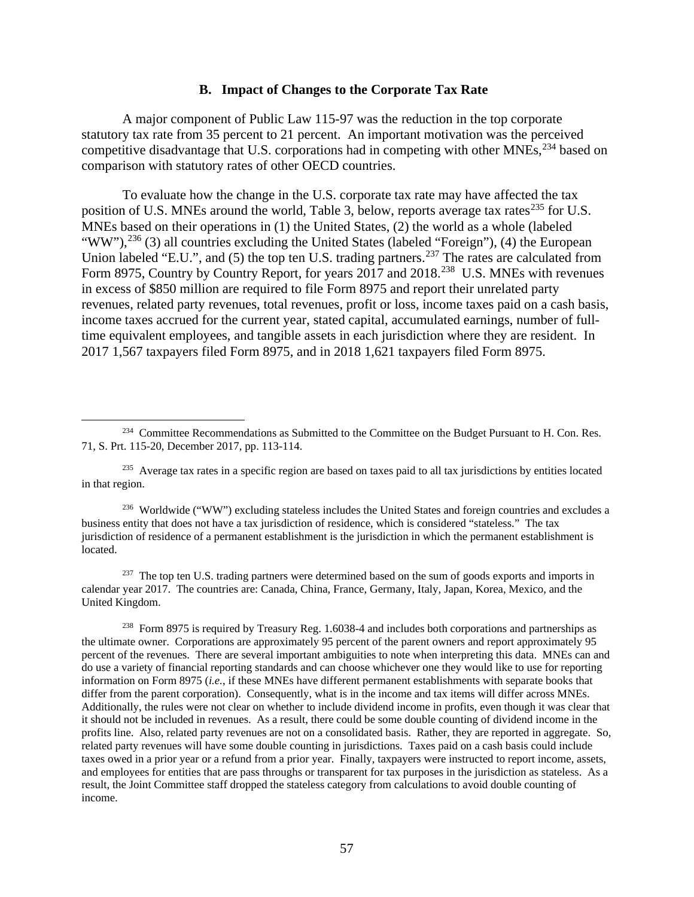### **B. Impact of Changes to the Corporate Tax Rate**

A major component of Public Law 115-97 was the reduction in the top corporate statutory tax rate from 35 percent to 21 percent. An important motivation was the perceived competitive disadvantage that U.S. corporations had in competing with other MNEs,<sup>234</sup> based on comparison with statutory rates of other OECD countries.

To evaluate how the change in the U.S. corporate tax rate may have affected the tax position of U.S. MNEs around the world, Table 3, below, reports average tax rates<sup>235</sup> for U.S. MNEs based on their operations in (1) the United States, (2) the world as a whole (labeled "WW"),<sup>236</sup> (3) all countries excluding the United States (labeled "Foreign"), (4) the European Union labeled "E.U.", and (5) the top ten U.S. trading partners.<sup>237</sup> The rates are calculated from Form 8975, Country by Country Report, for years 2017 and 2018.<sup>238</sup> U.S. MNEs with revenues in excess of \$850 million are required to file Form 8975 and report their unrelated party revenues, related party revenues, total revenues, profit or loss, income taxes paid on a cash basis, income taxes accrued for the current year, stated capital, accumulated earnings, number of fulltime equivalent employees, and tangible assets in each jurisdiction where they are resident. In 2017 1,567 taxpayers filed Form 8975, and in 2018 1,621 taxpayers filed Form 8975.

<sup>235</sup> Average tax rates in a specific region are based on taxes paid to all tax jurisdictions by entities located in that region.

<sup>236</sup> Worldwide ("WW") excluding stateless includes the United States and foreign countries and excludes a business entity that does not have a tax jurisdiction of residence, which is considered "stateless." The tax jurisdiction of residence of a permanent establishment is the jurisdiction in which the permanent establishment is located.

<sup>237</sup> The top ten U.S. trading partners were determined based on the sum of goods exports and imports in calendar year 2017. The countries are: Canada, China, France, Germany, Italy, Japan, Korea, Mexico, and the United Kingdom.

<sup>238</sup> Form 8975 is required by Treasury Reg. 1.6038-4 and includes both corporations and partnerships as the ultimate owner. Corporations are approximately 95 percent of the parent owners and report approximately 95 percent of the revenues. There are several important ambiguities to note when interpreting this data. MNEs can and do use a variety of financial reporting standards and can choose whichever one they would like to use for reporting information on Form 8975 (*i.e.*, if these MNEs have different permanent establishments with separate books that differ from the parent corporation). Consequently, what is in the income and tax items will differ across MNEs. Additionally, the rules were not clear on whether to include dividend income in profits, even though it was clear that it should not be included in revenues. As a result, there could be some double counting of dividend income in the profits line. Also, related party revenues are not on a consolidated basis. Rather, they are reported in aggregate. So, related party revenues will have some double counting in jurisdictions. Taxes paid on a cash basis could include taxes owed in a prior year or a refund from a prior year. Finally, taxpayers were instructed to report income, assets, and employees for entities that are pass throughs or transparent for tax purposes in the jurisdiction as stateless. As a result, the Joint Committee staff dropped the stateless category from calculations to avoid double counting of income.

<sup>&</sup>lt;sup>234</sup> Committee Recommendations as Submitted to the Committee on the Budget Pursuant to H. Con. Res. 71, S. Prt. 115-20, December 2017, pp. 113-114.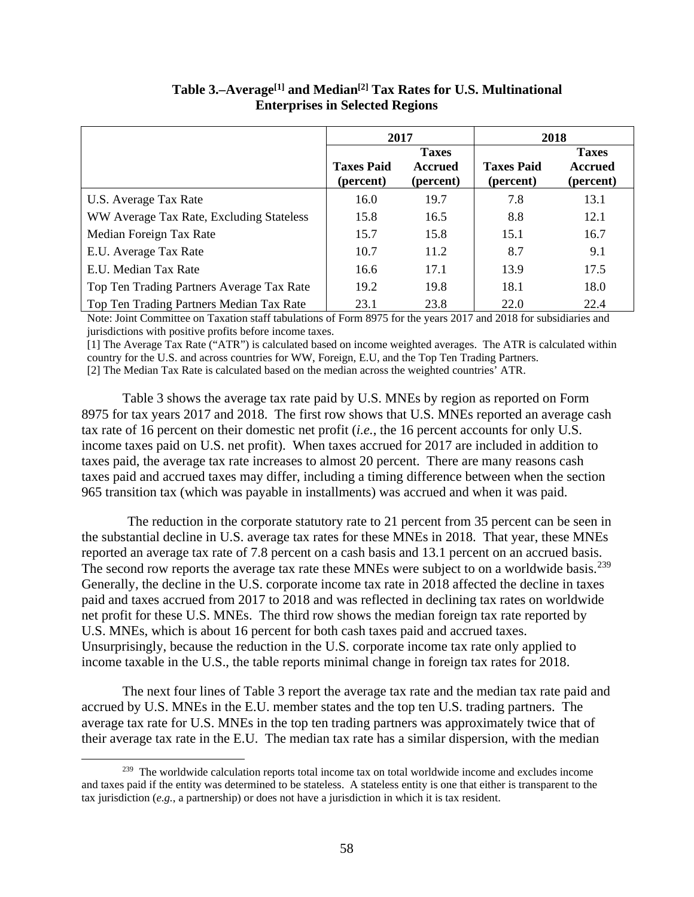|                                           | 2017<br>2018                   |                                             |                                |                                             |
|-------------------------------------------|--------------------------------|---------------------------------------------|--------------------------------|---------------------------------------------|
|                                           | <b>Taxes Paid</b><br>(percent) | <b>Taxes</b><br><b>Accrued</b><br>(percent) | <b>Taxes Paid</b><br>(percent) | <b>Taxes</b><br><b>Accrued</b><br>(percent) |
| U.S. Average Tax Rate                     | 16.0                           | 19.7                                        | 7.8                            | 13.1                                        |
| WW Average Tax Rate, Excluding Stateless  | 15.8                           | 16.5                                        | 8.8                            | 12.1                                        |
| Median Foreign Tax Rate                   | 15.7                           | 15.8                                        | 15.1                           | 16.7                                        |
| E.U. Average Tax Rate                     | 10.7                           | 11.2                                        | 8.7                            | 9.1                                         |
| E.U. Median Tax Rate                      | 16.6                           | 17.1                                        | 13.9                           | 17.5                                        |
| Top Ten Trading Partners Average Tax Rate | 19.2                           | 19.8                                        | 18.1                           | 18.0                                        |
| Top Ten Trading Partners Median Tax Rate  | 23.1                           | 23.8                                        | 22.0                           | 22.4                                        |

# **Table 3.–Average[1] and Median[2] Tax Rates for U.S. Multinational Enterprises in Selected Regions**

Note: Joint Committee on Taxation staff tabulations of Form 8975 for the years 2017 and 2018 for subsidiaries and jurisdictions with positive profits before income taxes.

[1] The Average Tax Rate ("ATR") is calculated based on income weighted averages. The ATR is calculated within country for the U.S. and across countries for WW, Foreign, E.U, and the Top Ten Trading Partners. [2] The Median Tax Rate is calculated based on the median across the weighted countries' ATR.

Table 3 shows the average tax rate paid by U.S. MNEs by region as reported on Form 8975 for tax years 2017 and 2018. The first row shows that U.S. MNEs reported an average cash tax rate of 16 percent on their domestic net profit (*i.e.*, the 16 percent accounts for only U.S. income taxes paid on U.S. net profit). When taxes accrued for 2017 are included in addition to taxes paid, the average tax rate increases to almost 20 percent. There are many reasons cash taxes paid and accrued taxes may differ, including a timing difference between when the section 965 transition tax (which was payable in installments) was accrued and when it was paid.

The reduction in the corporate statutory rate to 21 percent from 35 percent can be seen in the substantial decline in U.S. average tax rates for these MNEs in 2018. That year, these MNEs reported an average tax rate of 7.8 percent on a cash basis and 13.1 percent on an accrued basis. The second row reports the average tax rate these MNEs were subject to on a worldwide basis.<sup>239</sup> Generally, the decline in the U.S. corporate income tax rate in 2018 affected the decline in taxes paid and taxes accrued from 2017 to 2018 and was reflected in declining tax rates on worldwide net profit for these U.S. MNEs. The third row shows the median foreign tax rate reported by U.S. MNEs, which is about 16 percent for both cash taxes paid and accrued taxes. Unsurprisingly, because the reduction in the U.S. corporate income tax rate only applied to income taxable in the U.S., the table reports minimal change in foreign tax rates for 2018.

The next four lines of Table 3 report the average tax rate and the median tax rate paid and accrued by U.S. MNEs in the E.U. member states and the top ten U.S. trading partners. The average tax rate for U.S. MNEs in the top ten trading partners was approximately twice that of their average tax rate in the E.U. The median tax rate has a similar dispersion, with the median

<sup>&</sup>lt;sup>239</sup> The worldwide calculation reports total income tax on total worldwide income and excludes income and taxes paid if the entity was determined to be stateless. A stateless entity is one that either is transparent to the tax jurisdiction (*e.g.*, a partnership) or does not have a jurisdiction in which it is tax resident.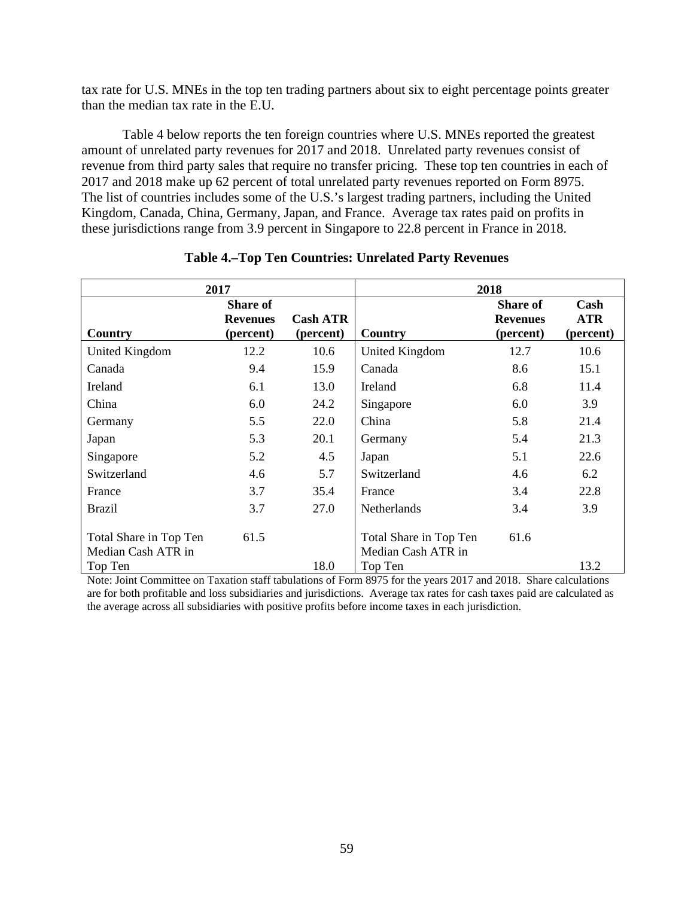tax rate for U.S. MNEs in the top ten trading partners about six to eight percentage points greater than the median tax rate in the E.U.

Table 4 below reports the ten foreign countries where U.S. MNEs reported the greatest amount of unrelated party revenues for 2017 and 2018. Unrelated party revenues consist of revenue from third party sales that require no transfer pricing. These top ten countries in each of 2017 and 2018 make up 62 percent of total unrelated party revenues reported on Form 8975. The list of countries includes some of the U.S.'s largest trading partners, including the United Kingdom, Canada, China, Germany, Japan, and France. Average tax rates paid on profits in these jurisdictions range from 3.9 percent in Singapore to 22.8 percent in France in 2018.

|                                              | 2017                                            |                              |                                              | 2018                                            |                                 |
|----------------------------------------------|-------------------------------------------------|------------------------------|----------------------------------------------|-------------------------------------------------|---------------------------------|
| Country                                      | <b>Share of</b><br><b>Revenues</b><br>(percent) | <b>Cash ATR</b><br>(percent) | Country                                      | <b>Share of</b><br><b>Revenues</b><br>(percent) | Cash<br><b>ATR</b><br>(percent) |
|                                              |                                                 |                              |                                              |                                                 |                                 |
| United Kingdom                               | 12.2                                            | 10.6                         | <b>United Kingdom</b>                        | 12.7                                            | 10.6                            |
| Canada                                       | 9.4                                             | 15.9                         | Canada                                       | 8.6                                             | 15.1                            |
| Ireland                                      | 6.1                                             | 13.0                         | Ireland                                      | 6.8                                             | 11.4                            |
| China                                        | 6.0                                             | 24.2                         | Singapore                                    | 6.0                                             | 3.9                             |
| Germany                                      | 5.5                                             | 22.0                         | China                                        | 5.8                                             | 21.4                            |
| Japan                                        | 5.3                                             | 20.1                         | Germany                                      | 5.4                                             | 21.3                            |
| Singapore                                    | 5.2                                             | 4.5                          | Japan                                        | 5.1                                             | 22.6                            |
| Switzerland                                  | 4.6                                             | 5.7                          | Switzerland                                  | 4.6                                             | 6.2                             |
| France                                       | 3.7                                             | 35.4                         | France                                       | 3.4                                             | 22.8                            |
| <b>Brazil</b>                                | 3.7                                             | 27.0                         | Netherlands                                  | 3.4                                             | 3.9                             |
| Total Share in Top Ten<br>Median Cash ATR in | 61.5                                            |                              | Total Share in Top Ten<br>Median Cash ATR in | 61.6                                            |                                 |
| Top Ten                                      |                                                 | 18.0                         | Top Ten                                      |                                                 | 13.2                            |

### **Table 4.–Top Ten Countries: Unrelated Party Revenues**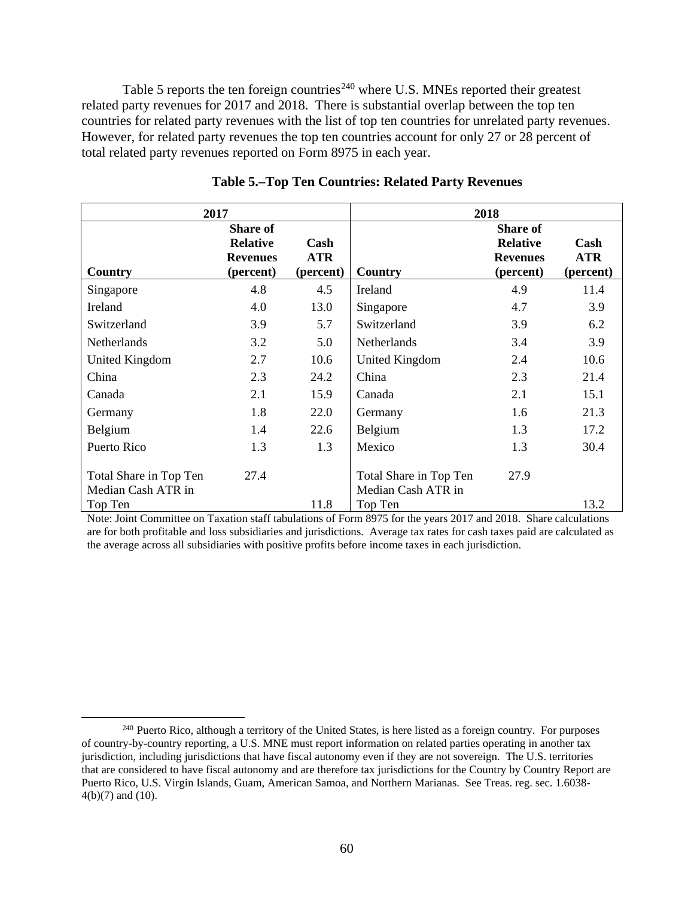Table 5 reports the ten foreign countries<sup> $240$ </sup> where U.S. MNEs reported their greatest related party revenues for 2017 and 2018. There is substantial overlap between the top ten countries for related party revenues with the list of top ten countries for unrelated party revenues. However, for related party revenues the top ten countries account for only 27 or 28 percent of total related party revenues reported on Form 8975 in each year.

|                                                         | 2017                                                               |                                 |                                                         | 2018                                                               |                                 |
|---------------------------------------------------------|--------------------------------------------------------------------|---------------------------------|---------------------------------------------------------|--------------------------------------------------------------------|---------------------------------|
| Country                                                 | <b>Share of</b><br><b>Relative</b><br><b>Revenues</b><br>(percent) | Cash<br><b>ATR</b><br>(percent) | Country                                                 | <b>Share of</b><br><b>Relative</b><br><b>Revenues</b><br>(percent) | Cash<br><b>ATR</b><br>(percent) |
| Singapore                                               | 4.8                                                                | 4.5                             | Ireland                                                 | 4.9                                                                | 11.4                            |
| Ireland                                                 | 4.0                                                                | 13.0                            | Singapore                                               | 4.7                                                                | 3.9                             |
| Switzerland                                             | 3.9                                                                | 5.7                             | Switzerland                                             | 3.9                                                                | 6.2                             |
| <b>Netherlands</b>                                      | 3.2                                                                | 5.0                             | <b>Netherlands</b>                                      | 3.4                                                                | 3.9                             |
| United Kingdom                                          | 2.7                                                                | 10.6                            | United Kingdom                                          | 2.4                                                                | 10.6                            |
| China                                                   | 2.3                                                                | 24.2                            | China                                                   | 2.3                                                                | 21.4                            |
| Canada                                                  | 2.1                                                                | 15.9                            | Canada                                                  | 2.1                                                                | 15.1                            |
| Germany                                                 | 1.8                                                                | 22.0                            | Germany                                                 | 1.6                                                                | 21.3                            |
| Belgium                                                 | 1.4                                                                | 22.6                            | Belgium                                                 | 1.3                                                                | 17.2                            |
| Puerto Rico                                             | 1.3                                                                | 1.3                             | Mexico                                                  | 1.3                                                                | 30.4                            |
| Total Share in Top Ten<br>Median Cash ATR in<br>Top Ten | 27.4                                                               | 11.8                            | Total Share in Top Ten<br>Median Cash ATR in<br>Top Ten | 27.9                                                               | 13.2                            |

# **Table 5.–Top Ten Countries: Related Party Revenues**

<sup>&</sup>lt;sup>240</sup> Puerto Rico, although a territory of the United States, is here listed as a foreign country. For purposes of country-by-country reporting, a U.S. MNE must report information on related parties operating in another tax jurisdiction, including jurisdictions that have fiscal autonomy even if they are not sovereign. The U.S. territories that are considered to have fiscal autonomy and are therefore tax jurisdictions for the Country by Country Report are Puerto Rico, U.S. Virgin Islands, Guam, American Samoa, and Northern Marianas. See Treas. reg. sec. 1.6038- 4(b)(7) and (10).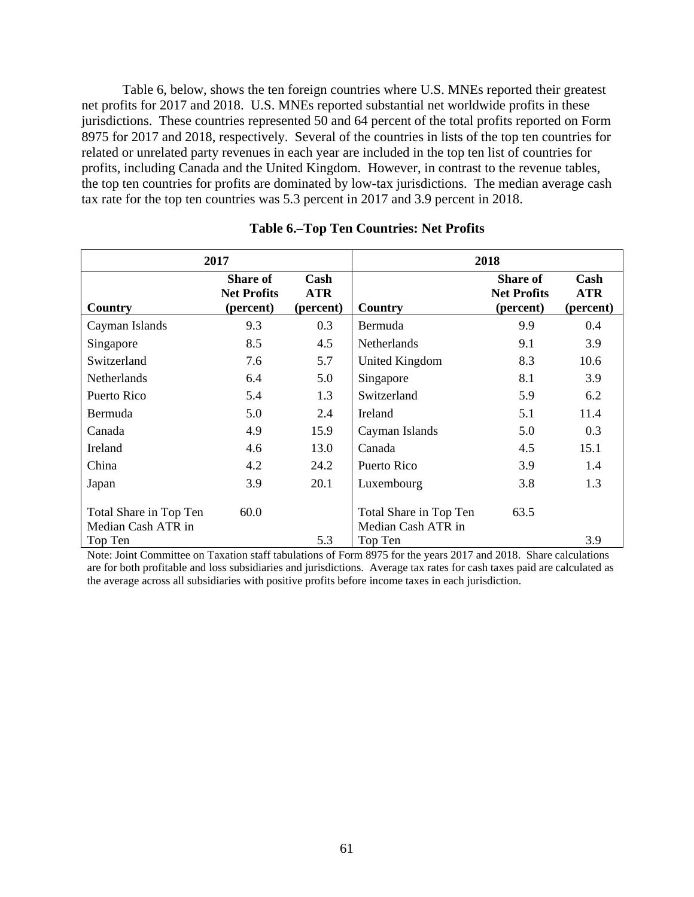Table 6, below, shows the ten foreign countries where U.S. MNEs reported their greatest net profits for 2017 and 2018. U.S. MNEs reported substantial net worldwide profits in these jurisdictions. These countries represented 50 and 64 percent of the total profits reported on Form 8975 for 2017 and 2018, respectively. Several of the countries in lists of the top ten countries for related or unrelated party revenues in each year are included in the top ten list of countries for profits, including Canada and the United Kingdom. However, in contrast to the revenue tables, the top ten countries for profits are dominated by low-tax jurisdictions. The median average cash tax rate for the top ten countries was 5.3 percent in 2017 and 3.9 percent in 2018.

|                                              | 2017                                               |                                 | 2018                                         |                                                    |                                 |  |  |
|----------------------------------------------|----------------------------------------------------|---------------------------------|----------------------------------------------|----------------------------------------------------|---------------------------------|--|--|
| Country                                      | <b>Share of</b><br><b>Net Profits</b><br>(percent) | Cash<br><b>ATR</b><br>(percent) | Country                                      | <b>Share of</b><br><b>Net Profits</b><br>(percent) | Cash<br><b>ATR</b><br>(percent) |  |  |
| Cayman Islands                               | 9.3                                                | 0.3                             | Bermuda                                      | 9.9                                                | 0.4                             |  |  |
| Singapore                                    | 8.5                                                | 4.5                             | <b>Netherlands</b>                           | 9.1                                                | 3.9                             |  |  |
| Switzerland                                  | 7.6                                                | 5.7                             | United Kingdom                               | 8.3                                                | 10.6                            |  |  |
| <b>Netherlands</b>                           | 6.4                                                | 5.0                             | Singapore                                    | 8.1                                                | 3.9                             |  |  |
| Puerto Rico                                  | 5.4                                                | 1.3                             | Switzerland                                  | 5.9                                                | 6.2                             |  |  |
| Bermuda                                      | 5.0                                                | 2.4                             | Ireland                                      | 5.1                                                | 11.4                            |  |  |
| Canada                                       | 4.9                                                | 15.9                            | Cayman Islands                               | 5.0                                                | 0.3                             |  |  |
| Ireland                                      | 4.6                                                | 13.0                            | Canada                                       | 4.5                                                | 15.1                            |  |  |
| China                                        | 4.2                                                | 24.2                            | Puerto Rico                                  | 3.9                                                | 1.4                             |  |  |
| Japan                                        | 3.9                                                | 20.1                            | Luxembourg                                   | 3.8                                                | 1.3                             |  |  |
| Total Share in Top Ten<br>Median Cash ATR in | 60.0                                               |                                 | Total Share in Top Ten<br>Median Cash ATR in | 63.5                                               |                                 |  |  |
| Top Ten                                      |                                                    | 5.3                             | Top Ten                                      |                                                    | 3.9                             |  |  |

### **Table 6.–Top Ten Countries: Net Profits**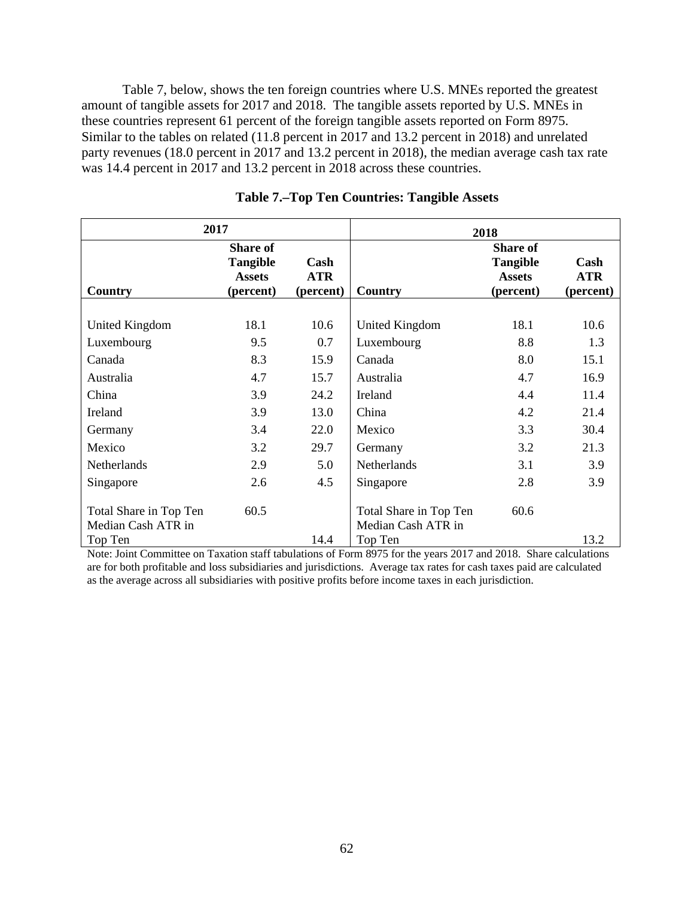Table 7, below, shows the ten foreign countries where U.S. MNEs reported the greatest amount of tangible assets for 2017 and 2018. The tangible assets reported by U.S. MNEs in these countries represent 61 percent of the foreign tangible assets reported on Form 8975. Similar to the tables on related (11.8 percent in 2017 and 13.2 percent in 2018) and unrelated party revenues (18.0 percent in 2017 and 13.2 percent in 2018), the median average cash tax rate was 14.4 percent in 2017 and 13.2 percent in 2018 across these countries.

| 2017                                         |                                                                  |                                 | 2018                                         |                                                                  |                                 |  |
|----------------------------------------------|------------------------------------------------------------------|---------------------------------|----------------------------------------------|------------------------------------------------------------------|---------------------------------|--|
| Country                                      | <b>Share of</b><br><b>Tangible</b><br><b>Assets</b><br>(percent) | Cash<br><b>ATR</b><br>(percent) | Country                                      | <b>Share of</b><br><b>Tangible</b><br><b>Assets</b><br>(percent) | Cash<br><b>ATR</b><br>(percent) |  |
| United Kingdom                               | 18.1                                                             | 10.6                            | United Kingdom                               | 18.1                                                             | 10.6                            |  |
| Luxembourg                                   | 9.5                                                              | 0.7                             | Luxembourg                                   | 8.8                                                              | 1.3                             |  |
| Canada                                       | 8.3                                                              | 15.9                            | Canada                                       | 8.0                                                              | 15.1                            |  |
| Australia                                    | 4.7                                                              | 15.7                            | Australia                                    | 4.7                                                              | 16.9                            |  |
| China                                        | 3.9                                                              | 24.2                            | Ireland                                      | 4.4                                                              | 11.4                            |  |
| Ireland                                      | 3.9                                                              | 13.0                            | China                                        | 4.2                                                              | 21.4                            |  |
| Germany                                      | 3.4                                                              | 22.0                            | Mexico                                       | 3.3                                                              | 30.4                            |  |
| Mexico                                       | 3.2                                                              | 29.7                            | Germany                                      | 3.2                                                              | 21.3                            |  |
| <b>Netherlands</b>                           | 2.9                                                              | 5.0                             | <b>Netherlands</b>                           | 3.1                                                              | 3.9                             |  |
| Singapore                                    | 2.6                                                              | 4.5                             | Singapore                                    | 2.8                                                              | 3.9                             |  |
| Total Share in Top Ten<br>Median Cash ATR in | 60.5                                                             |                                 | Total Share in Top Ten<br>Median Cash ATR in | 60.6                                                             |                                 |  |
| Top Ten                                      |                                                                  | 14.4                            | Top Ten                                      |                                                                  | 13.2                            |  |

### **Table 7.–Top Ten Countries: Tangible Assets**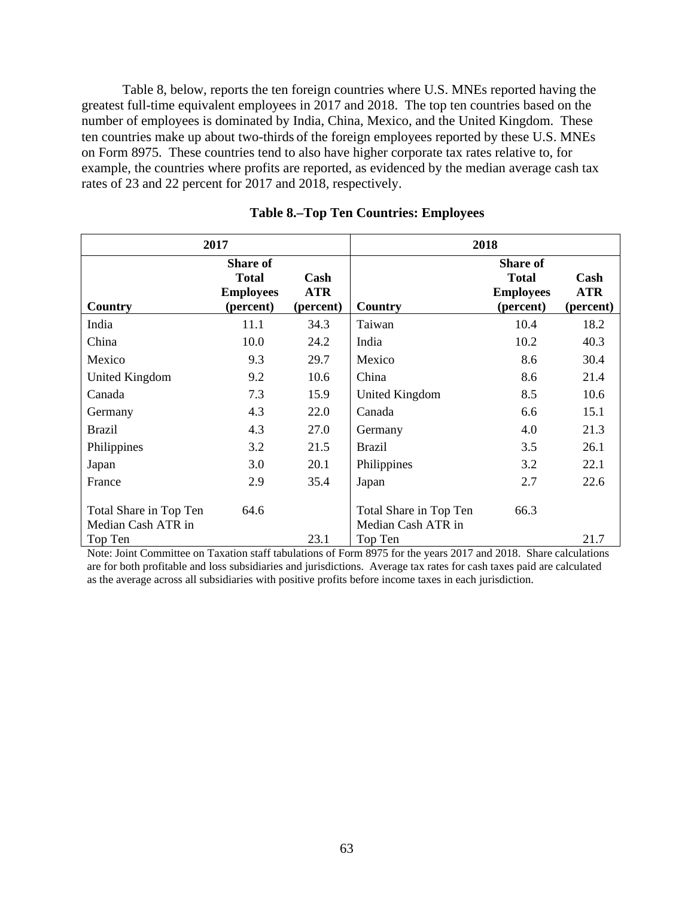Table 8, below, reports the ten foreign countries where U.S. MNEs reported having the greatest full-time equivalent employees in 2017 and 2018. The top ten countries based on the number of employees is dominated by India, China, Mexico, and the United Kingdom. These ten countries make up about two-thirds of the foreign employees reported by these U.S. MNEs on Form 8975. These countries tend to also have higher corporate tax rates relative to, for example, the countries where profits are reported, as evidenced by the median average cash tax rates of 23 and 22 percent for 2017 and 2018, respectively.

|                                              | 2017                                                             |                                 | 2018                                         |                                                                  |                                 |  |  |
|----------------------------------------------|------------------------------------------------------------------|---------------------------------|----------------------------------------------|------------------------------------------------------------------|---------------------------------|--|--|
| Country                                      | <b>Share of</b><br><b>Total</b><br><b>Employees</b><br>(percent) | Cash<br><b>ATR</b><br>(percent) | Country                                      | <b>Share of</b><br><b>Total</b><br><b>Employees</b><br>(percent) | Cash<br><b>ATR</b><br>(percent) |  |  |
| India                                        | 11.1                                                             | 34.3                            | Taiwan                                       | 10.4                                                             | 18.2                            |  |  |
| China                                        | 10.0                                                             | 24.2                            | India                                        | 10.2                                                             | 40.3                            |  |  |
| Mexico                                       | 9.3                                                              | 29.7                            | Mexico                                       | 8.6                                                              | 30.4                            |  |  |
| <b>United Kingdom</b>                        | 9.2                                                              | 10.6                            | China                                        | 8.6                                                              | 21.4                            |  |  |
| Canada                                       | 7.3                                                              | 15.9                            | United Kingdom                               | 8.5                                                              | 10.6                            |  |  |
| Germany                                      | 4.3                                                              | 22.0                            | Canada                                       | 6.6                                                              | 15.1                            |  |  |
| <b>Brazil</b>                                | 4.3                                                              | 27.0                            | Germany                                      | 4.0                                                              | 21.3                            |  |  |
| Philippines                                  | 3.2                                                              | 21.5                            | <b>Brazil</b>                                | 3.5                                                              | 26.1                            |  |  |
| Japan                                        | 3.0                                                              | 20.1                            | Philippines                                  | 3.2                                                              | 22.1                            |  |  |
| France                                       | 2.9                                                              | 35.4                            | Japan                                        | 2.7                                                              | 22.6                            |  |  |
| Total Share in Top Ten<br>Median Cash ATR in | 64.6                                                             |                                 | Total Share in Top Ten<br>Median Cash ATR in | 66.3                                                             |                                 |  |  |
| Top Ten                                      |                                                                  | 23.1                            | Top Ten                                      |                                                                  | 21.7                            |  |  |

### **Table 8.–Top Ten Countries: Employees**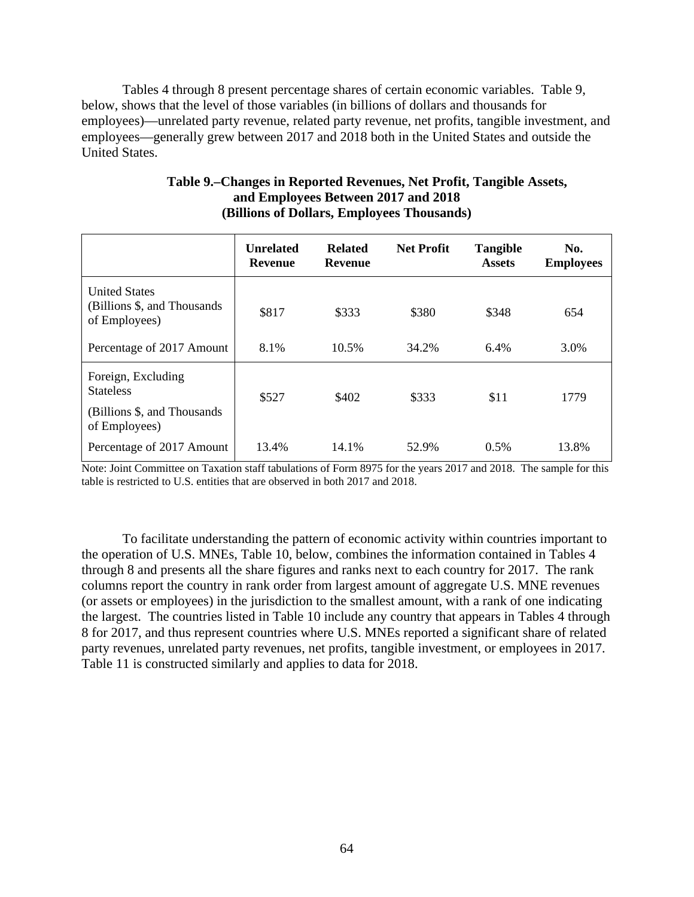Tables 4 through 8 present percentage shares of certain economic variables. Table 9, below, shows that the level of those variables (in billions of dollars and thousands for employees)—unrelated party revenue, related party revenue, net profits, tangible investment, and employees—generally grew between 2017 and 2018 both in the United States and outside the United States.

|                                                                                         | <b>Unrelated</b><br><b>Revenue</b> | <b>Related</b><br><b>Revenue</b> | <b>Net Profit</b> | <b>Tangible</b><br><b>Assets</b> | No.<br><b>Employees</b> |
|-----------------------------------------------------------------------------------------|------------------------------------|----------------------------------|-------------------|----------------------------------|-------------------------|
| <b>United States</b><br>(Billions \$, and Thousands)<br>of Employees)                   | \$817                              | \$333                            | \$380             | \$348                            | 654                     |
| Percentage of 2017 Amount                                                               | 8.1%                               | 10.5%                            | 34.2%             | 6.4%                             | 3.0%                    |
| Foreign, Excluding<br><b>Stateless</b><br>(Billions \$, and Thousands)<br>of Employees) | \$527                              | \$402                            | \$333             | \$11                             | 1779                    |
| Percentage of 2017 Amount                                                               | 13.4%                              | 14.1%                            | 52.9%             | 0.5%                             | 13.8%                   |

# **Table 9.–Changes in Reported Revenues, Net Profit, Tangible Assets, and Employees Between 2017 and 2018 (Billions of Dollars, Employees Thousands)**

Note: Joint Committee on Taxation staff tabulations of Form 8975 for the years 2017 and 2018. The sample for this table is restricted to U.S. entities that are observed in both 2017 and 2018.

To facilitate understanding the pattern of economic activity within countries important to the operation of U.S. MNEs, Table 10, below, combines the information contained in Tables 4 through 8 and presents all the share figures and ranks next to each country for 2017. The rank columns report the country in rank order from largest amount of aggregate U.S. MNE revenues (or assets or employees) in the jurisdiction to the smallest amount, with a rank of one indicating the largest. The countries listed in Table 10 include any country that appears in Tables 4 through 8 for 2017, and thus represent countries where U.S. MNEs reported a significant share of related party revenues, unrelated party revenues, net profits, tangible investment, or employees in 2017. Table 11 is constructed similarly and applies to data for 2018.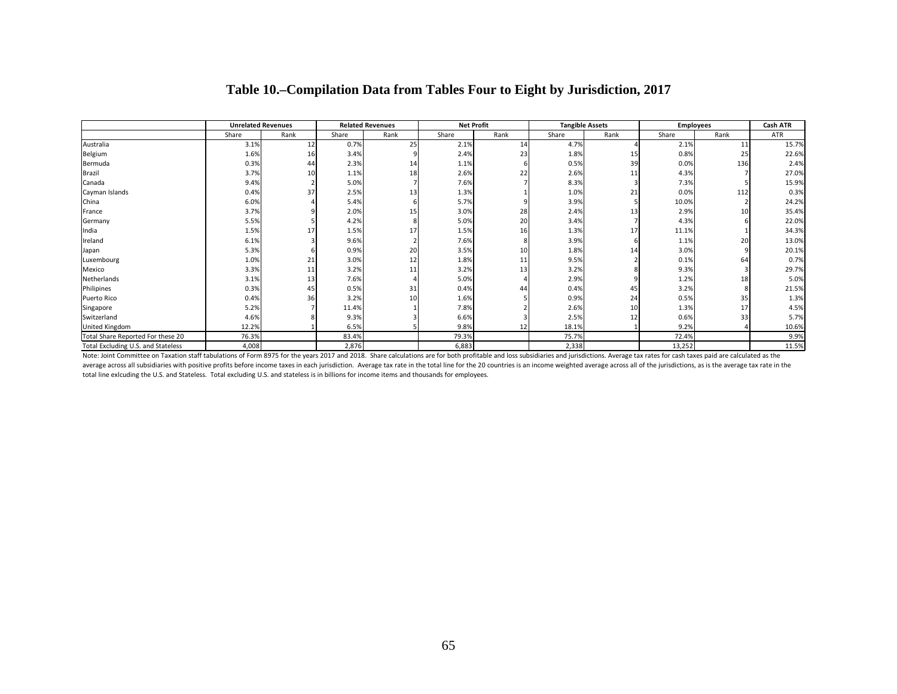|                                    | <b>Unrelated Revenues</b> |      | <b>Related Revenues</b> |      | <b>Net Profit</b> |      | <b>Tangible Assets</b> |                 | <b>Employees</b> |                 | Cash ATR   |
|------------------------------------|---------------------------|------|-------------------------|------|-------------------|------|------------------------|-----------------|------------------|-----------------|------------|
|                                    | Share                     | Rank | Share                   | Rank | Share             | Rank | Share                  | Rank            | Share            | Rank            | <b>ATR</b> |
| Australia                          | 3.1%                      | 12   | 0.7%                    | 25   | 2.1%              | 14   | 4.7%                   |                 | 2.1%             | 11              | 15.7%      |
| Belgium                            | 1.6%                      | 16   | 3.4%                    |      | 2.4%              | 23   | 1.8%                   | 15              | 0.8%             | 25              | 22.6%      |
| Bermuda                            | 0.3%                      | 44   | 2.3%                    | 14   | 1.1%              |      | 0.5%                   | 39              | 0.0%             | 136             | 2.4%       |
| Brazil                             | 3.7%                      | 10   | 1.1%                    | 18   | 2.6%              | 22   | 2.6%                   | 11              | 4.3%             |                 | 27.0%      |
| Canada                             | 9.4%                      |      | 5.0%                    |      | 7.6%              |      | 8.3%                   |                 | 7.3%             |                 | 15.9%      |
| Cayman Islands                     | 0.4%                      | 37   | 2.5%                    | 13   | 1.3%              |      | 1.0%                   | 21              | 0.0%             | 112             | 0.3%       |
| China                              | 6.0%                      |      | 5.4%                    |      | 5.7%              |      | 3.9%                   |                 | 10.0%            |                 | 24.2%      |
| France                             | 3.7%                      |      | 2.0%                    | 15   | 3.0%              | 28   | 2.4%                   | 13 <sub>1</sub> | 2.9%             | 10 <sup>1</sup> | 35.4%      |
| Germany                            | 5.5%                      |      | 4.2%                    |      | 5.0%              | 20   | 3.4%                   |                 | 4.3%             |                 | 22.0%      |
| India                              | 1.5%                      | 17   | 1.5%                    | 17   | 1.5%              | 16   | 1.3%                   | 17              | 11.1%            |                 | 34.3%      |
| Ireland                            | 6.1%                      |      | 9.6%                    |      | 7.6%              |      | 3.9%                   |                 | 1.1%             | 20              | 13.0%      |
| Japan                              | 5.3%                      |      | 0.9%                    | 20   | 3.5%              | 10   | 1.8%                   | 14              | 3.0%             |                 | 20.1%      |
| Luxembourg                         | 1.0%                      | 21   | 3.0%                    | 12   | 1.8%              | 11   | 9.5%                   |                 | 0.1%             | 64              | 0.7%       |
| Mexico                             | 3.3%                      | 11   | 3.2%                    | 11   | 3.2%              | 13   | 3.2%                   |                 | 9.3%             |                 | 29.7%      |
| Netherlands                        | 3.1%                      | 13   | 7.6%                    |      | 5.0%              |      | 2.9%                   |                 | 1.2%             | 18              | 5.0%       |
| Philipines                         | 0.3%                      | 45   | 0.5%                    | 31   | 0.4%              | 44   | 0.4%                   | 45              | 3.2%             |                 | 21.5%      |
| Puerto Rico                        | 0.4%                      | 36   | 3.2%                    | 10   | 1.6%              |      | 0.9%                   | 24              | 0.5%             | 35              | 1.3%       |
| Singapore                          | 5.2%                      |      | 11.4%                   |      | 7.8%              |      | 2.6%                   | 10              | 1.3%             | 17              | 4.5%       |
| Switzerland                        | 4.6%                      |      | 9.3%                    |      | 6.6%              |      | 2.5%                   | 12              | 0.6%             | 33              | 5.7%       |
| United Kingdom                     | 12.2%                     |      | 6.5%                    |      | 9.8%              | 12   | 18.1%                  |                 | 9.2%             |                 | 10.6%      |
| Total Share Reported For these 20  | 76.3%                     |      | 83.4%                   |      | 79.3%             |      | 75.7%                  |                 | 72.4%            |                 | 9.9%       |
| Total Excluding U.S. and Stateless | 4,008                     |      | 2,876                   |      | 6,883             |      | 2,338                  |                 | 13,252           |                 | 11.5%      |

# **Table 10.–Compilation Data from Tables Four to Eight by Jurisdiction, 2017**

Note: Joint Committee on Taxation staff tabulations of Form 8975 for the years 2017 and 2018. Share calculations are for both profitable and loss subsidiaries and jurisdictions. Average tax rates for cash taxes paid are ca average across all subsidiaries with positive profits before income taxes in each jurisdiction. Average tax rate in the total line for the 20 countries is an income weighted average across all of the jurisdictions, as is t total line exlcuding the U.S. and Stateless. Total excluding U.S. and stateless is in billions for income items and thousands for employees.